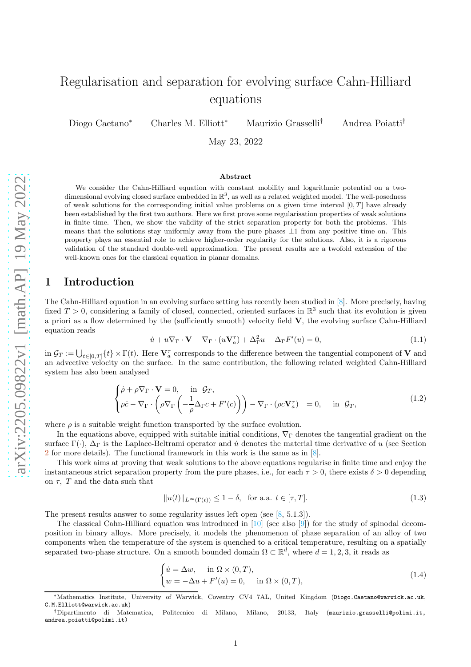# Regularisation and separation for evolving surface Cahn-Hilliard equations

Diogo Caetano<sup>∗</sup> Charles M. Elliott<sup>∗</sup> Maurizio Grasselli† Andrea Poiatti†

May 23, 2022

#### Abstract

We consider the Cahn-Hilliard equation with constant mobility and logarithmic potential on a twodimensional evolving closed surface embedded in  $\mathbb{R}^3$ , as well as a related weighted model. The well-posedness of weak solutions for the corresponding initial value problems on a given time interval  $[0, T]$  have already been established by the first two authors. Here we first prove some regularisation properties of weak solutions in finite time. Then, we show the validity of the strict separation property for both the problems. This means that the solutions stay uniformly away from the pure phases  $\pm 1$  from any positive time on. This property plays an essential role to achieve higher-order regularity for the solutions. Also, it is a rigorous validation of the standard double-well approximation. The present results are a twofold extension of the well-known ones for the classical equation in planar domains.

# 1 Introduction

The Cahn-Hilliard equation in an evolving surface setting has recently been studied in [\[8](#page-32-0)]. More precisely, having fixed  $T > 0$ , considering a family of closed, connected, oriented surfaces in  $\mathbb{R}^3$  such that its evolution is given a priori as a flow determined by the (sufficiently smooth) velocity field V, the evolving surface Cahn-Hilliard equation reads

<span id="page-0-1"></span>
$$
\dot{u} + u\nabla_{\Gamma} \cdot \mathbf{V} - \nabla_{\Gamma} \cdot (u\mathbf{V}_a^{\tau}) + \Delta_{\Gamma}^2 u - \Delta_{\Gamma} F'(u) = 0, \qquad (1.1)
$$

in  $\mathcal{G}_T := \bigcup_{t \in [0,T]} \{t\} \times \Gamma(t)$ . Here  $\mathbf{V}_a^{\tau}$  corresponds to the difference between the tangential component of **V** and an advective velocity on the surface. In the same contribution, the following related weighted Cahn-Hilliard system has also been analysed

<span id="page-0-2"></span>
$$
\begin{cases}\n\dot{\rho} + \rho \nabla_{\Gamma} \cdot \mathbf{V} = 0, & \text{in } \mathcal{G}_T, \\
\rho \dot{c} - \nabla_{\Gamma} \cdot \left( \rho \nabla_{\Gamma} \left( -\frac{1}{\rho} \Delta_{\Gamma} c + F'(c) \right) \right) - \nabla_{\Gamma} \cdot (\rho c \mathbf{V}_a^{\tau}) = 0, & \text{in } \mathcal{G}_T,\n\end{cases}
$$
\n(1.2)

where  $\rho$  is a suitable weight function transported by the surface evolution.

In the equations above, equipped with suitable initial conditions,  $\nabla_{\Gamma}$  denotes the tangential gradient on the surface  $\Gamma(\cdot)$ ,  $\Delta_{\Gamma}$  is the Laplace-Beltrami operator and *u* denotes the material time derivative of *u* (see Section [2](#page-2-0) for more details). The functional framework in this work is the same as in  $[8]$ .

This work aims at proving that weak solutions to the above equations regularise in finite time and enjoy the instantaneous strict separation property from the pure phases, i.e., for each  $\tau > 0$ , there exists  $\delta > 0$  depending on  $\tau$ , T and the data such that

<span id="page-0-3"></span>
$$
||u(t)||_{L^{\infty}(\Gamma(t))} \le 1 - \delta, \text{ for a.a. } t \in [\tau, T].
$$
\n(1.3)

The present results answer to some regularity issues left open (see [\[8](#page-32-0), 5.1.3]).

The classical Cahn-Hilliard equation was introduced in [\[10\]](#page-32-1) (see also [\[9\]](#page-32-2)) for the study of spinodal decomposition in binary alloys. More precisely, it models the phenomenon of phase separation of an alloy of two components when the temperature of the system is quenched to a critical temperature, resulting on a spatially separated two-phase structure. On a smooth bounded domain  $\Omega \subset \mathbb{R}^d$ , where  $d = 1, 2, 3$ , it reads as

<span id="page-0-0"></span>
$$
\begin{cases}\n\dot{u} = \Delta w, & \text{in } \Omega \times (0, T), \\
w = -\Delta u + F'(u) = 0, & \text{in } \Omega \times (0, T),\n\end{cases}
$$
\n(1.4)

<sup>∗</sup>Mathematics Institute, University of Warwick, Coventry CV4 7AL, United Kingdom (Diogo.Caetano@warwick.ac.uk, C.M.Elliott@warwick.ac.uk)

<sup>†</sup>Dipartimento di Matematica, Politecnico di Milano, Milano, 20133, Italy (maurizio.grasselli@polimi.it, andrea.poiatti@polimi.it)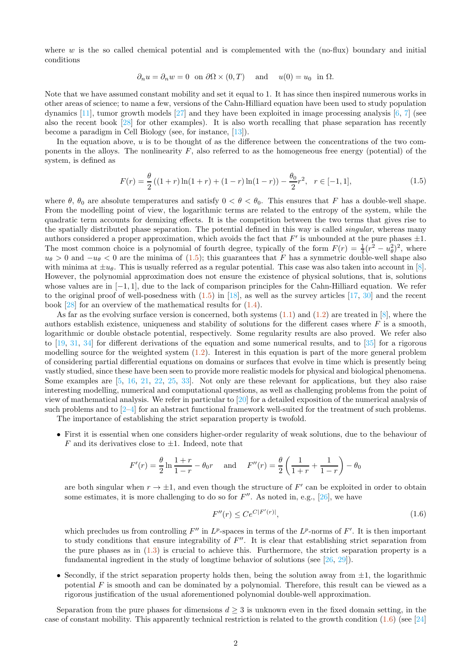where  $w$  is the so called chemical potential and is complemented with the (no-flux) boundary and initial conditions

$$
\partial_n u = \partial_n w = 0
$$
 on  $\partial \Omega \times (0, T)$  and  $u(0) = u_0$  in  $\Omega$ .

Note that we have assumed constant mobility and set it equal to 1. It has since then inspired numerous works in other areas of science; to name a few, versions of the Cahn-Hilliard equation have been used to study population dynamics [\[11\]](#page-33-0), tumor growth models [\[27\]](#page-33-1) and they have been exploited in image processing analysis [\[6,](#page-32-3) [7\]](#page-32-4) (see also the recent book [\[28](#page-33-2)] for other examples). It is also worth recalling that phase separation has recently become a paradigm in Cell Biology (see, for instance, [\[13\]](#page-33-3)).

In the equation above,  $u$  is to be thought of as the difference between the concentrations of the two components in the alloys. The nonlinearity  $F$ , also referred to as the homogeneous free energy (potential) of the system, is defined as

<span id="page-1-0"></span>
$$
F(r) = \frac{\theta}{2} \left( (1+r) \ln(1+r) + (1-r) \ln(1-r) \right) - \frac{\theta_0}{2} r^2, \quad r \in [-1, 1],
$$
\n(1.5)

where  $\theta$ ,  $\theta_0$  are absolute temperatures and satisfy  $0 < \theta < \theta_0$ . This ensures that F has a double-well shape. From the modelling point of view, the logarithmic terms are related to the entropy of the system, while the quadratic term accounts for demixing effects. It is the competition between the two terms that gives rise to the spatially distributed phase separation. The potential defined in this way is called singular, whereas many authors considered a proper approximation, which avoids the fact that  $F'$  is unbounded at the pure phases  $\pm 1$ . The most common choice is a polynomial of fourth degree, typically of the form  $F(r) = \frac{1}{4}(r^2 - u_\theta^2)^2$ , where  $u_{\theta} > 0$  and  $-u_{\theta} < 0$  are the minima of [\(1.5\)](#page-1-0); this guarantees that F has a symmetric double-well shape also with minima at  $\pm u_\theta$ . This is usually referred as a regular potential. This case was also taken into account in [\[8](#page-32-0)]. However, the polynomial approximation does not ensure the existence of physical solutions, that is, solutions whose values are in [−1, 1], due to the lack of comparison principles for the Cahn-Hilliard equation. We refer to the original proof of well-posedness with  $(1.5)$  in [\[18\]](#page-33-4), as well as the survey articles [\[17](#page-33-5), [30\]](#page-33-6) and the recent book  $[28]$  for an overview of the mathematical results for  $(1.4)$ .

As far as the evolving surface version is concerned, both systems  $(1.1)$  and  $(1.2)$  are treated in  $[8]$ , where the authors establish existence, uniqueness and stability of solutions for the different cases where  $F$  is a smooth, logarithmic or double obstacle potential, respectively. Some regularity results are also proved. We refer also to  $[19, 31, 34]$  $[19, 31, 34]$  $[19, 31, 34]$  $[19, 31, 34]$  for different derivations of the equation and some numerical results, and to  $[35]$  for a rigorous modelling source for the weighted system [\(1.2\)](#page-0-2). Interest in this equation is part of the more general problem of considering partial differential equations on domains or surfaces that evolve in time which is presently being vastly studied, since these have been seen to provide more realistic models for physical and biological phenomena. Some examples are [\[5,](#page-32-5) [16,](#page-33-9) [21,](#page-33-10) [22](#page-33-11), [25](#page-33-12), [33](#page-33-13)]. Not only are these relevant for applications, but they also raise interesting modelling, numerical and computational questions, as well as challenging problems from the point of view of mathematical analysis. We refer in particular to [\[20](#page-33-14)] for a detailed exposition of the numerical analysis of such problems and to [\[2–](#page-32-6)[4\]](#page-32-7) for an abstract functional framework well-suited for the treatment of such problems.

The importance of establishing the strict separation property is twofold.

• First it is essential when one considers higher-order regularity of weak solutions, due to the behaviour of F and its derivatives close to  $\pm 1$ . Indeed, note that

$$
F'(r) = \frac{\theta}{2} \ln \frac{1+r}{1-r} - \theta_0 r \quad \text{and} \quad F''(r) = \frac{\theta}{2} \left( \frac{1}{1+r} + \frac{1}{1-r} \right) - \theta_0
$$

are both singular when  $r \to \pm 1$ , and even though the structure of  $F'$  can be exploited in order to obtain some estimates, it is more challenging to do so for  $F''$ . As noted in, e.g., [\[26](#page-33-15)], we have

<span id="page-1-1"></span>
$$
F''(r) \le Ce^{C|F'(r)|},\tag{1.6}
$$

which precludes us from controlling  $F''$  in  $L^p$ -spaces in terms of the  $L^p$ -norms of  $F'$ . It is then important to study conditions that ensure integrability of  $F''$ . It is clear that establishing strict separation from the pure phases as in [\(1.3\)](#page-0-3) is crucial to achieve this. Furthermore, the strict separation property is a fundamental ingredient in the study of longtime behavior of solutions (see [\[26,](#page-33-15) [29\]](#page-33-16)).

• Secondly, if the strict separation property holds then, being the solution away from  $\pm 1$ , the logarithmic potential  $F$  is smooth and can be dominated by a polynomial. Therefore, this result can be viewed as a rigorous justification of the usual aforementioned polynomial double-well approximation.

Separation from the pure phases for dimensions  $d \geq 3$  is unknown even in the fixed domain setting, in the case of constant mobility. This apparently technical restriction is related to the growth condition  $(1.6)$  (see [\[24\]](#page-33-17)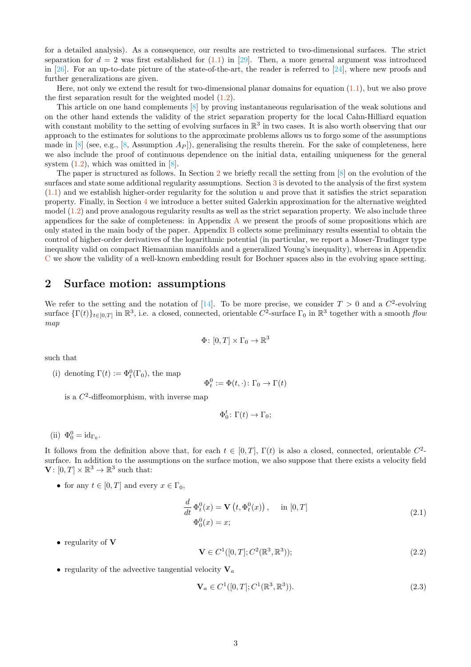for a detailed analysis). As a consequence, our results are restricted to two-dimensional surfaces. The strict separation for  $d = 2$  was first established for  $(1.1)$  in [\[29](#page-33-16)]. Then, a more general argument was introduced in [\[26\]](#page-33-15). For an up-to-date picture of the state-of-the-art, the reader is referred to [\[24\]](#page-33-17), where new proofs and further generalizations are given.

Here, not only we extend the result for two-dimensional planar domains for equation [\(1.1\)](#page-0-1), but we also prove the first separation result for the weighted model [\(1.2\)](#page-0-2).

This article on one hand complements [\[8\]](#page-32-0) by proving instantaneous regularisation of the weak solutions and on the other hand extends the validity of the strict separation property for the local Cahn-Hilliard equation with constant mobility to the setting of evolving surfaces in  $\mathbb{R}^3$  in two cases. It is also worth observing that our approach to the estimates for solutions to the approximate problems allows us to forgo some of the assumptions made in  $[8]$  (see, e.g.,  $[8]$ , Assumption  $A_P$ ), generalising the results therein. For the sake of completeness, here we also include the proof of continuous dependence on the initial data, entailing uniqueness for the general system  $(1.2)$ , which was omitted in  $[8]$ .

The paper is structured as follows. In Section [2](#page-2-0) we briefly recall the setting from [\[8\]](#page-32-0) on the evolution of the surfaces and state some additional regularity assumptions. Section [3](#page-3-0) is devoted to the analysis of the first system  $(1.1)$  and we establish higher-order regularity for the solution u and prove that it satisfies the strict separation property. Finally, in Section [4](#page-15-0) we introduce a better suited Galerkin approximation for the alternative weighted model  $(1.2)$  and prove analogous regularity results as well as the strict separation property. We also include three appendices for the sake of completeness: in [A](#page-27-0)ppendix  $\Lambda$  we present the proofs of some propositions which are only stated in the main body of the paper. Appendix [B](#page-28-0) collects some preliminary results essential to obtain the control of higher-order derivatives of the logarithmic potential (in particular, we report a Moser-Trudinger type inequality valid on compact Riemannian manifolds and a generalized Young's inequality), whereas in Appendix [C](#page-30-0) we show the validity of a well-known embedding result for Bochner spaces also in the evolving space setting.

# <span id="page-2-0"></span>2 Surface motion: assumptions

We refer to the setting and the notation of [\[14\]](#page-33-18). To be more precise, we consider  $T > 0$  and a  $C^2$ -evolving surface  $\{\Gamma(t)\}_{t\in[0,T]}$  in  $\mathbb{R}^3$ , i.e. a closed, connected, orientable  $C^2$ -surface  $\Gamma_0$  in  $\mathbb{R}^3$  together with a smooth flow map

$$
\Phi\colon [0,T]\times\Gamma_0\to\mathbb{R}^3
$$

such that

(i) denoting  $\Gamma(t) := \Phi_t^0(\Gamma_0)$ , the map

$$
\Phi_t^0 := \Phi(t, \cdot) \colon \Gamma_0 \to \Gamma(t)
$$

is a  $C^2$ -diffeomorphism, with inverse map

$$
\Phi_0^t \colon \Gamma(t) \to \Gamma_0;
$$

(ii)  $\Phi_0^0 = id_{\Gamma_0}$ .

It follows from the definition above that, for each  $t \in [0, T]$ ,  $\Gamma(t)$  is also a closed, connected, orientable  $C^2$ surface. In addition to the assumptions on the surface motion, we also suppose that there exists a velocity field  $\mathbf{V}: [0, T] \times \mathbb{R}^3 \to \mathbb{R}^3$  such that:

• for any  $t \in [0, T]$  and every  $x \in \Gamma_0$ ,

$$
\frac{d}{dt}\Phi_t^0(x) = \mathbf{V}\left(t, \Phi_t^0(x)\right), \quad \text{in } [0, T]
$$
\n
$$
\Phi_0^0(x) = x;
$$
\n(2.1)

• regularity of **V** 

<span id="page-2-1"></span>
$$
\mathbf{V} \in C^1([0, T]; C^2(\mathbb{R}^3, \mathbb{R}^3)); \tag{2.2}
$$

• regularity of the advective tangential velocity  $V_a$ 

<span id="page-2-2"></span>
$$
\mathbf{V}_a \in C^1([0, T]; C^1(\mathbb{R}^3, \mathbb{R}^3)).
$$
\n(2.3)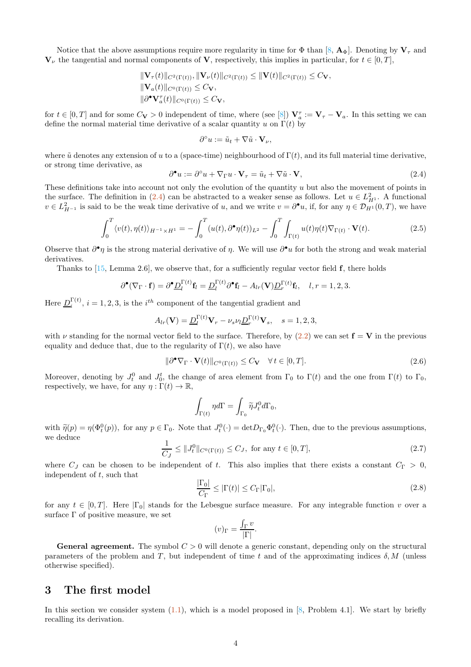Notice that the above assumptions require more regularity in time for  $\Phi$  than  $[8, \mathbf{A}_{\Phi}]$ . Denoting by  $V_{\tau}$  and  $V_{\nu}$  the tangential and normal components of V, respectively, this implies in particular, for  $t \in [0, T]$ ,

$$
\begin{aligned} \|\mathbf{V}_{\tau}(t)\|_{C^2(\Gamma(t))}, \|\mathbf{V}_{\nu}(t)\|_{C^2(\Gamma(t))} \leq \|\mathbf{V}(t)\|_{C^2(\Gamma(t))} \leq C_{\mathbf{V}},\\ \|\mathbf{V}_a(t)\|_{C^0(\Gamma(t))} \leq C_{\mathbf{V}},\\ \|\partial^{\bullet}\mathbf{V}_{a}^{\tau}(t)\|_{C^0(\Gamma(t))} \leq C_{\mathbf{V}}, \end{aligned}
$$

for  $t \in [0,T]$  and for some  $C_{\mathbf{V}} > 0$  independent of time, where (see [\[8](#page-32-0)])  $\mathbf{V}_a^{\tau} := \mathbf{V}_{\tau} - \mathbf{V}_a$ . In this setting we can define the normal material time derivative of a scalar quantity u on  $\Gamma(t)$  by

$$
\partial^{\circ} u := \tilde{u}_t + \nabla \tilde{u} \cdot \mathbf{V}_{\nu},
$$

where  $\tilde{u}$  denotes any extension of u to a (space-time) neighbourhood of  $\Gamma(t)$ , and its full material time derivative, or strong time derivative, as

<span id="page-3-1"></span>
$$
\partial^{\bullet} u := \partial^{\circ} u + \nabla_{\Gamma} u \cdot \mathbf{V}_{\tau} = \tilde{u}_t + \nabla \tilde{u} \cdot \mathbf{V}, \tag{2.4}
$$

These definitions take into account not only the evolution of the quantity u but also the movement of points in the surface. The definition in  $(2.4)$  can be abstracted to a weaker sense as follows. Let  $u \in L^2_{H^1}$ . A functional  $v \in L^2_{H^{-1}}$  is said to be the weak time derivative of u, and we write  $v = \partial^{\bullet} u$ , if, for any  $\eta \in \mathcal{D}_{H^1}(0,T)$ , we have

$$
\int_0^T \langle v(t), \eta(t) \rangle_{H^{-1} \times H^1} = -\int_0^T (u(t), \partial^{\bullet} \eta(t))_{L^2} - \int_0^T \int_{\Gamma(t)} u(t) \eta(t) \nabla_{\Gamma(t)} \cdot \mathbf{V}(t). \tag{2.5}
$$

Observe that  $\partial^{\bullet}\eta$  is the strong material derivative of  $\eta$ . We will use  $\partial^{\bullet}u$  for both the strong and weak material derivatives.

Thanks to [\[15](#page-33-19), Lemma 2.6], we observe that, for a sufficiently regular vector field  $f$ , there holds

$$
\partial^{\bullet}(\nabla_{\Gamma} \cdot \mathbf{f}) = \partial^{\bullet} \underline{D}_{l}^{\Gamma(t)} \mathbf{f}_{l} = \underline{D}_{l}^{\Gamma(t)} \partial^{\bullet} \mathbf{f}_{l} - A_{lr}(\mathbf{V}) \underline{D}_{r}^{\Gamma(t)} \mathbf{f}_{l}, \quad l, r = 1, 2, 3.
$$

Here  $\underline{D}_i^{\Gamma(t)}$ ,  $i = 1, 2, 3$ , is the  $i^{th}$  component of the tangential gradient and

$$
A_{lr}(\mathbf{V}) = \underline{D}_l^{\Gamma(t)} \mathbf{V}_r - \nu_s \nu_l \underline{D}_r^{\Gamma(t)} \mathbf{V}_s, \quad s = 1, 2, 3,
$$

with  $\nu$  standing for the normal vector field to the surface. Therefore, by [\(2.2\)](#page-2-1) we can set  $\mathbf{f} = \mathbf{V}$  in the previous equality and deduce that, due to the regularity of  $\Gamma(t)$ , we also have

<span id="page-3-2"></span>
$$
\|\partial^{\bullet}\nabla_{\Gamma} \cdot \mathbf{V}(t)\|_{C^{0}(\Gamma(t))} \leq C_{\mathbf{V}} \quad \forall \, t \in [0, T]. \tag{2.6}
$$

Moreover, denoting by  $J_t^0$  and  $J_0^t$ , the change of area element from  $\Gamma_0$  to  $\Gamma(t)$  and the one from  $\Gamma(t)$  to  $\Gamma_0$ , respectively, we have, for any  $\eta : \Gamma(t) \to \mathbb{R}$ ,

$$
\int_{\Gamma(t)} \eta d\Gamma = \int_{\Gamma_0} \widetilde{\eta} J_t^0 d\Gamma_0,
$$

with  $\tilde{\eta}(p) = \eta(\Phi_t^0(p))$ , for any  $p \in \Gamma_0$ . Note that  $J_t^0(\cdot) = \det D_{\Gamma_0} \Phi_t^0(\cdot)$ . Then, due to the previous assumptions, we deduce

<span id="page-3-3"></span>
$$
\frac{1}{C_J} \le \|J_t^0\|_{C^0(\Gamma(t))} \le C_J, \text{ for any } t \in [0, T], \tag{2.7}
$$

where  $C_J$  can be chosen to be independent of t. This also implies that there exists a constant  $C_{\Gamma} > 0$ , independent of  $t$ , such that

$$
\frac{|\Gamma_0|}{C_\Gamma} \le |\Gamma(t)| \le C_\Gamma |\Gamma_0|,\tag{2.8}
$$

for any  $t \in [0, T]$ . Here  $|\Gamma_0|$  stands for the Lebesgue surface measure. For any integrable function v over a surface  $\Gamma$  of positive measure, we set

$$
(v)_{\Gamma} = \frac{\int_{\Gamma} v}{|\Gamma|}.
$$

<span id="page-3-0"></span>**General agreement.** The symbol  $C > 0$  will denote a generic constant, depending only on the structural parameters of the problem and T, but independent of time t and of the approximating indices  $\delta$ , M (unless otherwise specified).

# 3 The first model

In this section we consider system  $(1.1)$ , which is a model proposed in [\[8,](#page-32-0) Problem 4.1]. We start by briefly recalling its derivation.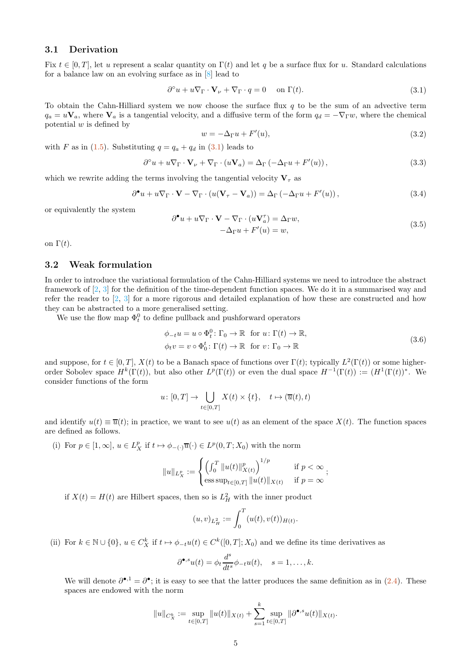## 3.1 Derivation

Fix  $t \in [0, T]$ , let u represent a scalar quantity on  $\Gamma(t)$  and let q be a surface flux for u. Standard calculations for a balance law on an evolving surface as in [\[8](#page-32-0)] lead to

<span id="page-4-0"></span>
$$
\partial^{\circ} u + u \nabla_{\Gamma} \cdot \mathbf{V}_{\nu} + \nabla_{\Gamma} \cdot q = 0 \quad \text{on } \Gamma(t). \tag{3.1}
$$

To obtain the Cahn-Hilliard system we now choose the surface flux  $q$  to be the sum of an advective term  $q_a = u\mathbf{V}_a$ , where  $\mathbf{V}_a$  is a tangential velocity, and a diffusive term of the form  $q_d = -\nabla_{\Gamma} w$ , where the chemical potential  $w$  is defined by

$$
w = -\Delta_{\Gamma} u + F'(u),\tag{3.2}
$$

with F as in [\(1.5\)](#page-1-0). Substituting  $q = q_a + q_d$  in [\(3.1\)](#page-4-0) leads to

$$
\partial^{\circ} u + u \nabla_{\Gamma} \cdot \mathbf{V}_{\nu} + \nabla_{\Gamma} \cdot (u \mathbf{V}_{a}) = \Delta_{\Gamma} \left( -\Delta_{\Gamma} u + F'(u) \right), \tag{3.3}
$$

which we rewrite adding the terms involving the tangential velocity  $V_\tau$  as

$$
\partial^{\bullet} u + u \nabla_{\Gamma} \cdot \mathbf{V} - \nabla_{\Gamma} \cdot (u(\mathbf{V}_{\tau} - \mathbf{V}_{a})) = \Delta_{\Gamma} \left( -\Delta_{\Gamma} u + F'(u) \right),\tag{3.4}
$$

or equivalently the system

$$
\partial^{\bullet} u + u \nabla_{\Gamma} \cdot \mathbf{V} - \nabla_{\Gamma} \cdot (u \mathbf{V}_{a}^{\tau}) = \Delta_{\Gamma} w,
$$
  
-\Delta\_{\Gamma} u + F'(u) = w, (3.5)

<span id="page-4-1"></span>on  $\Gamma(t)$ .

## 3.2 Weak formulation

In order to introduce the variational formulation of the Cahn-Hilliard systems we need to introduce the abstract framework of [\[2](#page-32-6), [3](#page-32-8)] for the definition of the time-dependent function spaces. We do it in a summarised way and refer the reader to [\[2,](#page-32-6) [3\]](#page-32-8) for a more rigorous and detailed explanation of how these are constructed and how they can be abstracted to a more generalised setting.

We use the flow map  $\Phi_t^0$  to define pullback and pushforward operators

$$
\phi_{-t}u = u \circ \Phi_t^0: \Gamma_0 \to \mathbb{R} \text{ for } u \colon \Gamma(t) \to \mathbb{R},
$$
  
\n
$$
\phi_t v = v \circ \Phi_0^t: \Gamma(t) \to \mathbb{R} \text{ for } v \colon \Gamma_0 \to \mathbb{R}
$$
\n(3.6)

and suppose, for  $t \in [0, T]$ ,  $X(t)$  to be a Banach space of functions over  $\Gamma(t)$ ; typically  $L^2(\Gamma(t))$  or some higherorder Sobolev space  $H^k(\Gamma(t))$ , but also other  $L^p(\Gamma(t))$  or even the dual space  $H^{-1}(\Gamma(t)) := (H^1(\Gamma(t))^*$ . We consider functions of the form

$$
u\colon [0,T]\to \bigcup_{t\in [0,T]} X(t)\times \{t\},\quad t\mapsto (\overline{u}(t),t)
$$

and identify  $u(t) \equiv \overline{u}(t)$ ; in practice, we want to see  $u(t)$  as an element of the space  $X(t)$ . The function spaces are defined as follows.

(i) For  $p \in [1, \infty]$ ,  $u \in L_X^p$  if  $t \mapsto \phi_{-(\cdot)}\overline{u}(\cdot) \in L^p(0,T;X_0)$  with the norm

$$
||u||_{L_X^p} := \begin{cases} \left(\int_0^T ||u(t)||_{X(t)}^p\right)^{1/p} & \text{if } p < \infty \\ \text{ess sup}_{t \in [0,T]} ||u(t)||_{X(t)} & \text{if } p = \infty \end{cases};
$$

if  $X(t) = H(t)$  are Hilbert spaces, then so is  $L<sup>2</sup><sub>H</sub>$  with the inner product

$$
(u,v)_{L^2_H} := \int_0^T (u(t),v(t))_{H(t)}.
$$

(ii) For  $k \in \mathbb{N} \cup \{0\}$ ,  $u \in C_X^k$  if  $t \mapsto \phi_{-t}u(t) \in C^k([0,T]; X_0)$  and we define its time derivatives as

$$
\partial^{\bullet,s}u(t)=\phi_t\frac{d^s}{dt^s}\phi_{-t}u(t),\quad s=1,\ldots,k.
$$

We will denote  $\partial^{\bullet,1} = \partial^{\bullet}$ ; it is easy to see that the latter produces the same definition as in  $(2.4)$ . These spaces are endowed with the norm

$$
||u||_{C_X^k} := \sup_{t \in [0,T]} ||u(t)||_{X(t)} + \sum_{s=1}^k \sup_{t \in [0,T]} ||\partial^{\bullet,s} u(t)||_{X(t)}.
$$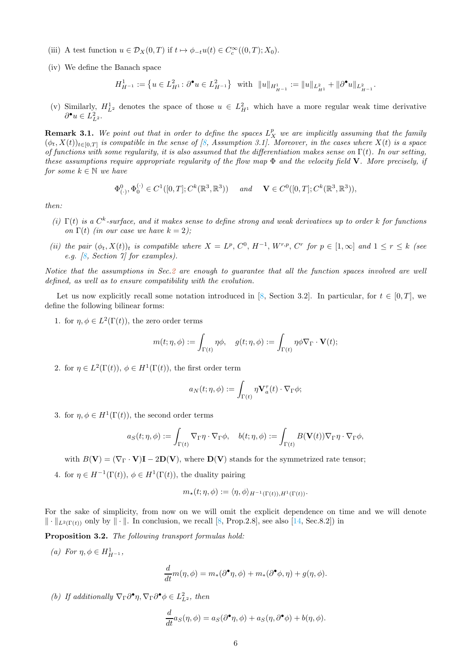- (iii) A test function  $u \in \mathcal{D}_X(0,T)$  if  $t \mapsto \phi_{-t}u(t) \in C_c^{\infty}((0,T); X_0)$ .
- (iv) We define the Banach space

$$
H^1_{H^{-1}}:=\big\{u\in L^2_{H^1}\colon \partial^\bullet u\in L^2_{H^{-1}}\big\}\quad\text{with}\quad \|u\|_{H^1_{H^{-1}}}:=\|u\|_{L^2_{H^1}}+\|\partial^\bullet u\|_{L^2_{H^{-1}}}.
$$

(v) Similarly,  $H_{L^2}^1$  denotes the space of those  $u \in L^2_{H^1}$  which have a more regular weak time derivative  $\partial^{\bullet} u \in L^2_{L^2}.$ 

**Remark 3.1.** We point out that in order to define the spaces  $L_X^p$  we are implicitly assuming that the family  $(\phi_t, X(t))_{t \in [0,T]}$  is compatible in the sense of [\[8,](#page-32-0) Assumption 3.1]. Moreover, in the cases where  $X(t)$  is a space of functions with some regularity, it is also assumed that the differentiation makes sense on  $\Gamma(t)$ . In our setting, these assumptions require appropriate reqularity of the flow map  $\Phi$  and the velocity field **V**. More precisely, if for some  $k \in \mathbb{N}$  we have

$$
\Phi^0_{(\cdot)}, \Phi^{(\cdot)}_0 \in C^1([0,T]; C^k(\mathbb{R}^3, \mathbb{R}^3)) \quad \text{and} \quad \mathbf{V} \in C^0([0,T]; C^k(\mathbb{R}^3, \mathbb{R}^3)),
$$

then:

- (i)  $\Gamma(t)$  is a  $C^k$ -surface, and it makes sense to define strong and weak derivatives up to order k for functions on  $\Gamma(t)$  (in our case we have  $k = 2$ );
- (ii) the pair  $(\phi_t, X(t))_t$  is compatible where  $X = L^p$ ,  $C^0$ ,  $H^{-1}$ ,  $W^{r,p}$ ,  $C^r$  for  $p \in [1,\infty]$  and  $1 \leq r \leq k$  (see e.g. [\[8](#page-32-0), Section 7] for examples).

Notice that the assumptions in Sec[.2](#page-2-0) are enough to guarantee that all the function spaces involved are well defined, as well as to ensure compatibility with the evolution.

Let us now explicitly recall some notation introduced in [\[8](#page-32-0), Section 3.2]. In particular, for  $t \in [0, T]$ , we define the following bilinear forms:

1. for  $\eta, \phi \in L^2(\Gamma(t))$ , the zero order terms

$$
m(t;\eta,\phi):=\int_{\Gamma(t)}\eta\phi,\quad g(t;\eta,\phi):=\int_{\Gamma(t)}\eta\phi\nabla_\Gamma\cdot\mathbf{V}(t);
$$

2. for  $\eta \in L^2(\Gamma(t)), \phi \in H^1(\Gamma(t)),$  the first order term

$$
a_N(t;\eta,\phi):=\int_{\Gamma(t)}\eta\mathbf{V}_a^\tau(t)\cdot\nabla_\Gamma\phi;
$$

3. for  $\eta, \phi \in H^1(\Gamma(t))$ , the second order terms

$$
a_S(t;\eta,\phi):=\int_{\Gamma(t)}\nabla_\Gamma \eta\cdot \nabla_\Gamma \phi,\quad b(t;\eta,\phi):=\int_{\Gamma(t)}B(\mathbf{V}(t))\nabla_\Gamma \eta\cdot \nabla_\Gamma \phi,
$$

with  $B(V) = (\nabla_{\Gamma} \cdot V) \mathbf{I} - 2D(V)$ , where  $D(V)$  stands for the symmetrized rate tensor;

4. for  $\eta \in H^{-1}(\Gamma(t)), \phi \in H^1(\Gamma(t)),$  the duality pairing

$$
m_{\star}(t;\eta,\phi):=\langle\eta,\phi\rangle_{H^{-1}(\Gamma(t)),H^{1}(\Gamma(t))}.
$$

For the sake of simplicity, from now on we will omit the explicit dependence on time and we will denote  $\|\cdot\|_{L^2(\Gamma(t))}$  only by  $\|\cdot\|$ . In conclusion, we recall [\[8,](#page-32-0) Prop.2.8], see also [\[14,](#page-33-18) Sec.8.2]) in

<span id="page-5-0"></span>Proposition 3.2. The following transport formulas hold:

(a) For  $\eta, \phi \in H^1_{H^{-1}}$ ,

$$
\frac{d}{dt}m(\eta,\phi) = m_*(\partial^{\bullet}\eta,\phi) + m_*(\partial^{\bullet}\phi,\eta) + g(\eta,\phi).
$$

(b) If additionally  $\nabla_{\Gamma} \partial^{\bullet} \eta$ ,  $\nabla_{\Gamma} \partial^{\bullet} \phi \in L^2_{L^2}$ , then

$$
\frac{d}{dt}a_S(\eta,\phi) = a_S(\partial^{\bullet}\eta,\phi) + a_S(\eta,\partial^{\bullet}\phi) + b(\eta,\phi).
$$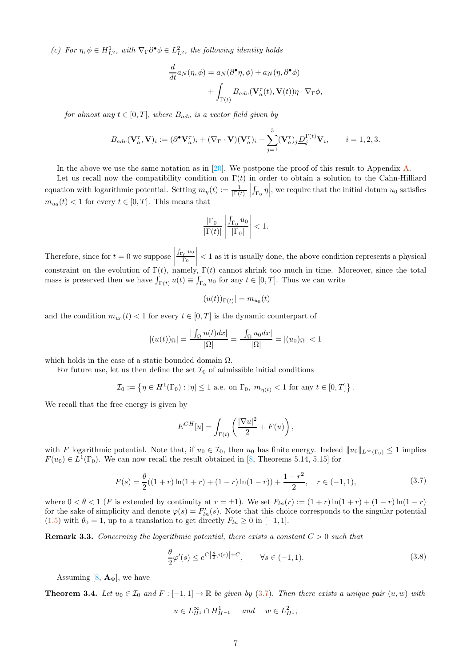(c) For  $\eta, \phi \in H^1_{L^2}$ , with  $\nabla_{\Gamma} \partial^{\bullet} \phi \in L^2_{L^2}$ , the following identity holds

$$
\frac{d}{dt}a_N(\eta,\phi) = a_N(\partial^{\bullet}\eta,\phi) + a_N(\eta,\partial^{\bullet}\phi) + \int_{\Gamma(t)} B_{adv}(\mathbf{V}_a^{\tau}(t), \mathbf{V}(t))\eta \cdot \nabla_{\Gamma}\phi,
$$

for almost any  $t \in [0, T]$ , where  $B_{adv}$  is a vector field given by

$$
B_{adv}(\mathbf{V}_a^{\tau}, \mathbf{V})_i := (\partial^{\bullet} \mathbf{V}_a^{\tau})_i + (\nabla_{\Gamma} \cdot \mathbf{V})(\mathbf{V}_a^{\tau})_i - \sum_{j=1}^3 (\mathbf{V}_a^{\tau})_j \underline{D}_j^{\Gamma(t)} \mathbf{V}_i, \qquad i = 1, 2, 3.
$$

In the above we use the same notation as in [\[20\]](#page-33-14). We postpone the proof of this result to Appendix [A.](#page-27-0)

Let us recall now the compatibility condition on  $\Gamma(t)$  in order to obtain a solution to the Cahn-Hilliard equation with logarithmic potential. Setting  $m_{\eta}(t) := \frac{1}{|\Gamma(t)|}$   $\int_{\Gamma_0} \eta \Big|$ , we require that the initial datum  $u_0$  satisfies  $m_{u_0}(t) < 1$  for every  $t \in [0, T]$ . This means that

$$
\frac{|\Gamma_0|}{|\Gamma(t)|} \left| \frac{\int_{\Gamma_0} u_0}{|\Gamma_0|} \right| < 1.
$$

Therefore, since for  $t = 0$  we suppose  $\int_{\Gamma_0} u_0$  $|\Gamma_0|$   $<$  1 as it is usually done, the above condition represents a physical constraint on the evolution of  $\Gamma(t)$ , namely,  $\Gamma(t)$  cannot shrink too much in time. Moreover, since the total mass is preserved then we have  $\int_{\Gamma(t)} u(t) \equiv \int_{\Gamma_0} u_0$  for any  $t \in [0, T]$ . Thus we can write

$$
|(u(t))_{\Gamma(t)}| = m_{u_0}(t)
$$

and the condition  $m_{u_0}(t) < 1$  for every  $t \in [0, T]$  is the dynamic counterpart of

$$
|(u(t))_{\Omega}| = \frac{|\int_{\Omega} u(t)dx|}{|\Omega|} = \frac{|\int_{\Omega} u_0dx|}{|\Omega|} = |(u_0)_{\Omega}| < 1
$$

which holds in the case of a static bounded domain  $\Omega$ .

For future use, let us then define the set  $\mathcal{I}_0$  of admissible initial conditions

 $\mathcal{I}_0 := \left\{ \eta \in H^1(\Gamma_0) : |\eta| \leq 1 \text{ a.e. on } \Gamma_0, m_{\eta(t)} < 1 \text{ for any } t \in [0, T] \right\}.$ 

We recall that the free energy is given by

$$
E^{CH}[u] = \int_{\Gamma(t)} \left( \frac{|\nabla u|^2}{2} + F(u) \right),\,
$$

with F logarithmic potential. Note that, if  $u_0 \in \mathcal{I}_0$ , then  $u_0$  has finite energy. Indeed  $||u_0||_{L^{\infty}(\Gamma_0)} \leq 1$  implies  $F(u_0) \in L^1(\Gamma_0)$ . We can now recall the result obtained in [\[8,](#page-32-0) Theorems 5.14, 5.15] for

<span id="page-6-0"></span>
$$
F(s) = \frac{\theta}{2}((1+r)\ln(1+r) + (1-r)\ln(1-r)) + \frac{1-r^2}{2}, \quad r \in (-1,1),
$$
\n(3.7)

where  $0 < \theta < 1$  (F is extended by continuity at  $r = \pm 1$ ). We set  $F_{ln}(r) := (1 + r) \ln(1 + r) + (1 - r) \ln(1 - r)$ for the sake of simplicity and denote  $\varphi(s) = F'_{ln}(s)$ . Note that this choice corresponds to the singular potential [\(1.5\)](#page-1-0) with  $\theta_0 = 1$ , up to a translation to get directly  $F_{ln} \ge 0$  in [-1, 1].

**Remark 3.3.** Concerning the logarithmic potential, there exists a constant  $C > 0$  such that

<span id="page-6-2"></span>
$$
\frac{\theta}{2}\varphi'(s) \le e^{C\left|\frac{\theta}{2}\varphi(s)\right|+C}, \qquad \forall s \in (-1,1). \tag{3.8}
$$

Assuming [\[8](#page-32-0),  $\mathbf{A}_{\Phi}$ ], we have

<span id="page-6-1"></span>**Theorem 3.4.** Let  $u_0 \in \mathcal{I}_0$  and  $F : [-1,1] \to \mathbb{R}$  be given by [\(3.7\)](#page-6-0). Then there exists a unique pair  $(u, w)$  with

$$
u \in L_{H^1}^{\infty} \cap H_{H^{-1}}^1 \quad \text{and} \quad w \in L_{H^1}^2,
$$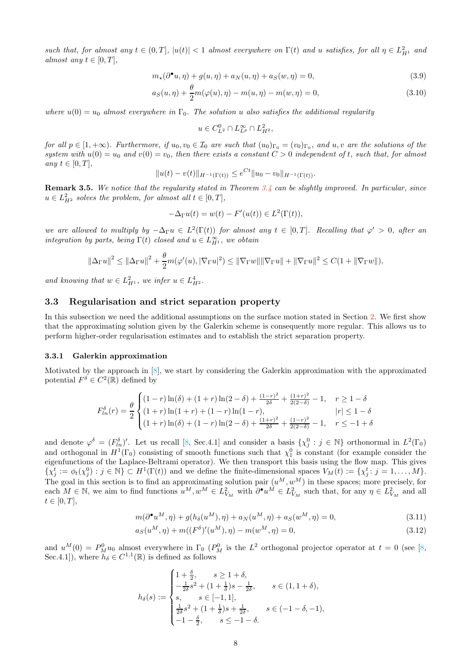such that, for almost any  $t \in (0,T]$ ,  $|u(t)| < 1$  almost everywhere on  $\Gamma(t)$  and u satisfies, for all  $\eta \in L^2_{H^1}$  and almost any  $t \in [0, T]$ ,

$$
m_{\star}(\partial^{\bullet} u, \eta) + g(u, \eta) + a_{N}(u, \eta) + a_{S}(w, \eta) = 0,
$$
\n(3.9)

$$
a_S(u, \eta) + \frac{\theta}{2}m(\varphi(u), \eta) - m(u, \eta) - m(w, \eta) = 0,
$$
\n(3.10)

where  $u(0) = u_0$  almost everywhere in  $\Gamma_0$ . The solution u also satisfies the additional regularity

<span id="page-7-2"></span>
$$
u \in C_{L^2}^0 \cap L_{L^p}^{\infty} \cap L_{H^2}^2,
$$

for all  $p \in [1, +\infty)$ . Furthermore, if  $u_0, v_0 \in \mathcal{I}_0$  are such that  $(u_0)_{\Gamma_0} = (v_0)_{\Gamma_0}$ , and  $u, v$  are the solutions of the system with  $u(0) = u_0$  and  $v(0) = v_0$ , then there exists a constant  $C > 0$  independent of t, such that, for almost any  $t \in [0, T]$ ,

$$
||u(t) - v(t)||_{H^{-1}(\Gamma(t))} \le e^{Ct} ||u_0 - v_0||_{H^{-1}(\Gamma(t))}.
$$

<span id="page-7-3"></span>Remark 3.5. We notice that the regularity stated in Theorem [3.4](#page-6-1) can be slightly improved. In particular, since  $u \in L^2_{H^2}$  solves the problem, for almost all  $t \in [0, T]$ ,

$$
-\Delta_{\Gamma}u(t) = w(t) - F'(u(t)) \in L^2(\Gamma(t)),
$$

we are allowed to multiply by  $-\Delta_{\Gamma} u \in L^2(\Gamma(t))$  for almost any  $t \in [0,T]$ . Recalling that  $\varphi' > 0$ , after an integration by parts, being  $\Gamma(t)$  closed and  $u \in L^{\infty}_{H^1}$ , we obtain

$$
\left\|\Delta_{\Gamma} u\right\|^2 \le \left\|\Delta_{\Gamma} u\right\|^2 + \frac{\theta}{2}m(\varphi'(u), |\nabla_{\Gamma} u|^2) \le \left\|\nabla_{\Gamma} w\right\| \left\|\nabla_{\Gamma} u\right\| + \left\|\nabla_{\Gamma} u\right\|^2 \le C(1 + \left\|\nabla_{\Gamma} w\right\|),
$$

and knowing that  $w \in L^2_{H^1}$ , we infer  $u \in L^4_{H^2}$ .

## 3.3 Regularisation and strict separation property

In this subsection we need the additional assumptions on the surface motion stated in Section [2.](#page-2-0) We first show that the approximating solution given by the Galerkin scheme is consequently more regular. This allows us to perform higher-order regularisation estimates and to establish the strict separation property.

#### 3.3.1 Galerkin approximation

Motivated by the approach in [\[8\]](#page-32-0), we start by considering the Galerkin approximation with the approximated potential  $F^{\delta} \in C^2(\mathbb{R})$  defined by

$$
F_{ln}^{\delta}(r) = \frac{\theta}{2} \begin{cases} (1-r)\ln(\delta) + (1+r)\ln(2-\delta) + \frac{(1-r)^2}{2\delta} + \frac{(1+r)^2}{2(2-\delta)} - 1, & r \ge 1 - \delta \\ (1+r)\ln(1+r) + (1-r)\ln(1-r), & |r| \le 1 - \delta \\ (1+r)\ln(\delta) + (1-r)\ln(2-\delta) + \frac{(1+r)^2}{2\delta} + \frac{(1-r)^2}{2(2-\delta)} - 1, & r \le -1 + \delta \end{cases}
$$

and denote  $\varphi^{\delta} = (F_{ln}^{\delta})'$ . Let us recall [\[8](#page-32-0), Sec.4.1] and consider a basis  $\{\chi_j^0 : j \in \mathbb{N}\}\$  orthonormal in  $L^2(\Gamma_0)$ and orthogonal in  $H^1(\Gamma_0)$  consisting of smooth functions such that  $\chi_1^0$  is constant (for example consider the eigenfunctions of the Laplace-Beltrami operator). We then transport this basis using the flow map. This gives  $\{\chi_j^t := \phi_t(\chi_j^0) : j \in \mathbb{N}\} \subset H^1(\Gamma(t))$  and we define the finite-dimensional spaces  $V_M(t) := \{\chi_j^t : j = 1, ..., M\}.$ The goal in this section is to find an approximating solution pair  $(u^M, w^M)$  in these spaces; more precisely, for each  $M \in \mathbb{N}$ , we aim to find functions  $u^M, w^M \in L^2_{V_M}$  with  $\partial^{\bullet} u^M \in L^2_{V_M}$  such that, for any  $\eta \in L^2_{V_M}$  and all  $t \in [0, T],$ 

<span id="page-7-1"></span><span id="page-7-0"></span>
$$
m(\partial^{\bullet}u^{M}, \eta) + g(h_{\delta}(u^{M}), \eta) + a_{N}(u^{M}, \eta) + a_{S}(w^{M}, \eta) = 0, \qquad (3.11)
$$

$$
a_S(u^M, \eta) + m((F^{\delta})'(u^M), \eta) - m(w^M, \eta) = 0,
$$
\n(3.12)

and  $u^M(0) = P_M^0 u_0$  almost everywhere in  $\Gamma_0$  ( $P_M^0$  is the  $L^2$  orthogonal projector operator at  $t = 0$  (see [\[8,](#page-32-0) Sec.4.1]), where  $h_{\delta} \in C^{1,1}(\mathbb{R})$  is defined as follows

$$
h_{\delta}(s):=\begin{cases} 1+\frac{\delta}{2}, & s\geq 1+\delta,\\ -\frac{1}{2\delta}s^2+(1+\frac{1}{\delta})s-\frac{1}{2\delta}, & s\in(1,1+\delta),\\ s, & s\in[-1,1],\\ \frac{1}{2\delta}s^2+(1+\frac{1}{\delta})s+\frac{1}{2\delta}, & s\in(-1-\delta,-1),\\ -1-\frac{\delta}{2}, & s\leq-1-\delta. \end{cases}
$$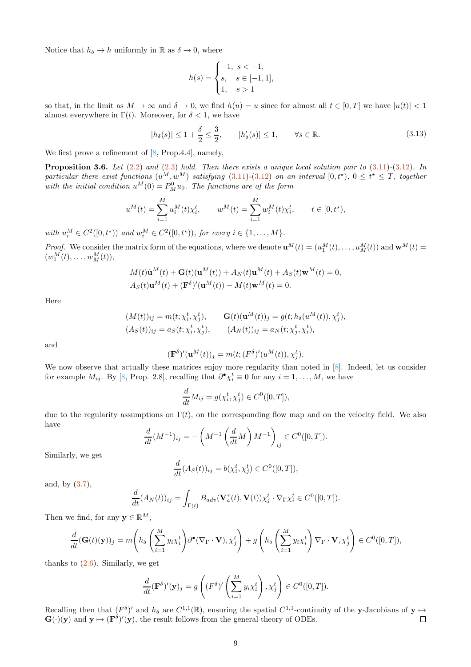Notice that  $h_{\delta} \to h$  uniformly in R as  $\delta \to 0$ , where

$$
h(s) = \begin{cases} -1, & s < -1, \\ s, & s \in [-1, 1], \\ 1, & s > 1 \end{cases}
$$

so that, in the limit as  $M \to \infty$  and  $\delta \to 0$ , we find  $h(u) = u$  since for almost all  $t \in [0, T]$  we have  $|u(t)| < 1$ almost everywhere in  $\Gamma(t)$ . Moreover, for  $\delta < 1$ , we have

<span id="page-8-1"></span>
$$
|h_{\delta}(s)| \le 1 + \frac{\delta}{2} \le \frac{3}{2}, \qquad |h'_{\delta}(s)| \le 1, \qquad \forall s \in \mathbb{R}.
$$

We first prove a refinement of  $[8, Prop.4.4]$ , namely,

<span id="page-8-0"></span>**Proposition 3.6.** Let  $(2.2)$  and  $(2.3)$  hold. Then there exists a unique local solution pair to  $(3.11)-(3.12)$  $(3.11)-(3.12)$  $(3.11)-(3.12)$ . In particular there exist functions  $(u^M, w^M)$  satisfying  $(3.11)-(3.12)$  $(3.11)-(3.12)$  $(3.11)-(3.12)$  on an interval  $[0, t^*)$ ,  $0 \le t^* \le T$ , together with the initial condition  $u^M(0) = P_M^0 u_0$ . The functions are of the form

$$
u^M(t) = \sum_{i=1}^M u_i^M(t) \chi_i^t, \qquad w^M(t) = \sum_{i=1}^M w_i^M(t) \chi_i^t, \qquad t \in [0, t^*),
$$

with  $u_i^M \in C^2([0,t^*) )$  and  $w_i^M \in C^2([0,t^*) )$ , for every  $i \in \{1,\ldots,M\}$ .

*Proof.* We consider the matrix form of the equations, where we denote  $\mathbf{u}^{M}(t) = (u_1^{M}(t), \ldots, u_M^{M}(t))$  and  $\mathbf{w}^{M}(t) =$  $(w_1^M(t), \ldots, w_M^M(t)),$ 

$$
M(t)\dot{\mathbf{u}}^{M}(t) + \mathbf{G}(t)(\mathbf{u}^{M}(t)) + A_{N}(t)\mathbf{u}^{M}(t) + A_{S}(t)\mathbf{w}^{M}(t) = 0,
$$
  
\n
$$
A_{S}(t)\mathbf{u}^{M}(t) + (\mathbf{F}^{\delta})'(\mathbf{u}^{M}(t)) - M(t)\mathbf{w}^{M}(t) = 0.
$$

Here

$$
(M(t))_{ij} = m(t; \chi_i^t, \chi_j^t), \qquad \mathbf{G}(t)(\mathbf{u}^M(t))_j = g(t; h_\delta(u^M(t)), \chi_j^t), (A_S(t))_{ij} = a_S(t; \chi_i^t, \chi_j^t), \qquad (A_N(t))_{ij} = a_N(t; \chi_j^t, \chi_i^t),
$$

and

$$
(\mathbf{F}^{\delta})'(\mathbf{u}^M(t))_j = m(t; (F^{\delta})'(u^M(t)), \chi_j^t).
$$

We now observe that actually these matrices enjoy more regularity than noted in  $[8]$ . Indeed, let us consider for example  $M_{ij}$ . By [\[8](#page-32-0), Prop. 2.8], recalling that  $\partial^{\bullet}\chi_i^t \equiv 0$  for any  $i = 1, ..., M$ , we have

$$
\frac{d}{dt}M_{ij} = g(\chi_i^t, \chi_j^t) \in C^0([0, T]),
$$

due to the regularity assumptions on  $\Gamma(t)$ , on the corresponding flow map and on the velocity field. We also have

$$
\frac{d}{dt}(M^{-1})_{ij} = -\left(M^{-1}\left(\frac{d}{dt}M\right)M^{-1}\right)_{ij} \in C^0([0,T]).
$$

Similarly, we get

$$
\frac{d}{dt}(A_S(t))_{ij} = b(\chi_i^t, \chi_j^t) \in C^0([0, T]),
$$

and, by [\(3.7\)](#page-6-0),

$$
\frac{d}{dt}(A_N(t))_{ij} = \int_{\Gamma(t)} B_{adv}(\mathbf{V}_a^{\tau}(t), \mathbf{V}(t)) \chi_j^t \cdot \nabla_{\Gamma} \chi_i^t \in C^0([0, T]).
$$

Then we find, for any  $\mathbf{v} \in \mathbb{R}^M$ ,

$$
\frac{d}{dt}(\mathbf{G}(t)(\mathbf{y}))_j = m\left(h_\delta\left(\sum_{i=1}^M y_i \chi_i^t\right) \partial^\bullet(\nabla_\Gamma \cdot \mathbf{V}), \chi_j^t\right) + g\left(h_\delta\left(\sum_{i=1}^M y_i \chi_i^t\right) \nabla_\Gamma \cdot \mathbf{V}, \chi_j^t\right) \in C^0([0, T]),
$$

thanks to  $(2.6)$ . Similarly, we get

$$
\frac{d}{dt} (\mathbf{F}^{\delta})'(\mathbf{y})_j = g\left( (F^{\delta})' \left( \sum_{i=1}^M y_i \chi_i^t \right), \chi_j^t \right) \in C^0([0, T]).
$$

Recalling then that  $(F^{\delta})'$  and  $h_{\delta}$  are  $C^{1,1}(\mathbb{R})$ , ensuring the spatial  $C^{1,1}$ -continuity of the y-Jacobians of y  $\mapsto$  $G(\cdot)(y)$  and  $y \mapsto (F^{\delta})'(y)$ , the result follows from the general theory of ODEs.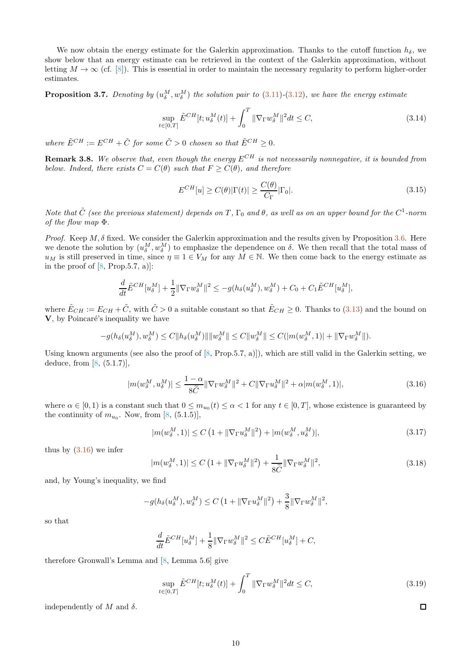We now obtain the energy estimate for the Galerkin approximation. Thanks to the cutoff function  $h_{\delta}$ , we show below that an energy estimate can be retrieved in the context of the Galerkin approximation, without letting  $M \to \infty$  (cf. [\[8\]](#page-32-0)). This is essential in order to maintain the necessary regularity to perform higher-order estimates.

<span id="page-9-1"></span>**Proposition 3.7.** Denoting by  $(u_{\delta}^M, w_{\delta}^M)$  the solution pair to  $(3.11)-(3.12)$  $(3.11)-(3.12)$  $(3.11)-(3.12)$ , we have the energy estimate

$$
\sup_{t\in[0,T]}\tilde{E}^{CH}[t;u_{\delta}^M(t)] + \int_0^T \|\nabla_{\Gamma}w_{\delta}^M\|^2 dt \le C,
$$
\n(3.14)

where  $\tilde{E}^{CH} := E^{CH} + \tilde{C}$  for some  $\tilde{C} > 0$  chosen so that  $\tilde{E}^{CH} \geq 0$ .

**Remark 3.8.** We observe that, even though the energy  $E^{CH}$  is not necessarily nonnegative, it is bounded from below. Indeed, there exists  $C = C(\theta)$  such that  $F \geq C(\theta)$ , and therefore

$$
E^{CH}[u] \ge C(\theta)|\Gamma(t)| \ge \frac{C(\theta)}{C_{\Gamma}}|\Gamma_0|.\tag{3.15}
$$

Note that  $\tilde{C}$  (see the previous statement) depends on T,  $\Gamma_0$  and  $\theta$ , as well as on an upper bound for the  $C^1$ -norm of the flow map Φ.

Proof. Keep  $M, \delta$  fixed. We consider the Galerkin approximation and the results given by Proposition [3.6.](#page-8-0) Here we denote the solution by  $(u_{\delta}^M, w_{\delta}^M)$  to emphasize the dependence on  $\delta$ . We then recall that the total mass of  $u_M$  is still preserved in time, since  $\eta \equiv 1 \in V_M$  for any  $M \in \mathbb{N}$ . We then come back to the energy estimate as in the proof of  $[8, Prop.5.7, a]$ :

$$
\frac{d}{dt}\tilde{E}^{CH}[u_{\delta}^M] + \frac{1}{2} \|\nabla_{\Gamma}w_{\delta}^M\|^2 \le -g(h_{\delta}(u_{\delta}^M), w_{\delta}^M) + C_0 + C_1 \tilde{E}^{CH}[u_{\delta}^M],
$$

where  $\tilde{E}_{CH} := E_{CH} + \tilde{C}$ , with  $\tilde{C} > 0$  a suitable constant so that  $\tilde{E}_{CH} \ge 0$ . Thanks to [\(3.13\)](#page-8-1) and the bound on  $V$ , by Poincaré's inequality we have

$$
-g(h_{\delta}(u_{\delta}^M), w_{\delta}^M) \le C \|h_{\delta}(u_{\delta}^M)\| \|w_{\delta}^M\| \le C \|w_{\delta}^M\| \le C(|m(w_{\delta}^M, 1)| + \|\nabla_{\Gamma} w_{\delta}^M\|).
$$

Using known arguments (see also the proof of [\[8](#page-32-0), Prop.5.7, a)]), which are still valid in the Galerkin setting, we deduce, from  $[8, (5.1.7)],$ 

<span id="page-9-0"></span>
$$
|m(w_\delta^M, u_\delta^M)| \le \frac{1-\alpha}{8\widetilde{C}} \|\nabla_{\Gamma}w_\delta^M\|^2 + C\|\nabla_{\Gamma}u_\delta^M\|^2 + \alpha|m(w_\delta^M, 1)|, \tag{3.16}
$$

where  $\alpha \in [0, 1)$  is a constant such that  $0 \leq m_{u_0}(t) \leq \alpha < 1$  for any  $t \in [0, T]$ , whose existence is guaranteed by the continuity of  $m_{u_0}$ . Now, from [\[8](#page-32-0), (5.1.5)],

$$
|m(w_{\delta}^M, 1)| \le C \left(1 + \|\nabla_{\Gamma} u_{\delta}^M\|^2\right) + |m(w_{\delta}^M, u_{\delta}^M)|,\tag{3.17}
$$

thus by [\(3.16\)](#page-9-0) we infer

$$
|m(w_\delta^M, 1)| \le C \left(1 + \|\nabla_{\Gamma} u_\delta^M\|^2\right) + \frac{1}{8\widetilde{C}} \|\nabla_{\Gamma} w_\delta^M\|^2, \tag{3.18}
$$

and, by Young's inequality, we find

$$
-g(h_{\delta}(u_{\delta}^M), w_{\delta}^M) \le C\left(1 + \|\nabla_{\Gamma} u_{\delta}^M\|^2\right) + \frac{3}{8}\|\nabla_{\Gamma} w_{\delta}^M\|^2,
$$

so that

$$
\frac{d}{dt}\tilde{E}^{CH}[u_{\delta}^M] + \frac{1}{8} \|\nabla_{\Gamma}w_{\delta}^M\|^2 \leq C\tilde{E}^{CH}[u_{\delta}^M] + C,
$$

therefore Gronwall's Lemma and [\[8,](#page-32-0) Lemma 5.6] give

<span id="page-9-2"></span>
$$
\sup_{t \in [0,T]} \tilde{E}^{CH}[t; u_{\delta}^M(t)] + \int_0^T \|\nabla_{\Gamma} w_{\delta}^M\|^2 dt \le C, \tag{3.19}
$$

independently of M and  $\delta$ .

 $\Box$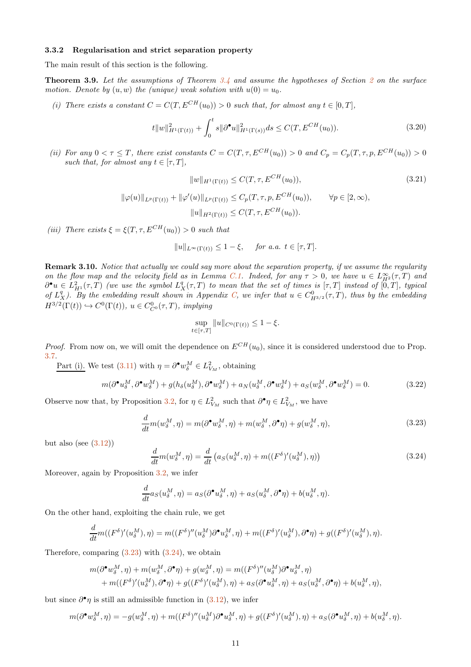#### 3.3.2 Regularisation and strict separation property

The main result of this section is the following.

<span id="page-10-6"></span>Theorem 3.9. Let the assumptions of Theorem [3.4](#page-6-1) and assume the hypotheses of Section [2](#page-2-0) on the surface motion. Denote by  $(u, w)$  the (unique) weak solution with  $u(0) = u_0$ .

(i) There exists a constant  $C = C(T, E^{CH}(u_0)) > 0$  such that, for almost any  $t \in [0, T]$ ,

<span id="page-10-3"></span>
$$
t||w||_{H^{1}(\Gamma(t))}^{2} + \int_{0}^{t} s||\partial^{\bullet}u||_{H^{1}(\Gamma(s))}^{2} ds \le C(T, E^{CH}(u_{0})).
$$
\n(3.20)

(ii) For any  $0 < \tau \leq T$ , there exist constants  $C = C(T, \tau, E^{CH}(u_0)) > 0$  and  $C_p = C_p(T, \tau, p, E^{CH}(u_0)) > 0$ such that, for almost any  $t \in [\tau, T]$ ,

$$
||w||_{H^1(\Gamma(t))} \le C(T, \tau, E^{CH}(u_0)),
$$
\n
$$
||\varphi(u)||_{L^p(\Gamma(t))} + ||\varphi'(u)||_{L^p(\Gamma(t))} \le C_p(T, \tau, p, E^{CH}(u_0)), \qquad \forall p \in [2, \infty),
$$
\n(3.21)

<span id="page-10-4"></span>
$$
||u||_{H^2(\Gamma(t))} \leq C(T, \tau, E^{CH}(u_0)).
$$

(iii) There exists  $\xi = \xi(T, \tau, E^{CH}(u_0)) > 0$  such that

$$
||u||_{L^{\infty}(\Gamma(t))} \leq 1 - \xi, \quad \text{for a.a. } t \in [\tau, T].
$$

<span id="page-10-5"></span>Remark 3.10. Notice that actually we could say more about the separation property, if we assume the regularity on the flow map and the velocity field as in Lemma [C.1.](#page-30-1) Indeed, for any  $\tau > 0$ , we have  $u \in L^{\infty}_{H^2}(\tau, T)$  and  $\partial^{\bullet} u \in L^2_{H^1}(\tau,T)$  (we use the symbol  $L^q_X(\tau,T)$  to mean that the set of times is  $[\tau,T]$  instead of  $[0,T]$ , typical of  $L_X^q$ ). By the embedding result shown in Appendix [C,](#page-30-0) we infer that  $u \in C_{H^{3/2}}^0(\tau, T)$ , thus by the embedding  $H^{3/2}(\Gamma(t)) \hookrightarrow C^0(\Gamma(t)), u \in C^0_{C^0}(\tau, T),$  implying

$$
\sup_{t \in [\tau, T]} \|u\|_{C^0(\Gamma(t))} \le 1 - \xi.
$$

*Proof.* From now on, we will omit the dependence on  $E^{CH}(u_0)$ , since it is considered understood due to Prop. [3.7.](#page-9-1)

Part (i). We test [\(3.11\)](#page-7-0) with  $\eta = \partial^{\bullet} w_{\delta}^{M} \in L^{2}_{V_{M}}$ , obtaining

<span id="page-10-2"></span>
$$
m(\partial^{\bullet} u_{\delta}^M, \partial^{\bullet} w_{\delta}^M) + g(h_{\delta}(u_{\delta}^M), \partial^{\bullet} w_{\delta}^M) + a_N(u_{\delta}^M, \partial^{\bullet} w_{\delta}^M) + a_S(w_{\delta}^M, \partial^{\bullet} w_{\delta}^M) = 0. \tag{3.22}
$$

Observe now that, by Proposition [3.2,](#page-5-0) for  $\eta \in L^2_{V_M}$  such that  $\partial^{\bullet} \eta \in L^2_{V_M}$ , we have

<span id="page-10-0"></span>
$$
\frac{d}{dt}m(w_{\delta}^M,\eta) = m(\partial^{\bullet}w_{\delta}^M,\eta) + m(w_{\delta}^M,\partial^{\bullet}\eta) + g(w_{\delta}^M,\eta),\tag{3.23}
$$

but also (see  $(3.12)$ )

<span id="page-10-1"></span>
$$
\frac{d}{dt}m(w_\delta^M,\eta) = \frac{d}{dt}\left(a_S(u_\delta^M,\eta) + m((F^\delta)'(u_\delta^M),\eta)\right) \tag{3.24}
$$

Moreover, again by Proposition [3.2,](#page-5-0) we infer

$$
\frac{d}{dt}a_S(u_\delta^M,\eta) = a_S(\partial^\bullet u_\delta^M,\eta) + a_S(u_\delta^M,\partial^\bullet \eta) + b(u_\delta^M,\eta).
$$

On the other hand, exploiting the chain rule, we get

$$
\frac{d}{dt}m((F^{\delta})'(u_{\delta}^M),\eta) = m((F^{\delta})''(u_{\delta}^M)\partial^{\bullet}u_{\delta}^M,\eta) + m((F^{\delta})'(u_{\delta}^M),\partial^{\bullet}\eta) + g((F^{\delta})'(u_{\delta}^M),\eta).
$$

Therefore, comparing  $(3.23)$  with  $(3.24)$ , we obtain

$$
m(\partial^{\bullet} w_{\delta}^M, \eta) + m(w_{\delta}^M, \partial^{\bullet} \eta) + g(w_{\delta}^M, \eta) = m((F^{\delta})''(u_{\delta}^M)\partial^{\bullet} u_{\delta}^M, \eta)
$$
  
+ 
$$
m((F^{\delta})'(u_{\delta}^M), \partial^{\bullet} \eta) + g((F^{\delta})'(u_{\delta}^M), \eta) + a_S(\partial^{\bullet} u_{\delta}^M, \eta) + a_S(u_{\delta}^M, \partial^{\bullet} \eta) + b(u_{\delta}^M, \eta),
$$

but since  $\partial^{\bullet} \eta$  is still an admissible function in  $(3.12)$ , we infer

$$
m(\partial^{\bullet} w_{\delta}^M, \eta) = -g(w_{\delta}^M, \eta) + m((F^{\delta})''(u_{\delta}^M)\partial^{\bullet} u_{\delta}^M, \eta) + g((F^{\delta})'(u_{\delta}^M), \eta) + a_S(\partial^{\bullet} u_{\delta}^M, \eta) + b(u_{\delta}^M, \eta).
$$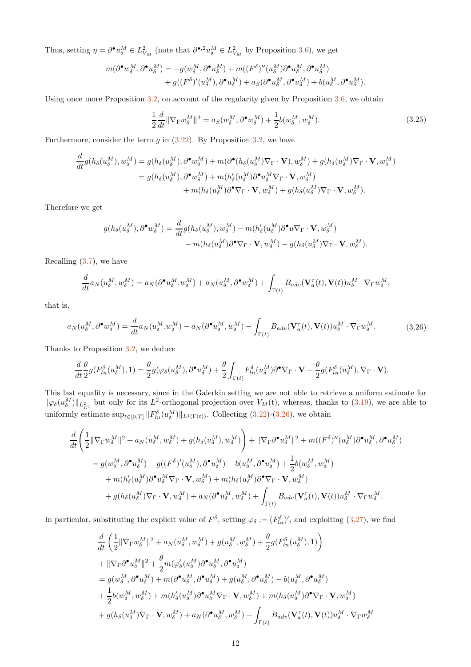Thus, setting  $\eta = \partial^{\bullet} u_{\delta}^M \in L^2_{V_M}$  (note that  $\partial^{\bullet,2} u_{\delta}^M \in L^2_{V_M}$  by Proposition [3.6\)](#page-8-0), we get

$$
\begin{aligned} m(\partial^\bullet w_\delta^M,\partial^\bullet u_\delta^M) &= -g(w_\delta^M,\partial^\bullet u_\delta^M) + m((F^\delta)''(u_\delta^M)\partial^\bullet u_\delta^M,\partial^\bullet u_\delta^M) \\ &\qquad\qquad + g((F^\delta)'(u_\delta^M),\partial^\bullet u_\delta^M) + a_S(\partial^\bullet u_\delta^M,\partial^\bullet u_\delta^M) + b(u_\delta^M,\partial^\bullet u_\delta^M). \end{aligned}
$$

Using once more Proposition [3.2,](#page-5-0) on account of the regularity given by Proposition [3.6,](#page-8-0) we obtain

$$
\frac{1}{2}\frac{d}{dt}\|\nabla_{\Gamma}w_{\delta}^M\|^2 = a_S(w_{\delta}^M, \partial^{\bullet}w_{\delta}^M) + \frac{1}{2}b(w_{\delta}^M, w_{\delta}^M). \tag{3.25}
$$

Furthermore, consider the term  $g$  in  $(3.22)$ . By Proposition [3.2,](#page-5-0) we have

$$
\frac{d}{dt}g(h_{\delta}(u_{\delta}^{M}), w_{\delta}^{M}) = g(h_{\delta}(u_{\delta}^{M}), \partial^{\bullet} w_{\delta}^{M}) + m(\partial^{\bullet}(h_{\delta}(u_{\delta}^{M})\nabla_{\Gamma} \cdot \mathbf{V}), w_{\delta}^{M}) + g(h_{\delta}(u_{\delta}^{M})\nabla_{\Gamma} \cdot \mathbf{V}, w_{\delta}^{M})
$$
\n
$$
= g(h_{\delta}(u_{\delta}^{M}), \partial^{\bullet} w_{\delta}^{M}) + m(h_{\delta}'(u_{\delta}^{M})\partial^{\bullet} u_{\delta}^{M} \nabla_{\Gamma} \cdot \mathbf{V}, w_{\delta}^{M})
$$
\n
$$
+ m(h_{\delta}(u_{\delta}^{M})\partial^{\bullet} \nabla_{\Gamma} \cdot \mathbf{V}, w_{\delta}^{M}) + g(h_{\delta}(u_{\delta}^{M})\nabla_{\Gamma} \cdot \mathbf{V}, w_{\delta}^{M}).
$$

Therefore we get

$$
g(h_{\delta}(u_{\delta}^M),\partial^{\bullet}w_{\delta}^M) = \frac{d}{dt}g(h_{\delta}(u_{\delta}^M),w_{\delta}^M) - m(h'_{\delta}(u_{\delta}^M)\partial^{\bullet}u\nabla_{\Gamma}\cdot\mathbf{V},w_{\delta}^M) - m(h_{\delta}(u_{\delta}^M)\partial^{\bullet}\nabla_{\Gamma}\cdot\mathbf{V},w_{\delta}^M) - g(h_{\delta}(u_{\delta}^M)\nabla_{\Gamma}\cdot\mathbf{V},w_{\delta}^M).
$$

Recalling [\(3.7\)](#page-6-0), we have

$$
\frac{d}{dt}a_N(u_\delta^M,w_\delta^M)=a_N(\partial^\bullet u_\delta^M,w_\delta^M)+a_N(u_\delta^M,\partial^\bullet w_\delta^M)+\int_{\Gamma(t)}B_{adv}(\mathbf{V}_a^\tau(t),\mathbf{V}(t))u_\delta^M\cdot\nabla_\Gamma w_\delta^M,
$$

that is,

<span id="page-11-0"></span>
$$
a_N(u_\delta^M, \partial^\bullet w_\delta^M) = \frac{d}{dt} a_N(u_\delta^M, w_\delta^M) - a_N(\partial^\bullet u_\delta^M, w_\delta^M) - \int_{\Gamma(t)} B_{adv}(\mathbf{V}_a^\tau(t), \mathbf{V}(t)) u_\delta^M \cdot \nabla_\Gamma w_\delta^M. \tag{3.26}
$$

Thanks to Proposition [3.2,](#page-5-0) we deduce

$$
\frac{d}{dt}\frac{\theta}{2}g(F_{ln}^{\delta}(u_{\delta}^M),1)=\frac{\theta}{2}g(\varphi_{\delta}(u_{\delta}^M),\partial^\bullet u_{\delta}^M)+\frac{\theta}{2}\int_{\Gamma(t)}F_{ln}^{\delta}(u_{\delta}^M)\partial^\bullet\nabla_{\Gamma}\cdot\mathbf{V}+\frac{\theta}{2}g(F_{ln}^{\delta}(u_{\delta}^M),\nabla_{\Gamma}\cdot\mathbf{V}).
$$

This last equality is necessary, since in the Galerkin setting we are not able to retrieve a uniform estimate for  $\|\varphi_{\delta}(u_{\delta}^M)\|_{L^2_{L^2}}$  but only for its  $L^2$ -orthogonal projection over  $V_M(t)$ , whereas, thanks to [\(3.19\)](#page-9-2), we are able to uniformly estimate  $\sup_{t\in[0,T]}\|F_{ln}^{\delta}(u_{\delta}^M)\|_{L^1(\Gamma(t))}$ . Collecting [\(3.22\)](#page-10-2)-[\(3.26\)](#page-11-0), we obtain

$$
\frac{d}{dt}\left(\frac{1}{2}\|\nabla_{\Gamma}w_{\delta}^{M}\|^{2}+a_{N}(u_{\delta}^{M},w_{\delta}^{M})+g(h_{\delta}(u_{\delta}^{M}),w_{\delta}^{M})\right)+\|\nabla_{\Gamma}\partial^{\bullet}u_{\delta}^{M}\|^{2}+m((F^{\delta})''(u_{\delta}^{M})\partial^{\bullet}u_{\delta}^{M},\partial^{\bullet}u_{\delta}^{M})
$$
\n
$$
=g(w_{\delta}^{M},\partial^{\bullet}u_{\delta}^{M})-g((F^{\delta})'(u_{\delta}^{M}),\partial^{\bullet}u_{\delta}^{M})-b(u_{\delta}^{M},\partial^{\bullet}u_{\delta}^{M})+\frac{1}{2}b(w_{\delta}^{M},w_{\delta}^{M})
$$
\n
$$
+m(h_{\delta}'(u_{\delta}^{M})\partial^{\bullet}u_{\delta}^{M}\nabla_{\Gamma}\cdot\mathbf{V},w_{\delta}^{M})+m(h_{\delta}(u_{\delta}^{M})\partial^{\bullet}\nabla_{\Gamma}\cdot\mathbf{V},w_{\delta}^{M})
$$
\n
$$
+g(h_{\delta}(u_{\delta}^{M})\nabla_{\Gamma}\cdot\mathbf{V},w_{\delta}^{M})+a_{N}(\partial^{\bullet}u_{\delta}^{M},w_{\delta}^{M})+\int_{\Gamma(t)}B_{adv}(\mathbf{V}_{a}^{\tau}(t),\mathbf{V}(t))u_{\delta}^{M}\cdot\nabla_{\Gamma}w_{\delta}^{M}.
$$

In particular, substituting the explicit value of  $F^{\delta}$ , setting  $\varphi_{\delta} := (F^{\delta}_{ln})'$ , and exploiting  $(3.27)$ , we find

$$
\begin{split} &\frac{d}{dt}\left(\frac{1}{2}\|\nabla_{\Gamma}w_{\delta}^{M}\|^{2}+a_{N}(u_{\delta}^{M},w_{\delta}^{M})+g(u_{\delta}^{M},w_{\delta}^{M})+\frac{\theta}{2}g(F_{ln}^{\delta}(u_{\delta}^{M}),1)\right)\\ &+\|\nabla_{\Gamma}\partial^{\bullet}u_{\delta}^{M}\|^{2}+\frac{\theta}{2}m(\varphi_{\delta}^{\prime}(u_{\delta}^{M})\partial^{\bullet}u_{\delta}^{M},\partial^{\bullet}u_{\delta}^{M})\\ &=g(w_{\delta}^{M},\partial^{\bullet}u_{\delta}^{M})+m(\partial^{\bullet}u_{\delta}^{M},\partial^{\bullet}u_{\delta}^{M})+g(u_{\delta}^{M},\partial^{\bullet}u_{\delta}^{M})-b(u_{\delta}^{M},\partial^{\bullet}u_{\delta}^{M})\\ &+\frac{1}{2}b(w_{\delta}^{M},w_{\delta}^{M})+m(h_{\delta}^{\prime}(u_{\delta}^{M})\partial^{\bullet}u_{\delta}^{M}\nabla_{\Gamma}\cdot\mathbf{V},w_{\delta}^{M})+m(h_{\delta}(u_{\delta}^{M})\partial^{\bullet}\nabla_{\Gamma}\cdot\mathbf{V},w_{\delta}^{M})\\ &+g(h_{\delta}(u_{\delta}^{M})\nabla_{\Gamma}\cdot\mathbf{V},w_{\delta}^{M})+a_{N}(\partial^{\bullet}u_{\delta}^{M},w_{\delta}^{M})+\int_{\Gamma(t)}B_{adv}(\mathbf{V}_{a}^{\tau}(t),\mathbf{V}(t))u_{\delta}^{M}\cdot\nabla_{\Gamma}w_{\delta}^{M} \end{split}
$$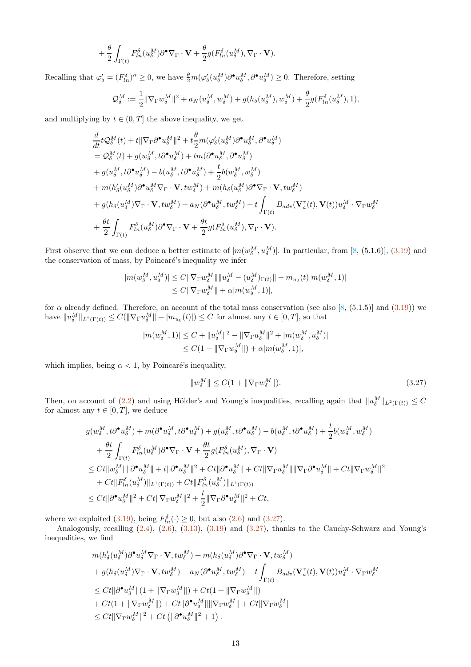$$
+\frac{\theta}{2}\int_{\Gamma(t)}F_{ln}^{\delta}(u_{\delta}^M)\partial^{\bullet}\nabla_{\Gamma}\cdot\mathbf{V}+\frac{\theta}{2}g(F_{ln}^{\delta}(u_{\delta}^M),\nabla_{\Gamma}\cdot\mathbf{V}).
$$

Recalling that  $\varphi'_\delta = (F_{ln}^\delta)'' \ge 0$ , we have  $\frac{\theta}{2}m(\varphi'_\delta(u_\delta^M)\partial^{\bullet} u_\delta^M, \partial^{\bullet} u_\delta^M) \ge 0$ . Therefore, setting

$$
\mathcal{Q}_{\delta}^M:=\frac{1}{2}\|\nabla_{\Gamma}w_{\delta}^M\|^2+a_N(u_{\delta}^M,w_{\delta}^M)+g(h_{\delta}(u_{\delta}^M),w_{\delta}^M)+\frac{\theta}{2}g(F_{ln}^{\delta}(u_{\delta}^M),1),
$$

and multiplying by  $t \in (0, T]$  the above inequality, we get

$$
\begin{split} &\frac{d}{dt}t\mathcal{Q}_{\delta}^{M}(t)+t\|\nabla_{\Gamma}\partial^{\bullet}u_{\delta}^{M}\|^{2}+t\frac{\theta}{2}m(\varphi_{\delta}^{\prime}(u_{\delta}^{M})\partial^{\bullet}u_{\delta}^{M},\partial^{\bullet}u_{\delta}^{M})\\ &=\mathcal{Q}_{\delta}^{M}(t)+g(w_{\delta}^{M},t\partial^{\bullet}u_{\delta}^{M})+tm(\partial^{\bullet}u_{\delta}^{M},\partial^{\bullet}u_{\delta}^{M})\\ &+g(u_{\delta}^{M},t\partial^{\bullet}u_{\delta}^{M})-b(u_{\delta}^{M},t\partial^{\bullet}u_{\delta}^{M})+\frac{t}{2}b(w_{\delta}^{M},w_{\delta}^{M})\\ &+m(h_{\delta}^{\prime}(u_{\delta}^{M})\partial^{\bullet}u_{\delta}^{M}\nabla_{\Gamma}\cdot\mathbf{V},tw_{\delta}^{M})+m(h_{\delta}(u_{\delta}^{M})\partial^{\bullet}\nabla_{\Gamma}\cdot\mathbf{V},tw_{\delta}^{M})\\ &+g(h_{\delta}(u_{\delta}^{M})\nabla_{\Gamma}\cdot\mathbf{V},tw_{\delta}^{M})+a_{N}(\partial^{\bullet}u_{\delta}^{M},tw_{\delta}^{M})+t\int_{\Gamma(t)}B_{adv}(\mathbf{V}_{a}^{\tau}(t),\mathbf{V}(t))u_{\delta}^{M}\cdot\nabla_{\Gamma}w_{\delta}^{M}\\ &+\frac{\theta t}{2}\int_{\Gamma(t)}F_{ln}^{\delta}(u_{\delta}^{M})\partial^{\bullet}\nabla_{\Gamma}\cdot\mathbf{V}+\frac{\theta t}{2}g(F_{ln}^{\delta}(u_{\delta}^{M}),\nabla_{\Gamma}\cdot\mathbf{V}). \end{split}
$$

First observe that we can deduce a better estimate of  $|m(w_\delta^M, u_\delta^M)|$ . In particular, from [\[8,](#page-32-0) (5.1.6)], [\(3.19\)](#page-9-2) and the conservation of mass, by Poincaré's inequality we infer

$$
|m(w_\delta^M, u_\delta^M)| \le C \|\nabla_{\Gamma} w_\delta^M\| \|u_\delta^M - (u_\delta^M)_{\Gamma(t)}\| + m_{u_0}(t) |m(w_\delta^M, 1)|
$$
  

$$
\le C \|\nabla_{\Gamma} w_\delta^M\| + \alpha |m(w_\delta^M, 1)|,
$$

for  $\alpha$  already defined. Therefore, on account of the total mass conservation (see also [\[8](#page-32-0), (5.1.5)] and [\(3.19\)](#page-9-2)) we have  $||u_{\delta}^M||_{L^2(\Gamma(t))} \leq C(||\nabla_{\Gamma}u_{\delta}^M|| + |m_{u_0}(t)|) \leq C$  for almost any  $t \in [0, T]$ , so that

$$
|m(w_\delta^M, 1)| \le C + ||u_\delta^M||^2 - ||\nabla_{\Gamma} u_\delta^M||^2 + |m(w_\delta^M, u_\delta^M)|
$$
  

$$
\le C(1 + ||\nabla_{\Gamma} w_\delta^M||) + \alpha |m(w_\delta^M, 1)|,
$$

which implies, being  $\alpha < 1$ , by Poincaré's inequality,

<span id="page-12-0"></span>
$$
||w_{\delta}^M|| \le C(1 + ||\nabla_{\Gamma}w_{\delta}^M||). \tag{3.27}
$$

Then, on account of  $(2.2)$  and using Hölder's and Young's inequalities, recalling again that  $||u_{\delta}^M||_{L^2(\Gamma(t))} \leq C$ for almost any  $t \in [0, T]$ , we deduce

$$
g(w_{\delta}^M, t\partial^{\bullet} u_{\delta}^M) + m(\partial^{\bullet} u_{\delta}^M, t\partial^{\bullet} u_{\delta}^M) + g(u_{\delta}^M, t\partial^{\bullet} u_{\delta}^M) - b(u_{\delta}^M, t\partial^{\bullet} u_{\delta}^M) + \frac{t}{2}b(w_{\delta}^M, w_{\delta}^M) + \frac{\theta t}{2} \int_{\Gamma(t)} F_{ln}^{\delta}(u_{\delta}^M) \partial^{\bullet} \nabla_{\Gamma} \cdot \mathbf{V} + \frac{\theta t}{2} g(F_{ln}^{\delta}(u_{\delta}^M), \nabla_{\Gamma} \cdot \mathbf{V}) \leq Ct \|w_{\delta}^M\| \|\partial^{\bullet} u_{\delta}^M\| + t\|\partial^{\bullet} u_{\delta}^M\|^2 + Ct \|\partial^{\bullet} u_{\delta}^M\| + Ct \|\nabla_{\Gamma} u_{\delta}^M\| \|\nabla_{\Gamma} \partial^{\bullet} u_{\delta}^M\| + Ct \|\nabla_{\Gamma} w_{\delta}^M\|^2 + Ct \|F_{ln}^{\delta}(u_{\delta}^M) \|_{L^1(\Gamma(t))} + Ct \|F_{ln}^{\delta}(u_{\delta}^M) \|_{L^1(\Gamma(t))} \leq Ct \|\partial^{\bullet} u_{\delta}^M\|^2 + Ct \|\nabla_{\Gamma} w_{\delta}^M\|^2 + \frac{t}{2} \|\nabla_{\Gamma} \partial^{\bullet} u_{\delta}^M\|^2 + Ct,
$$

where we exploited [\(3.19\)](#page-9-2), being  $F_{ln}^{\delta}(\cdot) \ge 0$ , but also [\(2.6\)](#page-3-2) and [\(3.27\)](#page-12-0).

Analogously, recalling  $(2.4)$ ,  $(2.6)$ ,  $(3.13)$ ,  $(3.19)$  and  $(3.27)$ , thanks to the Cauchy-Schwarz and Young's inequalities, we find

$$
\begin{aligned} &m(h'_{\delta}(u_{\delta}^{M})\partial^{\bullet}u_{\delta}^{M}\nabla_{\Gamma}\cdot\mathbf{V},tw_{\delta}^{M})+m(h_{\delta}(u_{\delta}^{M})\partial^{\bullet}\nabla_{\Gamma}\cdot\mathbf{V},tw_{\delta}^{M})\\&+g(h_{\delta}(u_{\delta}^{M})\nabla_{\Gamma}\cdot\mathbf{V},tw_{\delta}^{M})+a_{N}(\partial^{\bullet}u_{\delta}^{M},tw_{\delta}^{M})+t\int_{\Gamma(t)}B_{adv}(\mathbf{V}_{a}^{\tau}(t),\mathbf{V}(t))u_{\delta}^{M}\cdot\nabla_{\Gamma}w_{\delta}^{M}\\&\leq Ct\|\partial^{\bullet}u_{\delta}^{M}\|(1+\|\nabla_{\Gamma}w_{\delta}^{M}\|)+Ct(1+\|\nabla_{\Gamma}w_{\delta}^{M}\|)\\&+Ct(1+\|\nabla_{\Gamma}w_{\delta}^{M}\|)+Ct\|\partial^{\bullet}u_{\delta}^{M}\|\|\nabla_{\Gamma}w_{\delta}^{M}\|+Ct\|\nabla_{\Gamma}w_{\delta}^{M}\|\\&\leq Ct\|\nabla_{\Gamma}w_{\delta}^{M}\|^{2}+Ct\left(\|\partial^{\bullet}u_{\delta}^{M}\|^{2}+1\right).\end{aligned}
$$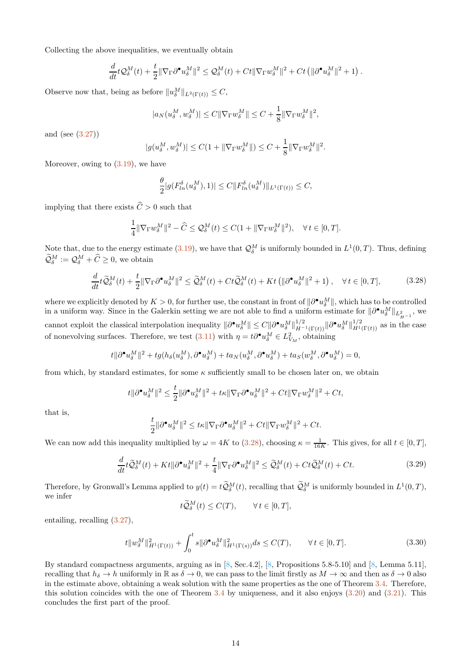Collecting the above inequalities, we eventually obtain

$$
\frac{d}{dt}t\mathcal{Q}_{\delta}^M(t) + \frac{t}{2}\|\nabla_{\Gamma}\partial^{\bullet}u_{\delta}^M\|^2 \leq \mathcal{Q}_{\delta}^M(t) + Ct\|\nabla_{\Gamma}w_{\delta}^M\|^2 + Ct\left(\|\partial^{\bullet}u_{\delta}^M\|^2 + 1\right).
$$

Observe now that, being as before  $||u_{\delta}^M||_{L^2(\Gamma(t))} \leq C$ ,

$$
|a_N(u_\delta^M, w_\delta^M)| \le C \|\nabla_{\Gamma} w_\delta^M\| \le C + \frac{1}{8} \|\nabla_{\Gamma} w_\delta^M\|^2,
$$

and (see [\(3.27\)](#page-12-0))

$$
|g(u_\delta^M,w_\delta^M)|\leq C(1+\|\nabla_\Gamma w_\delta^M\|)\leq C+\frac{1}{8}\|\nabla_\Gamma w_\delta^M\|^2.
$$

Moreover, owing to  $(3.19)$ , we have

$$
\frac{\theta}{2}|g(F_{ln}^{\delta}(u_{\delta}^M),1)| \leq C \|F_{ln}^{\delta}(u_{\delta}^M)\|_{L^1(\Gamma(t))} \leq C,
$$

implying that there exists  $\hat{C} > 0$  such that

$$
\frac{1}{4} \|\nabla_{\Gamma} w_{\delta}^M\|^2 - \widehat{C} \le \mathcal{Q}_{\delta}^M(t) \le C(1 + \|\nabla_{\Gamma} w_{\delta}^M\|^2), \quad \forall \, t \in [0, T].
$$

Note that, due to the energy estimate [\(3.19\)](#page-9-2), we have that  $\mathcal{Q}_{\delta}^M$  is uniformly bounded in  $L^1(0,T)$ . Thus, defining  $\mathcal{Q}_{\delta}^{M} := \mathcal{Q}_{\delta}^{M} + \hat{C} \geq 0$ , we obtain

<span id="page-13-0"></span>
$$
\frac{d}{dt}t\widetilde{\mathcal{Q}}^M_\delta(t) + \frac{t}{2} \|\nabla_{\Gamma}\partial^{\bullet}u^M_\delta\|^2 \le \widetilde{\mathcal{Q}}^M_\delta(t) + Ct\widetilde{\mathcal{Q}}^M_\delta(t) + Kt\left(\|\partial^{\bullet}u^M_\delta\|^2 + 1\right), \quad \forall \, t \in [0, T],\tag{3.28}
$$

where we explicitly denoted by  $K > 0$ , for further use, the constant in front of  $\|\partial^{\bullet} u_{\delta}^M\|$ , which has to be controlled in a uniform way. Since in the Galerkin setting we are not able to find a uniform estimate for  $\|\partial^{\bullet}u_{\delta}^M\|_{L^2_{H^{-1}}}$ , we cannot exploit the classical interpolation inequality  $\|\partial^{\bullet} u_{\delta}^M\| \leq C \|\partial^{\bullet} u_{\delta}^M\|_{H^{-1}(\Gamma(t))}^{1/2} \|\partial^{\bullet} u_{\delta}^M\|_{H^1(\Gamma(t))}^{1/2}$  as in the case of nonevolving surfaces. Therefore, we test  $(3.11)$  with  $\eta = t \partial^{\bullet} u_{\delta}^M \in L^2_{V_M}$ , obtaining

$$
t \|\partial^{\bullet} u_{\delta}^M\|^2 + t g(h_{\delta}(u_{\delta}^M), \partial^{\bullet} u_{\delta}^M) + t a_N(u_{\delta}^M, \partial^{\bullet} u_{\delta}^M) + t a_S(w_{\delta}^M, \partial^{\bullet} u_{\delta}^M) = 0,
$$

from which, by standard estimates, for some  $\kappa$  sufficiently small to be chosen later on, we obtain

$$
t\|\partial^\bullet u^M_\delta\|^2\leq \frac{t}{2}\|\partial^\bullet u^M_\delta\|^2+t\kappa\|\nabla_\Gamma\partial^\bullet u^M_\delta\|^2+Ct\|\nabla_\Gamma w^M_\delta\|^2+Ct,
$$

that is,

$$
\frac{t}{2} \|\partial^{\bullet} u_{\delta}^M\|^2 \leq t\kappa \|\nabla_{\Gamma} \partial^{\bullet} u_{\delta}^M\|^2 + Ct \|\nabla_{\Gamma} w_{\delta}^M\|^2 + Ct.
$$

We can now add this inequality multiplied by  $\omega = 4K$  to  $(3.28)$ , choosing  $\kappa = \frac{1}{16K}$ . This gives, for all  $t \in [0, T]$ ,

$$
\frac{d}{dt}t\widetilde{Q}_{\delta}^{M}(t) + Kt \|\partial^{\bullet} u_{\delta}^{M}\|^{2} + \frac{t}{4} \|\nabla_{\Gamma}\partial^{\bullet} u_{\delta}^{M}\|^{2} \leq \widetilde{Q}_{\delta}^{M}(t) + Ct\widetilde{Q}_{\delta}^{M}(t) + Ct.
$$
\n(3.29)

Therefore, by Gronwall's Lemma applied to  $y(t) = t\tilde{\mathcal{Q}}_{\delta}^{M}(t)$ , recalling that  $\tilde{\mathcal{Q}}_{\delta}^{M}$  is uniformly bounded in  $L^{1}(0,T)$ , we infer

$$
t\widetilde{Q}_{\delta}^M(t) \leq C(T), \qquad \forall t \in [0, T],
$$

entailing, recalling [\(3.27\)](#page-12-0),

$$
t \|w_{\delta}^{M}\|_{H^{1}(\Gamma(t))}^{2} + \int_{0}^{t} s \|\partial^{\bullet} u_{\delta}^{M}\|_{H^{1}(\Gamma(s))}^{2} ds \le C(T), \qquad \forall t \in [0, T].
$$
\n(3.30)

By standard compactness arguments, arguing as in [\[8,](#page-32-0) Sec.4.2], [\[8](#page-32-0), Propositions 5.8-5.10] and [\[8,](#page-32-0) Lemma 5.11], recalling that  $h_{\delta} \to h$  uniformly in  $\mathbb{R}$  as  $\delta \to 0$ , we can pass to the limit firstly as  $M \to \infty$  and then as  $\delta \to 0$  also in the estimate above, obtaining a weak solution with the same properties as the one of Theorem [3.4.](#page-6-1) Therefore, this solution coincides with the one of Theorem  $3.4$  by uniqueness, and it also enjoys  $(3.20)$  and  $(3.21)$ . This concludes the first part of the proof.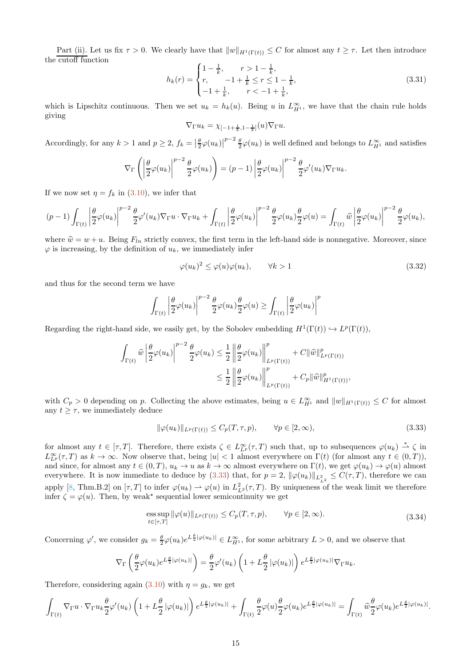Part (ii). Let us fix  $\tau > 0$ . We clearly have that  $||w||_{H^1(\Gamma(t))} \leq C$  for almost any  $t \geq \tau$ . Let then introduce the cutoff function

<span id="page-14-2"></span>
$$
h_k(r) = \begin{cases} 1 - \frac{1}{k}, & r > 1 - \frac{1}{k}, \\ r, & -1 + \frac{1}{k} \le r \le 1 - \frac{1}{k}, \\ -1 + \frac{1}{k}, & r < -1 + \frac{1}{k}, \end{cases} \tag{3.31}
$$

which is Lipschitz continuous. Then we set  $u_k = h_k(u)$ . Being u in  $L_{H_1}^{\infty}$ , we have that the chain rule holds giving

$$
\nabla_{\Gamma}u_k=\chi_{[-1+\frac{1}{k},1-\frac{1}{k}]}(u)\nabla_{\Gamma}u.
$$

Accordingly, for any  $k > 1$  and  $p \geq 2$ ,  $f_k = \left|\frac{\theta}{2}\varphi(u_k)\right|^{p-2} \frac{\theta}{2}\varphi(u_k)$  is well defined and belongs to  $L_{H^1}^{\infty}$  and satisfies

$$
\nabla_{\Gamma}\left(\left|\frac{\theta}{2}\varphi(u_k)\right|^{p-2}\frac{\theta}{2}\varphi(u_k)\right)=(p-1)\left|\frac{\theta}{2}\varphi(u_k)\right|^{p-2}\frac{\theta}{2}\varphi'(u_k)\nabla_{\Gamma}u_k.
$$

If we now set  $\eta = f_k$  in [\(3.10\)](#page-7-2), we infer that

$$
(p-1)\int_{\Gamma(t)}\left|\frac{\theta}{2}\varphi(u_k)\right|^{p-2}\frac{\theta}{2}\varphi'(u_k)\nabla_{\Gamma}u\cdot\nabla_{\Gamma}u_k+\int_{\Gamma(t)}\left|\frac{\theta}{2}\varphi(u_k)\right|^{p-2}\frac{\theta}{2}\varphi(u_k)\frac{\theta}{2}\varphi(u)=\int_{\Gamma(t)}\widehat{w}\left|\frac{\theta}{2}\varphi(u_k)\right|^{p-2}\frac{\theta}{2}\varphi(u_k),
$$

where  $\hat{w} = w + u$ . Being  $F_{ln}$  strictly convex, the first term in the left-hand side is nonnegative. Moreover, since  $\varphi$  is increasing, by the definition of  $u_k$ , we immediately infer

<span id="page-14-1"></span>
$$
\varphi(u_k)^2 \le \varphi(u)\varphi(u_k), \qquad \forall k > 1 \tag{3.32}
$$

and thus for the second term we have

$$
\int_{\Gamma(t)} \left| \frac{\theta}{2} \varphi(u_k) \right|^{p-2} \frac{\theta}{2} \varphi(u_k) \frac{\theta}{2} \varphi(u) \geq \int_{\Gamma(t)} \left| \frac{\theta}{2} \varphi(u_k) \right|^p
$$

Regarding the right-hand side, we easily get, by the Sobolev embedding  $H^1(\Gamma(t)) \hookrightarrow L^p(\Gamma(t)),$ 

$$
\int_{\Gamma(t)} \widehat{w} \left| \frac{\theta}{2} \varphi(u_k) \right|^{p-2} \frac{\theta}{2} \varphi(u_k) \leq \frac{1}{2} \left\| \frac{\theta}{2} \varphi(u_k) \right\|_{L^p(\Gamma(t))}^p + C \|\widehat{w}\|_{L^p(\Gamma(t))}^p
$$

$$
\leq \frac{1}{2} \left\| \frac{\theta}{2} \varphi(u_k) \right\|_{L^p(\Gamma(t))}^p + C_p \|\widehat{w}\|_{H^1(\Gamma(t))}^p,
$$

with  $C_p > 0$  depending on p. Collecting the above estimates, being  $u \in L^{\infty}_{H^1}$  and  $||w||_{H^1(\Gamma(t))} \leq C$  for almost any  $t \geq \tau$ , we immediately deduce

<span id="page-14-0"></span>
$$
\|\varphi(u_k)\|_{L^p(\Gamma(t))} \le C_p(T,\tau,p), \qquad \forall p \in [2,\infty),\tag{3.33}
$$

for almost any  $t \in [\tau, T]$ . Therefore, there exists  $\zeta \in L^{\infty}_{L^p}(\tau, T)$  such that, up to subsequences  $\varphi(u_k) \stackrel{*}{\rightharpoonup} \zeta$  in  $L_{L^p}^{\infty}(\tau,T)$  as  $k \to \infty$ . Now observe that, being  $|u| < 1$  almost everywhere on  $\Gamma(t)$  (for almost any  $t \in (0,T)$ ), and since, for almost any  $t \in (0,T)$ ,  $u_k \to u$  as  $k \to \infty$  almost everywhere on  $\Gamma(t)$ , we get  $\varphi(u_k) \to \varphi(u)$  almost everywhere. It is now immediate to deduce by  $(3.33)$  that, for  $p = 2$ ,  $\|\varphi(u_k)\|_{L^2_{L^2}} \leq C(\tau, T)$ , therefore we can apply [\[8,](#page-32-0) Thm.B.2] on  $[\tau, T]$  to infer  $\varphi(u_k) \to \varphi(u)$  in  $L^2_{L^2}(\tau, T)$ . By uniqueness of the weak limit we therefore infer  $\zeta = \varphi(u)$ . Then, by weak<sup>\*</sup> sequential lower semicontinuity we get

<span id="page-14-3"></span>ess sup 
$$
\|\varphi(u)\|_{L^p(\Gamma(t))} \le C_p(T, \tau, p), \qquad \forall p \in [2, \infty).
$$
 (3.34)

Concerning  $\varphi'$ , we consider  $g_k = \frac{\theta}{2} \varphi(u_k) e^{L\frac{\theta}{2}|\varphi(u_k)|} \in L^\infty_{H^1}$ , for some arbitrary  $L > 0$ , and we observe that

$$
\nabla_{\Gamma}\left(\frac{\theta}{2}\varphi(u_k)e^{L\frac{\theta}{2}|\varphi(u_k)|}\right)=\frac{\theta}{2}\varphi'(u_k)\left(1+L\frac{\theta}{2}\left|\varphi(u_k)\right|\right)e^{L\frac{\theta}{2}|\varphi(u_k)|}\nabla_{\Gamma}u_k.
$$

Therefore, considering again [\(3.10\)](#page-7-2) with  $\eta = g_k$ , we get

$$
\int_{\Gamma(t)} \nabla_{\Gamma} u\cdot \nabla_{\Gamma} u_k \frac{\theta}{2} \varphi'(u_k) \left(1+L\frac{\theta}{2} |\varphi(u_k)|\right) e^{L\frac{\theta}{2} |\varphi(u_k)|} + \int_{\Gamma(t)} \frac{\theta}{2} \varphi(u) \frac{\theta}{2} \varphi(u_k) e^{L\frac{\theta}{2} |\varphi(u_k)|} = \int_{\Gamma(t)} \widehat{w} \frac{\theta}{2} \varphi(u_k) e^{L\frac{\theta}{2} |\varphi(u_k)|}.
$$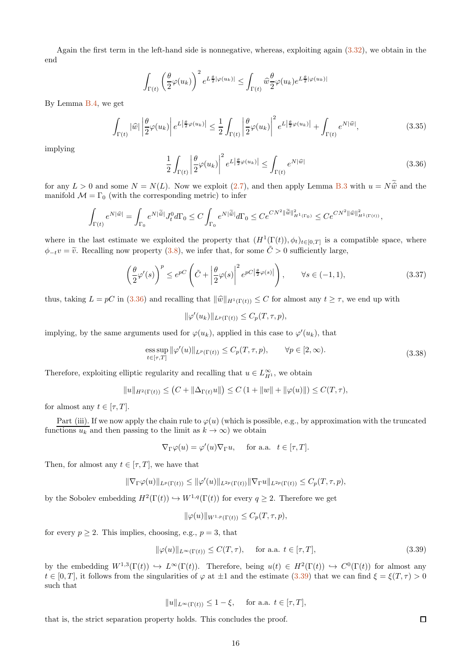Again the first term in the left-hand side is nonnegative, whereas, exploiting again [\(3.32\)](#page-14-1), we obtain in the end

$$
\int_{\Gamma(t)} \left(\frac{\theta}{2}\varphi(u_k)\right)^2 e^{L\frac{\theta}{2}|\varphi(u_k)|} \leq \int_{\Gamma(t)} \widehat{w}\frac{\theta}{2}\varphi(u_k)e^{L\frac{\theta}{2}|\varphi(u_k)|}
$$

By Lemma [B.4,](#page-29-0) we get

$$
\int_{\Gamma(t)} |\widehat{w}| \left| \frac{\theta}{2} \varphi(u_k) \right| e^{L \left| \frac{\theta}{2} \varphi(u_k) \right|} \leq \frac{1}{2} \int_{\Gamma(t)} \left| \frac{\theta}{2} \varphi(u_k) \right|^2 e^{L \left| \frac{\theta}{2} \varphi(u_k) \right|} + \int_{\Gamma(t)} e^{N|\widehat{w}|}, \tag{3.35}
$$

implying

<span id="page-15-1"></span>
$$
\frac{1}{2} \int_{\Gamma(t)} \left| \frac{\theta}{2} \varphi(u_k) \right|^2 e^{L \left| \frac{\theta}{2} \varphi(u_k) \right|} \le \int_{\Gamma(t)} e^{N |\widehat{w}|} \tag{3.36}
$$

for any  $L > 0$  and some  $N = N(L)$ . Now we exploit [\(2.7\)](#page-3-3), and then apply Lemma [B.3](#page-29-1) with  $u = N\tilde{\hat{w}}$  and the manifold  $\mathcal{M} = \Gamma_0$  (with the corresponding metric) to infer

$$
\int_{\Gamma(t)} e^{N|\widehat{w}|} = \int_{\Gamma_0} e^{N|\widetilde{\widehat{w}}|} J_t^0 d\Gamma_0 \le C \int_{\Gamma_0} e^{N|\widetilde{\widehat{w}}|} d\Gamma_0 \le C e^{CN^2 \|\widetilde{\widehat{w}}\|_{H^1(\Gamma_0)}^2} \le Ce^{CN^2 \|\widehat{w}\|_{H^1(\Gamma(t))}^2},
$$

where in the last estimate we exploited the property that  $(H^1(\Gamma(t)), \phi_t)_{t\in[0,T]}$  is a compatible space, where  $\phi_{-t}v = \tilde{v}$ . Recalling now property [\(3.8\)](#page-6-2), we infer that, for some  $\tilde{C} > 0$  sufficiently large,

<span id="page-15-3"></span>
$$
\left(\frac{\theta}{2}\varphi'(s)\right)^p \le e^{pC}\left(\tilde{C} + \left|\frac{\theta}{2}\varphi(s)\right|^2 e^{pC\left|\frac{\theta}{2}\varphi(s)\right|}\right), \qquad \forall s \in (-1, 1),\tag{3.37}
$$

thus, taking  $L = pC$  in [\(3.36\)](#page-15-1) and recalling that  $\|\hat{w}\|_{H^1(\Gamma(t))} \leq C$  for almost any  $t \geq \tau$ , we end up with

$$
\|\varphi'(u_k)\|_{L^p(\Gamma(t))} \leq C_p(T,\tau,p),
$$

implying, by the same arguments used for  $\varphi(u_k)$ , applied in this case to  $\varphi'(u_k)$ , that

ess sup 
$$
\|\varphi'(u)\|_{L^p(\Gamma(t))} \le C_p(T, \tau, p), \qquad \forall p \in [2, \infty).
$$
 (3.38)

Therefore, exploiting elliptic regularity and recalling that  $u \in L^{\infty}_{H^1}$ , we obtain

$$
||u||_{H^2(\Gamma(t))} \le (C + ||\Delta_{\Gamma(t)}u||) \le C (1 + ||w|| + ||\varphi(u)||) \le C(T,\tau),
$$

for almost any  $t \in [\tau, T]$ .

Part (iii). If we now apply the chain rule to  $\varphi(u)$  (which is possible, e.g., by approximation with the truncated functions  $u_k$  and then passing to the limit as  $k \to \infty$ ) we obtain

$$
\nabla_{\Gamma} \varphi(u) = \varphi'(u) \nabla_{\Gamma} u
$$
, for a.a.  $t \in [\tau, T]$ .

Then, for almost any  $t \in [\tau, T]$ , we have that

$$
\|\nabla_{\Gamma} \varphi(u)\|_{L^p(\Gamma(t))} \leq \|\varphi'(u)\|_{L^{2p}(\Gamma(t))} \|\nabla_{\Gamma} u\|_{L^{2p}(\Gamma(t))} \leq C_p(T,\tau,p),
$$

by the Sobolev embedding  $H^2(\Gamma(t)) \hookrightarrow W^{1,q}(\Gamma(t))$  for every  $q \geq 2$ . Therefore we get

$$
\|\varphi(u)\|_{W^{1,p}(\Gamma(t))} \leq C_p(T,\tau,p),
$$

for every  $p \geq 2$ . This implies, choosing, e.g.,  $p = 3$ , that

<span id="page-15-2"></span>
$$
\|\varphi(u)\|_{L^{\infty}(\Gamma(t))} \le C(T,\tau), \quad \text{ for a.a. } t \in [\tau,T],
$$
\n(3.39)

by the embedding  $W^{1,3}(\Gamma(t)) \hookrightarrow L^{\infty}(\Gamma(t))$ . Therefore, being  $u(t) \in H^2(\Gamma(t)) \hookrightarrow C^0(\Gamma(t))$  for almost any  $t \in [0, T]$ , it follows from the singularities of  $\varphi$  at  $\pm 1$  and the estimate  $(3.39)$  that we can find  $\xi = \xi(T, \tau) > 0$ such that

$$
||u||_{L^{\infty}(\Gamma(t))} \leq 1 - \xi, \quad \text{for a.a. } t \in [\tau, T],
$$

<span id="page-15-0"></span>that is, the strict separation property holds. This concludes the proof.

 $\Box$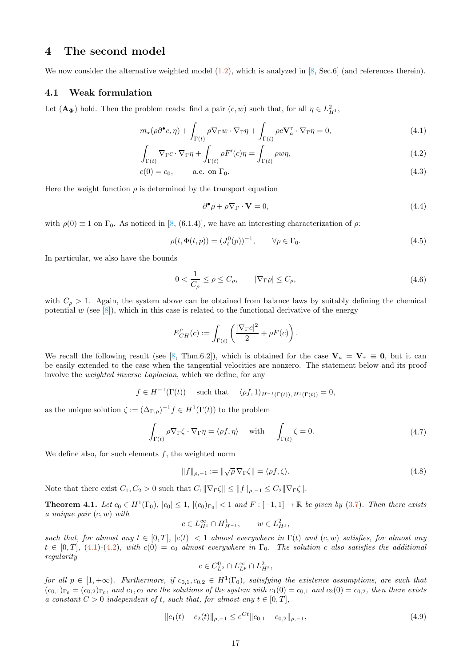# 4 The second model

We now consider the alternative weighted model  $(1.2)$ , which is analyzed in [\[8](#page-32-0), Sec.6] (and references therein).

#### 4.1 Weak formulation

Let  $(\mathbf{A}_{\Phi})$  hold. Then the problem reads: find a pair  $(c, w)$  such that, for all  $\eta \in L^2_{H^1}$ ,

$$
m_{\star}(\rho \partial^{\bullet} c, \eta) + \int_{\Gamma(t)} \rho \nabla_{\Gamma} w \cdot \nabla_{\Gamma} \eta + \int_{\Gamma(t)} \rho c \mathbf{V}_{a}^{\tau} \cdot \nabla_{\Gamma} \eta = 0, \qquad (4.1)
$$

$$
\int_{\Gamma(t)} \nabla_{\Gamma} c \cdot \nabla_{\Gamma} \eta + \int_{\Gamma(t)} \rho F'(c) \eta = \int_{\Gamma(t)} \rho w \eta,
$$
\n(4.2)

$$
c(0) = c_0, \qquad \text{a.e. on } \Gamma_0. \tag{4.3}
$$

Here the weight function  $\rho$  is determined by the transport equation

<span id="page-16-3"></span><span id="page-16-2"></span><span id="page-16-1"></span><span id="page-16-0"></span>
$$
\partial^{\bullet} \rho + \rho \nabla_{\Gamma} \cdot \mathbf{V} = 0, \qquad (4.4)
$$

with  $\rho(0) \equiv 1$  on  $\Gamma_0$ . As noticed in [\[8,](#page-32-0) (6.1.4)], we have an interesting characterization of  $\rho$ :

<span id="page-16-7"></span>
$$
\rho(t, \Phi(t, p)) = (J_t^0(p))^{-1}, \qquad \forall p \in \Gamma_0.
$$
\n(4.5)

In particular, we also have the bounds

<span id="page-16-6"></span>
$$
0 < \frac{1}{C_{\rho}} \le \rho \le C_{\rho}, \qquad |\nabla_{\Gamma}\rho| \le C_{\rho}, \tag{4.6}
$$

with  $C_{\rho} > 1$ . Again, the system above can be obtained from balance laws by suitably defining the chemical potential w (see  $[8]$ ), which in this case is related to the functional derivative of the energy

$$
E_{CH}^{\rho}(c):=\int_{\Gamma(t)}\left(\frac{|\nabla_{\Gamma}c|^2}{2}+\rho F(c)\right).
$$

We recall the following result (see [\[8,](#page-32-0) Thm.6.2]), which is obtained for the case  $V_a = V_\tau \equiv 0$ , but it can be easily extended to the case when the tangential velocities are nonzero. The statement below and its proof involve the weighted inverse Laplacian, which we define, for any

$$
f \in H^{-1}(\Gamma(t))
$$
 such that  $\langle \rho f, 1 \rangle_{H^{-1}(\Gamma(t)), H^1(\Gamma(t))} = 0,$ 

as the unique solution  $\zeta := (\Delta_{\Gamma,\rho})^{-1} f \in H^1(\Gamma(t))$  to the problem

$$
\int_{\Gamma(t)} \rho \nabla_{\Gamma} \zeta \cdot \nabla_{\Gamma} \eta = \langle \rho f, \eta \rangle \quad \text{ with } \quad \int_{\Gamma(t)} \zeta = 0.
$$
\n(4.7)

We define also, for such elements  $f$ , the weighted norm

$$
||f||_{\rho,-1} := ||\sqrt{\rho} \nabla \Gamma \zeta|| = \langle \rho f, \zeta \rangle.
$$
 (4.8)

Note that there exist  $C_1, C_2 > 0$  such that  $C_1||\nabla_{\Gamma} \zeta|| \le ||f||_{\rho, -1} \le C_2||\nabla_{\Gamma} \zeta||$ .

<span id="page-16-5"></span>**Theorem 4.1.** Let  $c_0 \in H^1(\Gamma_0)$ ,  $|c_0| \leq 1$ ,  $|(c_0)_{\Gamma_0}| < 1$  and  $F: [-1, 1] \to \mathbb{R}$  be given by [\(3.7\)](#page-6-0). Then there exists a unique pair  $(c, w)$  with

$$
c \in L_{H^1}^{\infty} \cap H_{H^{-1}}^1
$$
,  $w \in L_{H^1}^2$ ,

such that, for almost any  $t \in [0,T]$ ,  $|c(t)| < 1$  almost everywhere in  $\Gamma(t)$  and  $(c, w)$  satisfies, for almost any  $t \in [0,T]$ , [\(4.1\)](#page-16-0)-[\(4.2\)](#page-16-1), with  $c(0) = c_0$  almost everywhere in  $\Gamma_0$ . The solution c also satisfies the additional regularity

$$
c \in C_{L^2}^0 \cap L_{L^p}^{\infty} \cap L_{H^2}^2,
$$

for all  $p \in [1, +\infty)$ . Furthermore, if  $c_{0,1}, c_{0,2} \in H^1(\Gamma_0)$ , satisfying the existence assumptions, are such that  $(c_{0,1})_{\Gamma_0} = (c_{0,2})_{\Gamma_0}$ , and  $c_1, c_2$  are the solutions of the system with  $c_1(0) = c_{0,1}$  and  $c_2(0) = c_{0,2}$ , then there exists a constant  $C > 0$  independent of t, such that, for almost any  $t \in [0, T]$ ,

<span id="page-16-4"></span>
$$
||c_1(t) - c_2(t)||_{\rho, -1} \le e^{Ct} ||c_{0,1} - c_{0,2}||_{\rho, -1},
$$
\n(4.9)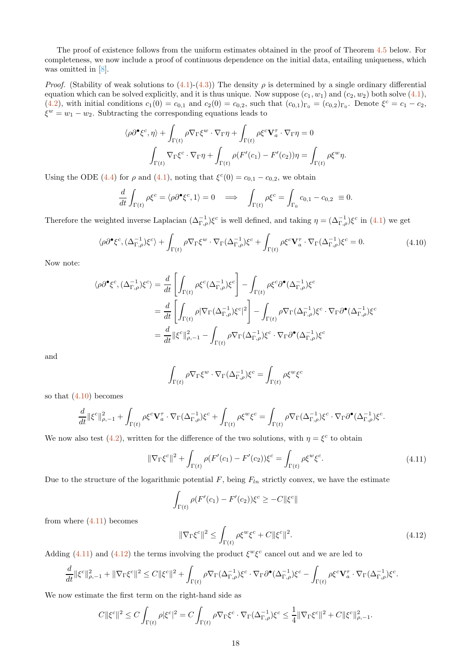The proof of existence follows from the uniform estimates obtained in the proof of Theorem [4.5](#page-19-0) below. For completeness, we now include a proof of continuous dependence on the initial data, entailing uniqueness, which was omitted in [\[8](#page-32-0)].

*Proof.* (Stability of weak solutions to  $(4.1)-(4.3)$  $(4.1)-(4.3)$ ) The density  $\rho$  is determined by a single ordinary differential equation which can be solved explicitly, and it is thus unique. Now suppose  $(c_1, w_1)$  and  $(c_2, w_2)$  both solve  $(4.1)$ , [\(4.2\)](#page-16-1), with initial conditions  $c_1(0) = c_{0,1}$  and  $c_2(0) = c_{0,2}$ , such that  $(c_{0,1})_{\Gamma_0} = (c_{0,2})_{\Gamma_0}$ . Denote  $\xi^c = c_1 - c_2$ ,  $\xi^w = w_1 - w_2$ . Subtracting the corresponding equations leads to

$$
\langle \rho \partial^{\bullet} \xi^{c}, \eta \rangle + \int_{\Gamma(t)} \rho \nabla_{\Gamma} \xi^{w} \cdot \nabla_{\Gamma} \eta + \int_{\Gamma(t)} \rho \xi^{c} \mathbf{V}_{a}^{\tau} \cdot \nabla_{\Gamma} \eta = 0
$$

$$
\int_{\Gamma(t)} \nabla_{\Gamma} \xi^{c} \cdot \nabla_{\Gamma} \eta + \int_{\Gamma(t)} \rho (F'(c_{1}) - F'(c_{2})) \eta = \int_{\Gamma(t)} \rho \xi^{w} \eta.
$$

Using the ODE [\(4.4\)](#page-16-3) for  $\rho$  and [\(4.1\)](#page-16-0), noting that  $\xi^{c}(0) = c_{0,1} - c_{0,2}$ , we obtain

$$
\frac{d}{dt} \int_{\Gamma(t)} \rho \xi^c = \langle \rho \partial^{\bullet} \xi^c, 1 \rangle = 0 \quad \Longrightarrow \quad \int_{\Gamma(t)} \rho \xi^c = \int_{\Gamma_0} c_{0,1} - c_{0,2} \equiv 0.
$$

Therefore the weighted inverse Laplacian  $(\Delta_{\Gamma,\rho}^{-1})\xi^c$  is well defined, and taking  $\eta = (\Delta_{\Gamma,\rho}^{-1})\xi^c$  in  $(4.1)$  we get

<span id="page-17-0"></span>
$$
\langle \rho \partial^{\bullet} \xi^{c}, (\Delta_{\Gamma,\rho}^{-1}) \xi^{c} \rangle + \int_{\Gamma(t)} \rho \nabla_{\Gamma} \xi^{w} \cdot \nabla_{\Gamma} (\Delta_{\Gamma,\rho}^{-1}) \xi^{c} + \int_{\Gamma(t)} \rho \xi^{c} \mathbf{V}_{a}^{\tau} \cdot \nabla_{\Gamma} (\Delta_{\Gamma,\rho}^{-1}) \xi^{c} = 0.
$$
 (4.10)

Now note:

$$
\langle \rho \partial^{\bullet} \xi^{c}, (\Delta_{\Gamma,\rho}^{-1}) \xi^{c} \rangle = \frac{d}{dt} \left[ \int_{\Gamma(t)} \rho \xi^{c} (\Delta_{\Gamma,\rho}^{-1}) \xi^{c} \right] - \int_{\Gamma(t)} \rho \xi^{c} \partial^{\bullet} (\Delta_{\Gamma,\rho}^{-1}) \xi^{c}
$$
  

$$
= \frac{d}{dt} \left[ \int_{\Gamma(t)} \rho |\nabla_{\Gamma} (\Delta_{\Gamma,\rho}^{-1}) \xi^{c}|^{2} \right] - \int_{\Gamma(t)} \rho \nabla_{\Gamma} (\Delta_{\Gamma,\rho}^{-1}) \xi^{c} \cdot \nabla_{\Gamma} \partial^{\bullet} (\Delta_{\Gamma,\rho}^{-1}) \xi^{c}
$$
  

$$
= \frac{d}{dt} ||\xi^{c}||_{\rho,-1}^{2} - \int_{\Gamma(t)} \rho \nabla_{\Gamma} (\Delta_{\Gamma,\rho}^{-1}) \xi^{c} \cdot \nabla_{\Gamma} \partial^{\bullet} (\Delta_{\Gamma,\rho}^{-1}) \xi^{c}
$$

and

$$
\int_{\Gamma(t)} \rho \nabla_{\Gamma} \xi^w \cdot \nabla_{\Gamma} (\Delta_{\Gamma,\rho}^{-1}) \xi^c = \int_{\Gamma(t)} \rho \xi^w \xi^c
$$

so that [\(4.10\)](#page-17-0) becomes

$$
\frac{d}{dt}\|\xi^c\|_{\rho,-1}^2+\int_{\Gamma(t)}\rho\xi^c\mathbf{V}^\tau_a\cdot\nabla_{\Gamma}(\Delta_{\Gamma,\rho}^{-1})\xi^c+\int_{\Gamma(t)}\rho\xi^w\xi^c=\int_{\Gamma(t)}\rho\nabla_{\Gamma}(\Delta_{\Gamma,\rho}^{-1})\xi^c\cdot\nabla_{\Gamma}\partial^\bullet(\Delta_{\Gamma,\rho}^{-1})\xi^c.
$$

We now also test [\(4.2\)](#page-16-1), written for the difference of the two solutions, with  $\eta = \xi^c$  to obtain

<span id="page-17-1"></span>
$$
\|\nabla_{\Gamma}\xi^{c}\|^{2} + \int_{\Gamma(t)} \rho(F'(c_{1}) - F'(c_{2}))\xi^{c} = \int_{\Gamma(t)} \rho \xi^{w}\xi^{c}.
$$
\n(4.11)

Due to the structure of the logarithmic potential  $F$ , being  $F_{ln}$  strictly convex, we have the estimate

$$
\int_{\Gamma(t)} \rho(F'(c_1) - F'(c_2))\xi^c \ge -C\|\xi^c\|
$$

from where  $(4.11)$  becomes

<span id="page-17-2"></span>
$$
\|\nabla_{\Gamma}\xi^c\|^2 \le \int_{\Gamma(t)} \rho \xi^w \xi^c + C\|\xi^c\|^2. \tag{4.12}
$$

Adding [\(4.11\)](#page-17-1) and [\(4.12\)](#page-17-2) the terms involving the product  $\xi^w \xi^c$  cancel out and we are led to

$$
\frac{d}{dt} \|\xi^c\|_{\rho,-1}^2 + \|\nabla_{\Gamma}\xi^c\|^2 \leq C \|\xi^c\|^2 + \int_{\Gamma(t)} \rho \nabla_{\Gamma}(\Delta_{\Gamma,\rho}^{-1}) \xi^c \cdot \nabla_{\Gamma} \partial^{\bullet}(\Delta_{\Gamma,\rho}^{-1}) \xi^c - \int_{\Gamma(t)} \rho \xi^c \mathbf{V}_a^{\tau} \cdot \nabla_{\Gamma}(\Delta_{\Gamma,\rho}^{-1}) \xi^c.
$$

We now estimate the first term on the right-hand side as

$$
C\|\xi^c\|^2 \le C\int_{\Gamma(t)}\rho|\xi^c|^2 = C\int_{\Gamma(t)}\rho\nabla_{\Gamma}\xi^c\cdot\nabla_{\Gamma}(\Delta_{\Gamma,\rho}^{-1})\xi^c \le \frac{1}{4}\|\nabla_{\Gamma}\xi^c\|^2 + C\|\xi^c\|^2_{\rho,-1}.
$$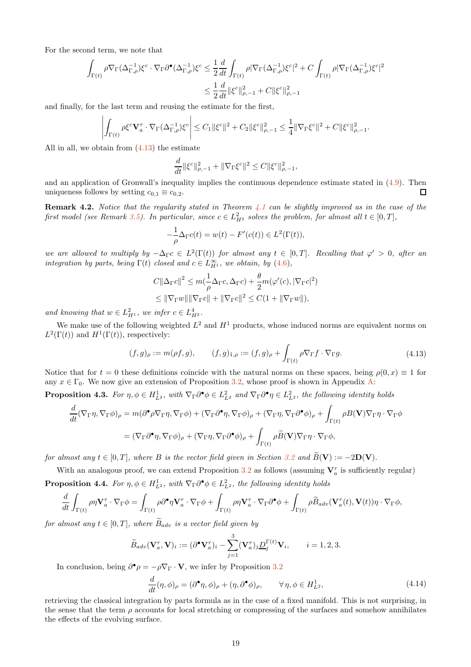For the second term, we note that

$$
\begin{aligned} \int_{\Gamma(t)} \rho \nabla_{\Gamma} (\Delta_{\Gamma,\rho}^{-1}) \xi^c \cdot \nabla_{\Gamma} \partial^\bullet (\Delta_{\Gamma,\rho}^{-1}) \xi^c &\leq \frac{1}{2} \frac{d}{dt} \int_{\Gamma(t)} \rho |\nabla_{\Gamma} (\Delta_{\Gamma,\rho}^{-1}) \xi^c|^2 + C \int_{\Gamma(t)} \rho |\nabla_{\Gamma} (\Delta_{\Gamma,\rho}^{-1}) \xi^c|^2 \\ &\leq \frac{1}{2} \frac{d}{dt} \|\xi^c\|_{\rho,-1}^2 + C \|\xi^c\|_{\rho,-1}^2 \end{aligned}
$$

and finally, for the last term and reusing the estimate for the first,

$$
\left|\int_{\Gamma(t)}\rho\xi^c\mathbf{V}_a^{\tau}\cdot\nabla_{\Gamma}(\Delta_{\Gamma,\rho}^{-1})\xi^c\right|\leq C_1\|\xi^c\|^2+C_2\|\xi^c\|_{\rho,-1}^2\leq \frac{1}{4}\|\nabla_{\Gamma}\xi^c\|^2+C\|\xi^c\|_{\rho,-1}^2.
$$

All in all, we obtain from [\(4.13\)](#page-18-0) the estimate

$$
\frac{d}{dt} \|\xi^c\|_{\rho,-1}^2 + \|\nabla_{\Gamma}\xi^c\|^2 \leq C \|\xi^c\|_{\rho,-1}^2,
$$

and an application of Gronwall's inequality implies the continuous dependence estimate stated in [\(4.9\)](#page-16-4). Then uniqueness follows by setting  $c_{0,1} \equiv c_{0,2}$ . П

**Remark 4.2.** Notice that the regularity stated in Theorem [4.1](#page-16-5) can be slightly improved as in the case of the first model (see Remark [3.5\)](#page-7-3). In particular, since  $c \in L_{H^2}^2$  solves the problem, for almost all  $t \in [0, T]$ ,

$$
-\frac{1}{\rho}\Delta_{\Gamma}c(t) = w(t) - F'(c(t)) \in L^2(\Gamma(t)),
$$

we are allowed to multiply by  $-\Delta_{\Gamma}c \in L^2(\Gamma(t))$  for almost any  $t \in [0,T]$ . Recalling that  $\varphi' > 0$ , after an integration by parts, being  $\Gamma(t)$  closed and  $c \in L^{\infty}_{H^1}$ , we obtain, by [\(4.6\)](#page-16-6),

$$
C \|\Delta_{\Gamma}c\|^2 \le m(\frac{1}{\rho}\Delta_{\Gamma}c, \Delta_{\Gamma}c) + \frac{\theta}{2}m(\varphi'(c), |\nabla_{\Gamma}c|^2)
$$
  

$$
\le ||\nabla_{\Gamma}w\| \|\nabla_{\Gamma}c\| + \|\nabla_{\Gamma}c\|^2 \le C(1 + \|\nabla_{\Gamma}w\|),
$$

and knowing that  $w \in L^2_{H^1}$ , we infer  $c \in L^4_{H^2}$ .

We make use of the following weighted  $L^2$  and  $H^1$  products, whose induced norms are equivalent norms on  $L^2(\Gamma(t))$  and  $H^1(\Gamma(t))$ , respectively:

<span id="page-18-0"></span>
$$
(f,g)_{\rho} := m(\rho f, g), \qquad (f,g)_{1,\rho} := (f,g)_{\rho} + \int_{\Gamma(t)} \rho \nabla_{\Gamma} f \cdot \nabla_{\Gamma} g.
$$
\n(4.13)

Notice that for  $t = 0$  these definitions coincide with the natural norms on these spaces, being  $\rho(0, x) \equiv 1$  for any  $x \in \Gamma_0$ . We now give an extension of Proposition [3.2,](#page-5-0) whose proof is shown in Appendix [A:](#page-27-0)

<span id="page-18-3"></span>**Proposition 4.3.** For  $\eta, \phi \in H_{L^2}^1$ , with  $\nabla_{\Gamma} \partial^{\bullet} \phi \in L^2_{L^2}$  and  $\nabla_{\Gamma} \partial^{\bullet} \eta \in L^2_{L^2}$ , the following identity holds

$$
\frac{d}{dt}(\nabla_{\Gamma}\eta, \nabla_{\Gamma}\phi)_{\rho} = m(\partial^{\bullet}\rho\nabla_{\Gamma}\eta, \nabla_{\Gamma}\phi) + (\nabla_{\Gamma}\partial^{\bullet}\eta, \nabla_{\Gamma}\phi)_{\rho} + (\nabla_{\Gamma}\eta, \nabla_{\Gamma}\partial^{\bullet}\phi)_{\rho} + \int_{\Gamma(t)} \rho B(\mathbf{V})\nabla_{\Gamma}\eta \cdot \nabla_{\Gamma}\phi
$$

$$
= (\nabla_{\Gamma}\partial^{\bullet}\eta, \nabla_{\Gamma}\phi)_{\rho} + (\nabla_{\Gamma}\eta, \nabla_{\Gamma}\partial^{\bullet}\phi)_{\rho} + \int_{\Gamma(t)} \rho \widetilde{B}(\mathbf{V})\nabla_{\Gamma}\eta \cdot \nabla_{\Gamma}\phi,
$$

for almost any  $t \in [0, T]$ , where B is the vector field given in Section [3.2](#page-4-1) and  $\widetilde{B}(\mathbf{V}) := -2\mathbf{D}(\mathbf{V})$ .

<span id="page-18-2"></span>With an analogous proof, we can extend Proposition [3.2](#page-5-0) as follows (assuming  $V_a^{\tau}$  is sufficiently regular) **Proposition 4.4.** For  $\eta, \phi \in H_{L^2}^1$ , with  $\nabla_{\Gamma} \partial^{\bullet} \phi \in L^2_{L^2}$ , the following identity holds

$$
\frac{d}{dt} \int_{\Gamma(t)} \rho \eta \mathbf{V}^\tau_a \cdot \nabla_\Gamma \phi = \int_{\Gamma(t)} \rho \partial^\bullet \eta \mathbf{V}^\tau_a \cdot \nabla_\Gamma \phi + \int_{\Gamma(t)} \rho \eta \mathbf{V}^\tau_a \cdot \nabla_\Gamma \partial^\bullet \phi + \int_{\Gamma(t)} \rho \widetilde{B}_{adv}(\mathbf{V}^\tau_a(t), \mathbf{V}(t)) \eta \cdot \nabla_\Gamma \phi,
$$

for almost any  $t \in [0, T]$ , where  $B_{adv}$  is a vector field given by

$$
\widetilde{B}_{adv}(\mathbf{V}_a^{\tau}, \mathbf{V})_i := (\partial^{\bullet} \mathbf{V}_a^{\tau})_i - \sum_{j=1}^3 (\mathbf{V}_a^{\tau})_j \underline{D}_j^{\Gamma(t)} \mathbf{V}_i, \qquad i = 1, 2, 3.
$$

In conclusion, being  $\partial^{\bullet} \rho = -\rho \nabla_{\Gamma} \cdot \mathbf{V}$ , we infer by Proposition [3.2](#page-5-0)

<span id="page-18-1"></span>
$$
\frac{d}{dt}(\eta,\phi)_{\rho} = (\partial^{\bullet}\eta,\phi)_{\rho} + (\eta,\partial^{\bullet}\phi)_{\rho}, \qquad \forall \eta,\phi \in H_{L^2}^1,\tag{4.14}
$$

retrieving the classical integration by parts formula as in the case of a fixed manifold. This is not surprising, in the sense that the term  $\rho$  accounts for local stretching or compressing of the surfaces and somehow annihilates the effects of the evolving surface.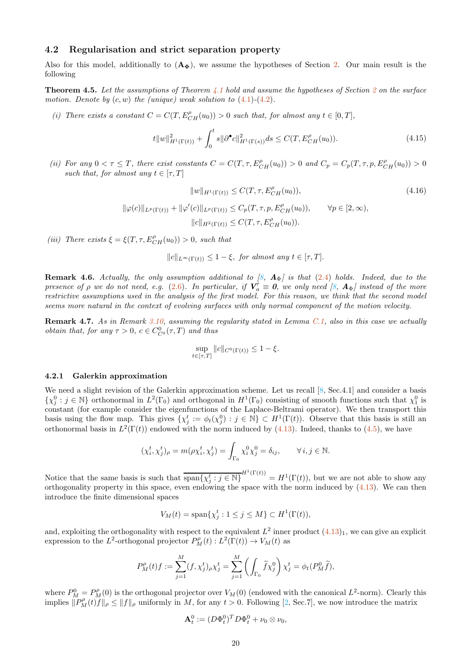## 4.2 Regularisation and strict separation property

Also for this model, additionally to  $(\mathbf{A}_{\Phi})$ , we assume the hypotheses of Section [2.](#page-2-0) Our main result is the following

<span id="page-19-0"></span>**Theorem 4.5.** Let the assumptions of Theorem [4.1](#page-16-5) hold and assume the hypotheses of Section [2](#page-2-0) on the surface motion. Denote by  $(c, w)$  the (unique) weak solution to  $(4.1)$ - $(4.2)$ .

(i) There exists a constant  $C = C(T, E_{CH}^{\rho}(u_0)) > 0$  such that, for almost any  $t \in [0, T]$ ,

$$
t||w||_{H^{1}(\Gamma(t))}^{2} + \int_{0}^{t} s||\partial^{\bullet}c||_{H^{1}(\Gamma(s))}^{2} ds \le C(T, E_{CH}^{\rho}(u_{0})). \tag{4.15}
$$

(ii) For any  $0 < \tau \leq T$ , there exist constants  $C = C(T, \tau, E_{CH}^{\rho}(u_0)) > 0$  and  $C_p = C_p(T, \tau, p, E_{CH}^{\rho}(u_0)) > 0$ such that, for almost any  $t \in [\tau, T]$ 

$$
||w||_{H^{1}(\Gamma(t))} \leq C(T, \tau, E_{CH}^{\rho}(u_0)),
$$
\n(4.16)

$$
\|\varphi(c)\|_{L^p(\Gamma(t))} + \|\varphi'(c)\|_{L^p(\Gamma(t))} \le C_p(T, \tau, p, E_{CH}^{\rho}(u_0)), \qquad \forall p \in [2, \infty),
$$
  

$$
\|c\|_{H^2(\Gamma(t))} \le C(T, \tau, E_{CH}^{\rho}(u_0)).
$$

(iii) There exists  $\xi = \xi(T, \tau, E_{CH}^{\rho}(u_0)) > 0$ , such that

$$
||c||_{L^{\infty}(\Gamma(t))} \leq 1 - \xi, \text{ for almost any } t \in [\tau, T].
$$

<span id="page-19-1"></span>**Remark 4.6.** Actually, the only assumption additional to [\[8,](#page-32-0)  $\mathbf{A}_{\Phi}$ ] is that [\(2.4\)](#page-3-1) holds. Indeed, due to the presence of  $\rho$  we do not need, e.g. [\(2.6\)](#page-3-2). In particular, if  $V_a^{\tau} \equiv 0$ , we only need [\[8,](#page-32-0)  $A_{\Phi}$ ] instead of the more restrictive assumptions used in the analysis of the first model. For this reason, we think that the second model seems more natural in the context of evolving surfaces with only normal component of the motion velocity.

Remark 4.7. As in Remark [3.10,](#page-10-5) assuming the regularity stated in Lemma [C.1,](#page-30-1) also in this case we actually *obtain that, for any*  $\tau > 0$ ,  $c \in C_{C^0}^0(\tau, T)$  *and thus* 

$$
\sup_{t \in [\tau, T]} \|c\|_{C^0(\Gamma(t))} \le 1 - \xi.
$$

#### 4.2.1 Galerkin approximation

We need a slight revision of the Galerkin approximation scheme. Let us recall [\[8,](#page-32-0) Sec.4.1] and consider a basis  $\{\chi_j^0 : j \in \mathbb{N}\}\$  orthonormal in  $L^2(\Gamma_0)$  and orthogonal in  $H^1(\Gamma_0)$  consisting of smooth functions such that  $\chi_1^0$  is constant (for example consider the eigenfunctions of the Laplace-Beltrami operator). We then transport this basis using the flow map. This gives  $\{\chi_j^t := \phi_t(\chi_j^0) : j \in \mathbb{N}\}\subset H^1(\Gamma(t))$ . Observe that this basis is still an orthonormal basis in  $L^2(\Gamma(t))$  endowed with the norm induced by [\(4.13\)](#page-18-0). Indeed, thanks to [\(4.5\)](#page-16-7), we have

$$
(\chi_i^t, \chi_j^t)_{\rho} = m(\rho \chi_i^t, \chi_j^t) = \int_{\Gamma_0} \chi_i^0 \chi_j^0 = \delta_{ij}, \qquad \forall i, j \in \mathbb{N}.
$$

Notice that the same basis is such that  $\overline{\text{span}\{\chi_j^t : j \in \mathbb{N}\}}^{H^1(\Gamma(t))} = H^1(\Gamma(t))$ , but we are not able to show any orthogonality property in this space, even endowing the space with the norm induced by  $(4.13)$ . We can then introduce the finite dimensional spaces

$$
V_M(t) = \text{span}\{\chi_j^t : 1 \le j \le M\} \subset H^1(\Gamma(t)),
$$

and, exploiting the orthogonality with respect to the equivalent  $L^2$  inner product  $(4.13)_1$ , we can give an explicit expression to the L<sup>2</sup>-orthogonal projector  $P_M^{\rho}(t): L^2(\Gamma(t)) \to V_M(t)$  as

$$
P_M^{\rho}(t)f := \sum_{j=1}^M (f, \chi_j^t)_{\rho} \chi_j^t = \sum_{j=1}^M \left( \int_{\Gamma_0} \widetilde{f} \chi_j^0 \right) \chi_j^t = \phi_t(P_M^0 \widetilde{f}),
$$

where  $P_M^0 = P_M^{\rho}(0)$  is the orthogonal projector over  $V_M(0)$  (endowed with the canonical  $L^2$ -norm). Clearly this implies  $\|\widetilde{P}_M^{\rho}(t)\widetilde{f}\|_{\rho} \leq \|f\|_{\rho}$  uniformly in M, for any  $t > 0$ . Following [\[2](#page-32-6), Sec.7], we now introduce the matrix

$$
\mathbf{A}_t^0 := (D\Phi_t^0)^T D\Phi_t^0 + \nu_0 \otimes \nu_0,
$$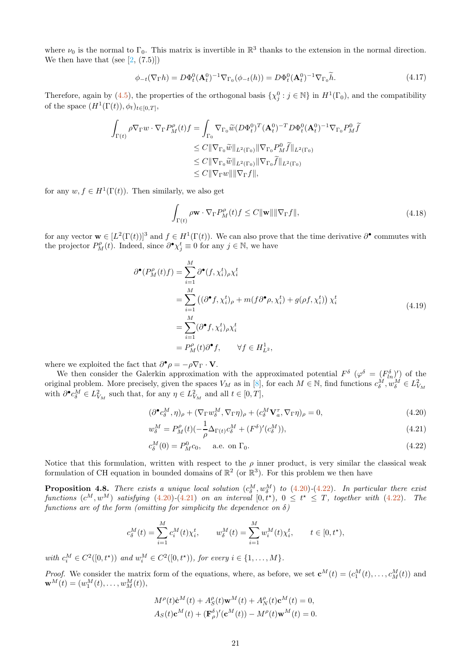where  $\nu_0$  is the normal to  $\Gamma_0$ . This matrix is invertible in  $\mathbb{R}^3$  thanks to the extension in the normal direction. We then have that (see  $[2, (7.5)]$ )

<span id="page-20-5"></span>
$$
\phi_{-t}(\nabla_{\Gamma}h) = D\Phi_t^0(\mathbf{A}_t^0)^{-1}\nabla_{\Gamma_0}(\phi_{-t}(h)) = D\Phi_t^0(\mathbf{A}_t^0)^{-1}\nabla_{\Gamma_0}\tilde{h}.\tag{4.17}
$$

Therefore, again by [\(4.5\)](#page-16-7), the properties of the orthogonal basis  $\{\chi_j^0 : j \in \mathbb{N}\}\$ in  $H^1(\Gamma_0)$ , and the compatibility of the space  $(H^1(\Gamma(t)), \phi_t)_{t \in [0,T]},$ 

$$
\int_{\Gamma(t)} \rho \nabla_{\Gamma} w \cdot \nabla_{\Gamma} P_M^{\rho}(t) f = \int_{\Gamma_0} \nabla_{\Gamma_0} \widetilde{w} (D \Phi_t^0)^T (\mathbf{A}_t^0)^{-T} D \Phi_t^0 (\mathbf{A}_t^0)^{-1} \nabla_{\Gamma_0} P_M^0 \widetilde{f}
$$
  
\n
$$
\leq C || \nabla_{\Gamma_0} \widetilde{w} ||_{L^2(\Gamma_0)} || \nabla_{\Gamma_0} P_M^0 \widetilde{f} ||_{L^2(\Gamma_0)}
$$
  
\n
$$
\leq C || \nabla_{\Gamma_0} \widetilde{w} ||_{L^2(\Gamma_0)} || \nabla_{\Gamma_0} \widetilde{f} ||_{L^2(\Gamma_0)}
$$
  
\n
$$
\leq C || \nabla_{\Gamma} w || || \nabla_{\Gamma} f ||,
$$

for any  $w, f \in H^1(\Gamma(t))$ . Then similarly, we also get

<span id="page-20-4"></span>
$$
\int_{\Gamma(t)} \rho \mathbf{w} \cdot \nabla_{\Gamma} P_M^{\rho}(t) f \le C \|\mathbf{w}\| \|\nabla_{\Gamma} f\|,\tag{4.18}
$$

for any vector  $\mathbf{w} \in [L^2(\Gamma(t))]^3$  and  $f \in H^1(\Gamma(t))$ . We can also prove that the time derivative  $\partial^{\bullet}$  commutes with the projector  $P_M^{\rho}(t)$ . Indeed, since  $\partial^{\bullet} \chi_j^t \equiv 0$  for any  $j \in \mathbb{N}$ , we have

$$
\partial^{\bullet}(P_M^{\rho}(t)f) = \sum_{i=1}^{M} \partial^{\bullet}(f, \chi_i^t)_{\rho} \chi_i^t
$$
  
\n
$$
= \sum_{i=1}^{M} ((\partial^{\bullet} f, \chi_i^t)_{\rho} + m(f \partial^{\bullet} \rho, \chi_i^t) + g(\rho f, \chi_i^t)) \chi_i^t
$$
  
\n
$$
= \sum_{i=1}^{M} (\partial^{\bullet} f, \chi_i^t)_{\rho} \chi_i^t
$$
  
\n
$$
= P_M^{\rho}(t) \partial^{\bullet} f, \quad \forall f \in H_{L^2}^1,
$$
\n(4.19)

where we exploited the fact that  $\partial^{\bullet} \rho = -\rho \nabla_{\Gamma} \cdot \mathbf{V}$ .

We then consider the Galerkin approximation with the approximated potential  $F^{\delta}$  ( $\varphi^{\delta} = (F^{\delta}_{ln})'$ ) of the original problem. More precisely, given the spaces  $V_M$  as in [\[8](#page-32-0)], for each  $M \in \mathbb{N}$ , find functions  $c_{\delta}^{\tilde{M}}, w_{\delta}^{\tilde{M}} \in L^2_{V_M}$ with  $\partial^{\bullet} c_{\delta}^M \in L^2_{V_M}$  such that, for any  $\eta \in L^2_{V_M}$  and all  $t \in [0, T]$ ,

<span id="page-20-0"></span>
$$
(\partial^{\bullet} c_{\delta}^M, \eta)_{\rho} + (\nabla_{\Gamma} w_{\delta}^M, \nabla_{\Gamma} \eta)_{\rho} + (c_{\delta}^M \mathbf{V}_{a}^{\tau}, \nabla_{\Gamma} \eta)_{\rho} = 0, \qquad (4.20)
$$

<span id="page-20-2"></span>
$$
w_{\delta}^{M} = P_{M}^{\rho}(t)(-\frac{1}{\rho}\Delta_{\Gamma(t)}c_{\delta}^{M} + (F^{\delta})'(c_{\delta}^{M})),
$$
\n(4.21)

<span id="page-20-1"></span>
$$
c_{\delta}^{M}(0) = P_{M}^{0}c_{0}, \quad \text{a.e. on } \Gamma_{0}.
$$
 (4.22)

Notice that this formulation, written with respect to the  $\rho$  inner product, is very similar the classical weak formulation of CH equation in bounded domains of  $\mathbb{R}^2$  (or  $\mathbb{R}^3$ ). For this problem we then have

<span id="page-20-3"></span>**Proposition 4.8.** There exists a unique local solution  $(c_{\delta}^M, w_{\delta}^M)$  to  $(4.20)-(4.22)$  $(4.20)-(4.22)$  $(4.20)-(4.22)$ . In particular there exist functions  $(c^M, w^M)$  satisfying  $(4.20)-(4.21)$  $(4.20)-(4.21)$  $(4.20)-(4.21)$  on an interval  $[0, t^{\star})$ ,  $0 \leq t^{\star} \leq T$ , together with  $(4.22)$ . The functions are of the form (omitting for simplicity the dependence on  $\delta$ )

$$
c_{\delta}^{M}(t) = \sum_{i=1}^{M} c_{i}^{M}(t) \chi_{i}^{t}, \qquad w_{\delta}^{M}(t) = \sum_{i=1}^{M} w_{i}^{M}(t) \chi_{i}^{t}, \qquad t \in [0, t^{\star}),
$$

with  $c_i^M \in C^2([0, t^*)$  and  $w_i^M \in C^2([0, t^*)$ , for every  $i \in \{1, ..., M\}$ .

*Proof.* We consider the matrix form of the equations, where, as before, we set  $\mathbf{c}^M(t) = (c_1^M(t), \dots, c_M^M(t))$  and  $\mathbf{w}^{M}(t) = (w_1^{M}(t), \ldots, w_M^{M}(t)),$ 

$$
M^{\rho}(t)\dot{\mathbf{c}}^{M}(t) + A^{\rho}_{S}(t)\mathbf{w}^{M}(t) + A^{\rho}_{N}(t)\mathbf{c}^{M}(t) = 0,
$$
  

$$
A_{S}(t)\mathbf{c}^{M}(t) + (\mathbf{F}^{\delta}_{\rho})'(\mathbf{c}^{M}(t)) - M^{\rho}(t)\mathbf{w}^{M}(t) = 0.
$$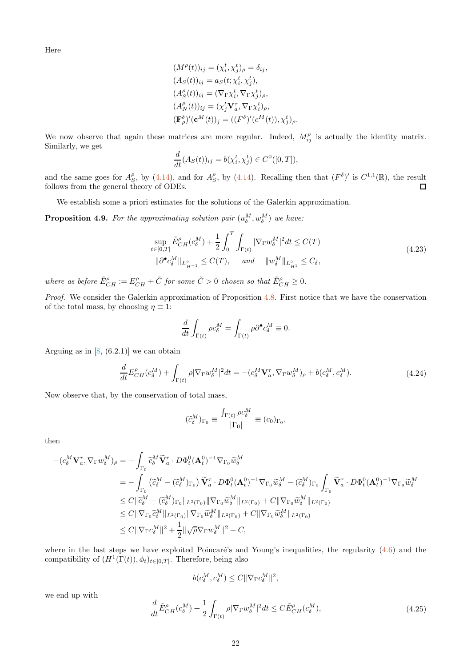Here

$$
(M^{\rho}(t))_{ij} = (\chi_i^t, \chi_j^t)_{\rho} = \delta_{ij},
$$
  
\n
$$
(A_S(t))_{ij} = a_S(t; \chi_i^t, \chi_j^t),
$$
  
\n
$$
(A_S^{\rho}(t))_{ij} = (\nabla_{\Gamma} \chi_i^t, \nabla_{\Gamma} \chi_j^t)_{\rho},
$$
  
\n
$$
(A_N^{\rho}(t))_{ij} = (\chi_j^t \mathbf{V}_a^{\tau}, \nabla_{\Gamma} \chi_i^t)_{\rho},
$$
  
\n
$$
(\mathbf{F}_{\rho}^{\delta})'(\mathbf{c}^M(t))_j = ((F^{\delta})'(c^M(t)), \chi_j^t)_{\rho}.
$$

We now observe that again these matrices are more regular. Indeed,  $M_{ij}^{\rho}$  is actually the identity matrix. Similarly, we get

$$
\frac{d}{dt}(A_S(t))_{ij} = b(\chi_i^t, \chi_j^t) \in C^0([0, T]),
$$

and the same goes for  $A_S^{\rho}$ , by [\(4.14\)](#page-18-1), and for  $A_S^{\rho}$ , by (4.14). Recalling then that  $(F^{\delta})'$  is  $C^{1,1}(\mathbb{R})$ , the result follows from the general theory of ODEs.  $\Box$ 

We establish some a priori estimates for the solutions of the Galerkin approximation.

**Proposition 4.9.** For the approximating solution pair  $(u_{\delta}^M, w_{\delta}^M)$  we have:

<span id="page-21-0"></span>
$$
\sup_{t \in [0,T]} \tilde{E}_{CH}^{\rho}(c_{\delta}^{M}) + \frac{1}{2} \int_{0}^{T} \int_{\Gamma(t)} |\nabla_{\Gamma} w_{\delta}^{M}|^{2} dt \le C(T)
$$
\n
$$
\|\partial^{\bullet} c_{\delta}^{M}\|_{L^{2}_{H^{-1}}} \le C(T), \quad \text{and} \quad \|w_{\delta}^{M}\|_{L^{2}_{H^{1}}} \le C_{\delta},
$$
\n(4.23)

where as before  $\tilde{E}_{CH}^{\rho} := E_{CH}^{\rho} + \tilde{C}$  for some  $\tilde{C} > 0$  chosen so that  $\tilde{E}_{CH}^{\rho} \ge 0$ .

Proof. We consider the Galerkin approximation of Proposition [4.8.](#page-20-3) First notice that we have the conservation of the total mass, by choosing  $\eta \equiv 1$ :

$$
\frac{d}{dt}\int_{\Gamma(t)}\rho c^M_\delta=\int_{\Gamma(t)}\rho\partial^\bullet c^M_\delta\equiv 0.
$$

Arguing as in  $[8, (6.2.1)]$  we can obtain

$$
\frac{d}{dt}E_{CH}^{\rho}(c_{\delta}^M) + \int_{\Gamma(t)} \rho |\nabla_{\Gamma} w_{\delta}^M|^2 dt = -(c_{\delta}^M \mathbf{V}_{a}^{\tau}, \nabla_{\Gamma} w_{\delta}^M)_{\rho} + b(c_{\delta}^M, c_{\delta}^M). \tag{4.24}
$$

Now observe that, by the conservation of total mass,

$$
(\widetilde{c}_{\delta}^M)_{\Gamma_0} \equiv \frac{\int_{\Gamma(t)} \rho c_{\delta}^M}{|\Gamma_0|} \equiv (c_0)_{\Gamma_0},
$$

then

$$
\begin{split}\n&-(c_{\delta}^{M}\mathbf{V}_{a}^{\tau},\nabla_{\Gamma}w_{\delta}^{M})_{\rho}=-\int_{\Gamma_{0}}\widetilde{c}_{\delta}^{M}\widetilde{\mathbf{V}}_{a}^{\tau}\cdot D\Phi_{t}^{0}(\mathbf{A}_{t}^{0})^{-1}\nabla_{\Gamma_{0}}\widetilde{w}_{\delta}^{M} \\
&=-\int_{\Gamma_{0}}(\widetilde{c}_{\delta}^{M}-(\widetilde{c}_{\delta}^{M})_{\Gamma_{0}})\widetilde{\mathbf{V}}_{a}^{\tau}\cdot D\Phi_{t}^{0}(\mathbf{A}_{t}^{0})^{-1}\nabla_{\Gamma_{0}}\widetilde{w}_{\delta}^{M}-(\widetilde{c}_{\delta}^{M})_{\Gamma_{0}}\int_{\Gamma_{0}}\widetilde{\mathbf{V}}_{a}^{\tau}\cdot D\Phi_{t}^{0}(\mathbf{A}_{t}^{0})^{-1}\nabla_{\Gamma_{0}}\widetilde{w}_{\delta}^{M} \\
&\leq C\|\widetilde{c}_{\delta}^{M}-(\widetilde{c}_{\delta}^{M})_{\Gamma_{0}}\|_{L^{2}(\Gamma_{0})}\|\nabla_{\Gamma_{0}}\widetilde{w}_{\delta}^{M}\|_{L^{2}(\Gamma_{0})}+C\|\nabla_{\Gamma_{0}}\widetilde{w}_{\delta}^{M}\|_{L^{2}(\Gamma_{0})} \\
&\leq C\|\nabla_{\Gamma_{0}}\widetilde{c}_{\delta}^{M}\|_{L^{2}(\Gamma_{0})}\|\nabla_{\Gamma_{0}}\widetilde{w}_{\delta}^{M}\|_{L^{2}(\Gamma_{0})}+C\|\nabla_{\Gamma_{0}}\widetilde{w}_{\delta}^{M}\|_{L^{2}(\Gamma_{0})} \\
&\leq C\|\nabla_{\Gamma}c_{\delta}^{M}\|^{2}+\frac{1}{2}\|\sqrt{\rho}\nabla_{\Gamma}w_{\delta}^{M}\|^{2}+C,\n\end{split}
$$

where in the last steps we have exploited Poincaré's and Young's inequalities, the regularity  $(4.6)$  and the compatibility of  $(H^1(\Gamma(t)), \phi_t)_{t \in [0,T]}$ . Therefore, being also

$$
b(c_{\delta}^M, c_{\delta}^M) \le C ||\nabla_{\Gamma} c_{\delta}^M||^2,
$$

we end up with

$$
\frac{d}{dt}\tilde{E}_{CH}^{\rho}(c_{\delta}^{M}) + \frac{1}{2} \int_{\Gamma(t)} \rho |\nabla_{\Gamma} w_{\delta}^{M}|^{2} dt \le C \tilde{E}_{CH}^{\rho}(c_{\delta}^{M}),\tag{4.25}
$$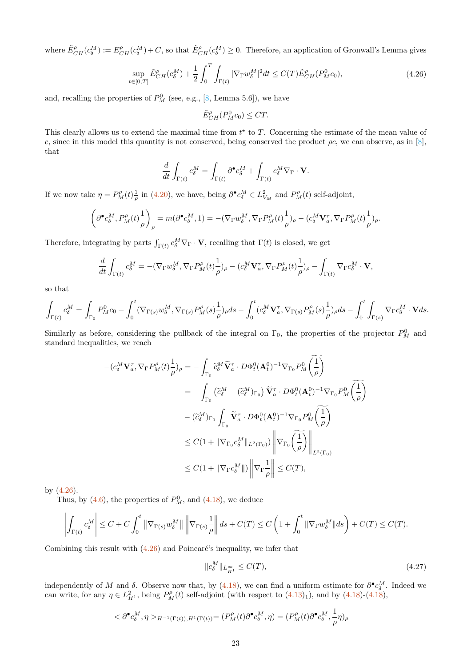where  $\tilde{E}_{CH}^{\rho}(c_{\delta}^M) := E_{CH}^{\rho}(c_{\delta}^M) + C$ , so that  $\tilde{E}_{CH}^{\rho}(c_{\delta}^M) \ge 0$ . Therefore, an application of Gronwall's Lemma gives

<span id="page-22-0"></span>
$$
\sup_{t \in [0,T]} \tilde{E}_{CH}^{\rho}(c_{\delta}^M) + \frac{1}{2} \int_0^T \int_{\Gamma(t)} |\nabla_{\Gamma} w_{\delta}^M|^2 dt \le C(T) \tilde{E}_{CH}^{\rho}(P_M^0 c_0), \tag{4.26}
$$

and, recalling the properties of  $P_M^0$  (see, e.g., [\[8](#page-32-0), Lemma 5.6]), we have

$$
\tilde{E}_{CH}^{\rho}(P_M^0c_0) \leq CT.
$$

This clearly allows us to extend the maximal time from  $t^*$  to T. Concerning the estimate of the mean value of c, since in this model this quantity is not conserved, being conserved the product  $\rho c$ , we can observe, as in [\[8](#page-32-0)], that

$$
\frac{d}{dt} \int_{\Gamma(t)} c_{\delta}^M = \int_{\Gamma(t)} \partial^{\bullet} c_{\delta}^M + \int_{\Gamma(t)} c_{\delta}^M \nabla_{\Gamma} \cdot \mathbf{V}.
$$

If we now take  $\eta = P_M^{\rho}(t) \frac{1}{\rho}$  in [\(4.20\)](#page-20-0), we have, being  $\partial^{\bullet} c_{\delta}^M \in L^2_{V_M}$  and  $P_M^{\rho}(t)$  self-adjoint,

$$
\left(\partial^\bullet c_\delta^M, P^{\rho}_M(t)\frac{1}{\rho}\right)_{\rho}=m(\partial^\bullet c_\delta^M,1)=-(\nabla_{\Gamma} w^M_\delta, \nabla_{\Gamma} P^\rho_M(t)\frac{1}{\rho})_{\rho}-(c_\delta^M\mathbf{V}^{\tau}_a, \nabla_{\Gamma} P^\rho_M(t)\frac{1}{\rho})_{\rho}.
$$

Therefore, integrating by parts  $\int_{\Gamma(t)} c_\delta^M \nabla_{\Gamma} \cdot \mathbf{V}$ , recalling that  $\Gamma(t)$  is closed, we get

$$
\frac{d}{dt} \int_{\Gamma(t)} c_{\delta}^M = -(\nabla_{\Gamma} w_{\delta}^M, \nabla_{\Gamma} P_M^{\rho}(t) \frac{1}{\rho})_{\rho} - (c_{\delta}^M \mathbf{V}_{a}^{\tau}, \nabla_{\Gamma} P_M^{\rho}(t) \frac{1}{\rho})_{\rho} - \int_{\Gamma(t)} \nabla_{\Gamma} c_{\delta}^M \cdot \mathbf{V},
$$

so that

$$
\int_{\Gamma(t)} c_\delta^M = \int_{\Gamma_0} P_M^0 c_0 - \int_0^t (\nabla_{\Gamma(s)} w_\delta^M, \nabla_{\Gamma(s)} P_M^{\rho}(s) \frac{1}{\rho})_\rho ds - \int_0^t (c_\delta^M \mathbf{V}_a^{\tau}, \nabla_{\Gamma(s)} P_M^{\rho}(s) \frac{1}{\rho})_\rho ds - \int_0^t \int_{\Gamma(s)} \nabla_{\Gamma} c_\delta^M \cdot \mathbf{V} ds.
$$

Similarly as before, considering the pullback of the integral on  $\Gamma_0$ , the properties of the projector  $P_M^0$  and standard inequalities, we reach

$$
-(c_{\delta}^{M}\mathbf{V}_{a}^{\tau}, \nabla_{\Gamma}P_{M}^{\rho}(t)\frac{1}{\rho})_{\rho} = -\int_{\Gamma_{0}} \widetilde{c}_{\delta}^{M} \widetilde{\mathbf{V}}_{a}^{\tau} \cdot D\Phi_{t}^{0}(\mathbf{A}_{t}^{0})^{-1} \nabla_{\Gamma_{0}} P_{M}^{0}(\frac{1}{\rho})
$$
  
\n
$$
= -\int_{\Gamma_{0}} (\widetilde{c}_{\delta}^{M} - (\widetilde{c}_{\delta}^{M})_{\Gamma_{0}}) \widetilde{\mathbf{V}}_{a}^{\tau} \cdot D\Phi_{t}^{0}(\mathbf{A}_{t}^{0})^{-1} \nabla_{\Gamma_{0}} P_{M}^{0}(\frac{1}{\rho})
$$
  
\n
$$
- (\widetilde{c}_{\delta}^{M})_{\Gamma_{0}} \int_{\Gamma_{0}} \widetilde{\mathbf{V}}_{a}^{\tau} \cdot D\Phi_{t}^{0}(\mathbf{A}_{t}^{0})^{-1} \nabla_{\Gamma_{0}} P_{M}^{0}(\frac{1}{\rho})
$$
  
\n
$$
\leq C(1 + \|\nabla_{\Gamma_{0}} c_{\delta}^{M}\|_{L^{2}(\Gamma_{0})}) \left\| \nabla_{\Gamma_{0}} (\frac{1}{\rho}) \right\|_{L^{2}(\Gamma_{0})}
$$
  
\n
$$
\leq C(1 + \|\nabla_{\Gamma} c_{\delta}^{M}\|) \left\| \nabla_{\Gamma} \frac{1}{\rho} \right\| \leq C(T),
$$

by [\(4.26\)](#page-22-0).

Thus, by  $(4.6)$ , the properties of  $P_M^0$ , and  $(4.18)$ , we deduce

$$
\left|\int_{\Gamma(t)}c_\delta^M\right|\leq C+C\int_0^t\left\|\nabla_{\Gamma(s)}w_\delta^M\right\|\left\|\nabla_{\Gamma(s)}\frac{1}{\rho}\right\|ds+C(T)\leq C\left(1+\int_0^t\|\nabla_{\Gamma}w_\delta^M\|ds\right)+C(T)\leq C(T).
$$

Combining this result with  $(4.26)$  and Poincaré's inequality, we infer that

<span id="page-22-1"></span>
$$
||c_{\delta}^{M}||_{L_{H^{1}}^{\infty}} \leq C(T), \tag{4.27}
$$

independently of M and  $\delta$ . Observe now that, by [\(4.18\)](#page-20-4), we can find a uniform estimate for  $\partial^{\bullet} c_{\delta}^M$ . Indeed we mae pendently of *M* and *b*. Observe now that, by (4.16), we can find a unnorm estimate for  $\sigma$   $c_{\delta}$ .<br>can write, for any  $\eta \in L_{H^1}^2$ , being  $P_M^{\rho}(t)$  self-adjoint (with respect to  $(4.13)_1$ ), and by  $(4.18)-(4.18)$  $(4.18)-(4.18)$ 

$$
\langle \partial^{\bullet} c_{\delta}^M, \eta \rangle_{H^{-1}(\Gamma(t)), H^1(\Gamma(t))} = (P_M^{\rho}(t) \partial^{\bullet} c_{\delta}^M, \eta) = (P_M^{\rho}(t) \partial^{\bullet} c_{\delta}^M, \frac{1}{\rho} \eta)_{\rho}
$$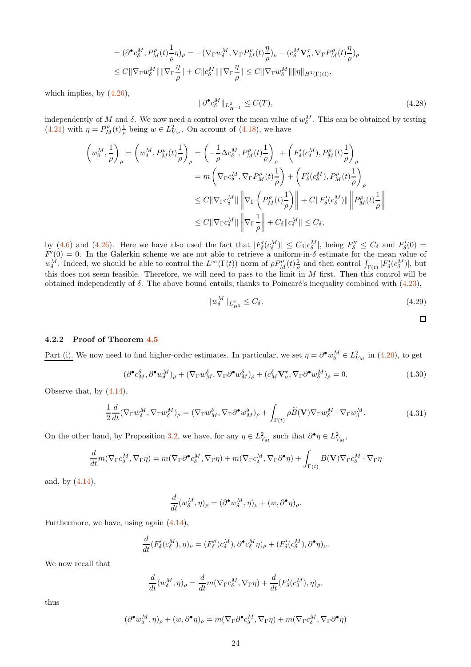$$
= (\partial^{\bullet} c_{\delta}^{M}, P_{M}^{\rho}(t) \frac{1}{\rho} \eta)_{\rho} = -(\nabla_{\Gamma} w_{\delta}^{M}, \nabla_{\Gamma} P_{M}^{\rho}(t) \frac{\eta}{\rho})_{\rho} - (c_{\delta}^{M} \mathbf{V}_{a}^{\tau}, \nabla_{\Gamma} P_{M}^{\rho}(t) \frac{\eta}{\rho})_{\rho}
$$
  

$$
\leq C \|\nabla_{\Gamma} w_{\delta}^{M}\| \|\nabla_{\Gamma} \frac{\eta}{\rho}\| + C \|c_{\delta}^{M}\| \|\nabla_{\Gamma} \frac{\eta}{\rho}\| \leq C \|\nabla_{\Gamma} w_{\delta}^{M}\| \|\eta\|_{H^{1}(\Gamma(t))},
$$

which implies, by [\(4.26\)](#page-22-0),

<span id="page-23-2"></span>
$$
\|\partial^{\bullet} c_{\delta}^M\|_{L^2_{H^{-1}}} \le C(T),\tag{4.28}
$$

independently of M and  $\delta$ . We now need a control over the mean value of  $w_{\delta}^M$ . This can be obtained by testing  $(4.21)$  with  $\eta = P_M^{\rho}(t) \frac{1}{\rho}$  being  $w \in L^2_{V_M}$ . On account of  $(4.18)$ , we have

$$
\left(w_{\delta}^{M}, \frac{1}{\rho}\right)_{\rho} = \left(w_{\delta}^{M}, P_{M}^{\rho}(t)\frac{1}{\rho}\right)_{\rho} = \left(-\frac{1}{\rho}\Delta c_{\delta}^{M}, P_{M}^{\rho}(t)\frac{1}{\rho}\right)_{\rho} + \left(F_{\delta}^{\prime}(c_{\delta}^{M}), P_{M}^{\rho}(t)\frac{1}{\rho}\right)_{\rho}
$$
\n
$$
= m\left(\nabla_{\Gamma}c_{\delta}^{M}, \nabla_{\Gamma}P_{M}^{\rho}(t)\frac{1}{\rho}\right) + \left(F_{\delta}^{\prime}(c_{\delta}^{M}), P_{M}^{\rho}(t)\frac{1}{\rho}\right)_{\rho}
$$
\n
$$
\leq C\|\nabla_{\Gamma}c_{\delta}^{M}\| \left\|\nabla_{\Gamma}\left(P_{M}^{\rho}(t)\frac{1}{\rho}\right)\right\| + C\|F_{\delta}^{\prime}(c_{\delta}^{M})\| \left\|P_{M}^{\rho}(t)\frac{1}{\rho}\right\|
$$
\n
$$
\leq C\|\nabla_{\Gamma}c_{\delta}^{M}\| \left\|\nabla_{\Gamma}\frac{1}{\rho}\right\| + C_{\delta}\|c_{\delta}^{M}\| \leq C_{\delta},
$$

by [\(4.6\)](#page-16-6) and [\(4.26\)](#page-22-0). Here we have also used the fact that  $|F'_{\delta}(c_{\delta}^M)| \leq C_{\delta} |c_{\delta}^M|$ , being  $F''_{\delta} \leq C_{\delta}$  and  $F'_{\delta}(0) =$  $F'(0) = 0$ . In the Galerkin scheme we are not able to retrieve a uniform-in- $\delta$  estimate for the mean value of  $w_{\delta}^{\dot{M}}$ . Indeed, we should be able to control the  $L^{\infty}(\Gamma(t))$  norm of  $\rho P_M^{\rho}(t) \frac{1}{\rho}$  and then control  $\int_{\Gamma(t)} |F_{\delta}'(c_{\delta}^{\dot{M}})|$ , but this does not seem feasible. Therefore, we will need to pass to the limit in  $M$  first. Then this control will be obtained independently of  $\delta$ . The above bound entails, thanks to Poincaré's inequality combined with [\(4.23\)](#page-21-0),

<span id="page-23-3"></span>
$$
||w_{\delta}^{M}||_{L_{H^{1}}^{2}} \leq C_{\delta}.
$$
\n(4.29)

$$
\qquad \qquad \Box
$$

#### 4.2.2 Proof of Theorem [4.5](#page-19-0)

Part (i). We now need to find higher-order estimates. In particular, we set  $\eta = \partial^{\bullet} w_{\delta}^M \in L^2_{V_M}$  in [\(4.20\)](#page-20-0), to get

<span id="page-23-0"></span>
$$
(\partial^{\bullet} c_M^{\delta}, \partial^{\bullet} w_{\delta}^M)_{\rho} + (\nabla_{\Gamma} w_M^{\delta}, \nabla_{\Gamma} \partial^{\bullet} w_M^{\delta})_{\rho} + (c_M^{\delta} \mathbf{V}_a^{\tau}, \nabla_{\Gamma} \partial^{\bullet} w_{\delta}^M)_{\rho} = 0.
$$
\n(4.30)

Observe that, by [\(4.14\)](#page-18-1),

<span id="page-23-1"></span>
$$
\frac{1}{2}\frac{d}{dt}(\nabla_{\Gamma}w_{\delta}^{M}, \nabla_{\Gamma}w_{\delta}^{M})_{\rho} = (\nabla_{\Gamma}w_{M}^{\delta}, \nabla_{\Gamma}\partial^{\bullet}w_{M}^{\delta})_{\rho} + \int_{\Gamma(t)}\rho\widetilde{B}(\mathbf{V})\nabla_{\Gamma}w_{\delta}^{M} \cdot \nabla_{\Gamma}w_{\delta}^{M}.
$$
\n(4.31)

On the other hand, by Proposition [3.2,](#page-5-0) we have, for any  $\eta \in L^2_{V_M}$  such that  $\partial^{\bullet} \eta \in L^2_{V_M}$ ,

$$
\frac{d}{dt}m(\nabla_{\Gamma}c_{\delta}^{M},\nabla_{\Gamma}\eta) = m(\nabla_{\Gamma}\partial^{\bullet}c_{\delta}^{M},\nabla_{\Gamma}\eta) + m(\nabla_{\Gamma}c_{\delta}^{M},\nabla_{\Gamma}\partial^{\bullet}\eta) + \int_{\Gamma(t)}B(\mathbf{V})\nabla_{\Gamma}c_{\delta}^{M}\cdot\nabla_{\Gamma}\eta
$$

and, by [\(4.14\)](#page-18-1),

$$
\frac{d}{dt}(w_\delta^M,\eta)_\rho=(\partial^\bullet w_\delta^M,\eta)_\rho+(w,\partial^\bullet\eta)_\rho.
$$

Furthermore, we have, using again [\(4.14\)](#page-18-1),

$$
\frac{d}{dt}(F'_{\delta}(c_{\delta}^M),\eta)_{\rho}=(F''_{\delta}(c_{\delta}^M),\partial^{\bullet} c_{\delta}^M\eta)_{\rho}+(F'_{\delta}(c_{\delta}^M),\partial^{\bullet}\eta)_{\rho}.
$$

We now recall that

$$
\frac{d}{dt}(w_\delta^M,\eta)_\rho = \frac{d}{dt}m(\nabla_\Gamma c_\delta^M,\nabla_\Gamma \eta) + \frac{d}{dt}(F_\delta'(c_\delta^M),\eta)_\rho,
$$

thus

$$
(\partial^{\bullet} w_{\delta}^M, \eta)_{\rho} + (w, \partial^{\bullet} \eta)_{\rho} = m(\nabla_{\Gamma} \partial^{\bullet} c_{\delta}^M, \nabla_{\Gamma} \eta) + m(\nabla_{\Gamma} c_{\delta}^M, \nabla_{\Gamma} \partial^{\bullet} \eta)
$$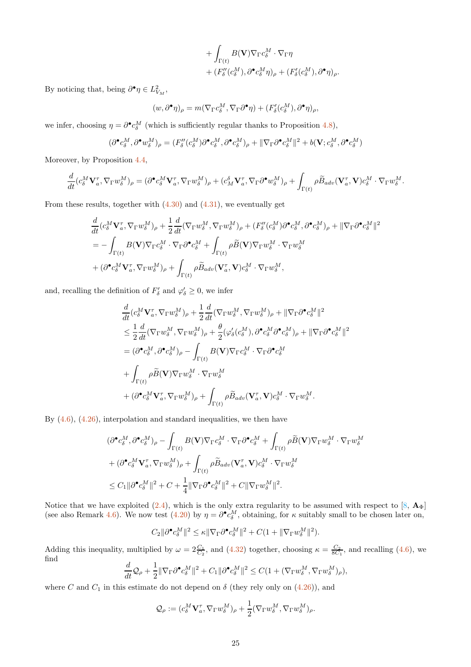$$
+ \int_{\Gamma(t)} B(\mathbf{V}) \nabla_{\Gamma} c_{\delta}^M \cdot \nabla_{\Gamma} \eta + (F''_{\delta} (c_{\delta}^M), \partial^{\bullet} c_{\delta}^M \eta)_{\rho} + (F'_{\delta} (c_{\delta}^M), \partial^{\bullet} \eta)_{\rho}.
$$

By noticing that, being  $\partial^{\bullet} \eta \in L^2_{V_M}$ ,

$$
(w, \partial^{\bullet} \eta)_{\rho} = m(\nabla_{\Gamma} c_{\delta}^{M}, \nabla_{\Gamma} \partial^{\bullet} \eta) + (F_{\delta}'(c_{\delta}^{M}), \partial^{\bullet} \eta)_{\rho},
$$

we infer, choosing  $\eta = \partial^{\bullet} c_{\delta}^M$  (which is sufficiently regular thanks to Proposition [4.8\)](#page-20-3),

$$
(\partial^{\bullet} c_{\delta}^M, \partial^{\bullet} w_{\delta}^M)_{\rho} = (F''_{\delta} (c_{\delta}^M) \partial^{\bullet} c_{\delta}^M, \partial^{\bullet} c_{\delta}^M)_{\rho} + ||\nabla_{\Gamma} \partial^{\bullet} c_{\delta}^M||^2 + b(\mathbf{V}; c_{\delta}^M, \partial^{\bullet} c_{\delta}^M)
$$

Moreover, by Proposition [4.4,](#page-18-2)

$$
\frac{d}{dt}(c_\delta^M\mathbf{V}_a^\tau,\nabla_\Gamma w_\delta^M)_\rho=(\partial^\bullet c_\delta^M\mathbf{V}_a^\tau,\nabla_\Gamma w_\delta^M)_\rho+(c_M^\delta\mathbf{V}_a^\tau,\nabla_\Gamma\partial^\bullet w_\delta^M)_\rho+\int_{\Gamma(t)}\rho\widetilde{B}_{adv}(\mathbf{V}_a^\tau,\mathbf{V})c_\delta^M\cdot\nabla_\Gamma w_\delta^M.
$$

From these results, together with  $(4.30)$  and  $(4.31)$ , we eventually get

$$
\frac{d}{dt}(c_{\delta}^{M}\mathbf{V}_{a}^{\tau},\nabla_{\Gamma}w_{\delta}^{M})_{\rho} + \frac{1}{2}\frac{d}{dt}(\nabla_{\Gamma}w_{\delta}^{M},\nabla_{\Gamma}w_{\delta}^{M})_{\rho} + (F_{\delta}''(c_{\delta}^{M})\partial^{\bullet}c_{\delta}^{M},\partial^{\bullet}c_{\delta}^{M})_{\rho} + \|\nabla_{\Gamma}\partial^{\bullet}c_{\delta}^{M}\|^{2}
$$
\n
$$
= -\int_{\Gamma(t)}B(\mathbf{V})\nabla_{\Gamma}c_{\delta}^{M}\cdot\nabla_{\Gamma}\partial^{\bullet}c_{\delta}^{M} + \int_{\Gamma(t)}\rho\widetilde{B}(\mathbf{V})\nabla_{\Gamma}w_{\delta}^{M}\cdot\nabla_{\Gamma}w_{\delta}^{M}
$$
\n
$$
+ (\partial^{\bullet}c_{\delta}^{M}\mathbf{V}_{a}^{\tau},\nabla_{\Gamma}w_{\delta}^{M})_{\rho} + \int_{\Gamma(t)}\rho\widetilde{B}_{adv}(\mathbf{V}_{a}^{\tau},\mathbf{V})c_{\delta}^{M}\cdot\nabla_{\Gamma}w_{\delta}^{M},
$$

and, recalling the definition of  $F'_{\delta}$  and  $\varphi'_{\delta} \geq 0$ , we infer

$$
\begin{split} &\frac{d}{dt}(c_{\delta}^{M}\mathbf{V}_{a}^{\tau},\nabla_{\Gamma}w_{\delta}^{M})_{\rho}+\frac{1}{2}\frac{d}{dt}(\nabla_{\Gamma}w_{\delta}^{M},\nabla_{\Gamma}w_{\delta}^{M})_{\rho}+\|\nabla_{\Gamma}\partial^{\bullet}c_{\delta}^{M}\|^{2}\\ &\leq \frac{1}{2}\frac{d}{dt}(\nabla_{\Gamma}w_{\delta}^{M},\nabla_{\Gamma}w_{\delta}^{M})_{\rho}+\frac{\theta}{2}(\varphi_{\delta}'(c_{\delta}^{M}),\partial^{\bullet}c_{\delta}^{M}\partial^{\bullet}c_{\delta}^{M})_{\rho}+\|\nabla_{\Gamma}\partial^{\bullet}c_{\delta}^{M}\|^{2}\\ &=(\partial^{\bullet}c_{\delta}^{M},\partial^{\bullet}c_{\delta}^{M})_{\rho}-\int_{\Gamma(t)}B(\mathbf{V})\nabla_{\Gamma}c_{\delta}^{M}\cdot\nabla_{\Gamma}\partial^{\bullet}c_{\delta}^{M}\\ &+\int_{\Gamma(t)}\rho\widetilde{B}(\mathbf{V})\nabla_{\Gamma}w_{\delta}^{M}\cdot\nabla_{\Gamma}w_{\delta}^{M}\\ &+(\partial^{\bullet}c_{\delta}^{M}\mathbf{V}_{a}^{\tau},\nabla_{\Gamma}w_{\delta}^{M})_{\rho}+\int_{\Gamma(t)}\rho\widetilde{B}_{adv}(\mathbf{V}_{a}^{\tau},\mathbf{V})c_{\delta}^{M}\cdot\nabla_{\Gamma}w_{\delta}^{M}.\end{split}
$$

By  $(4.6)$ ,  $(4.26)$ , interpolation and standard inequalities, we then have

$$
\begin{split} &(\partial^\bullet c_\delta^M, \partial^\bullet c_\delta^M)_\rho - \int_{\Gamma(t)} B(\mathbf{V}) \nabla_{\Gamma} c_\delta^M \cdot \nabla_{\Gamma} \partial^\bullet c_\delta^M + \int_{\Gamma(t)} \rho \widetilde{B}(\mathbf{V}) \nabla_{\Gamma} w_\delta^M \cdot \nabla_{\Gamma} w_\delta^M \\ &+ (\partial^\bullet c_\delta^M \mathbf{V}_a^{\tau}, \nabla_{\Gamma} w_\delta^M)_\rho + \int_{\Gamma(t)} \rho \widetilde{B}_{adv}(\mathbf{V}_a^{\tau}, \mathbf{V}) c_\delta^M \cdot \nabla_{\Gamma} w_\delta^M \\ &\leq C_1 \|\partial^\bullet c_\delta^M \|^2 + C + \frac{1}{4} \|\nabla_{\Gamma} \partial^\bullet c_\delta^M \|^2 + C \|\nabla_{\Gamma} w_\delta^M \|^2. \end{split}
$$

Notice that we have exploited  $(2.4)$ , which is the only extra regularity to be assumed with respect to  $[8, \mathbf{A}_{\Phi}]$ (see also Remark [4.6\)](#page-19-1). We now test [\(4.20\)](#page-20-0) by  $\eta = \partial^{\bullet} c_{\delta}^{M}$ , obtaining, for  $\kappa$  suitably small to be chosen later on,

$$
C_2 \|\partial^{\bullet} c_{\delta}^M\|^2 \leq \kappa \|\nabla_{\Gamma} \partial^{\bullet} c_{\delta}^M\|^2 + C(1 + \|\nabla_{\Gamma} w_{\delta}^M\|^2).
$$

Adding this inequality, multiplied by  $\omega = 2\frac{C_1}{C_2}$ , and  $(4.32)$  together, choosing  $\kappa = \frac{C_2}{8C_1}$ , and recalling  $(4.6)$ , we find  $d_{\Omega}$  1

$$
\frac{d}{dt}\mathcal{Q}_{\rho} + \frac{1}{2} \|\nabla_{\Gamma}\partial^{\bullet} c_{\delta}^{M}\|^{2} + C_{1} \|\partial^{\bullet} c_{\delta}^{M}\|^{2} \leq C(1 + (\nabla_{\Gamma} w_{\delta}^{M}, \nabla_{\Gamma} w_{\delta}^{M})_{\rho}),
$$

where C and  $C_1$  in this estimate do not depend on  $\delta$  (they rely only on  $(4.26)$ ), and

$$
\mathcal{Q}_{\rho} := (c_{\delta}^M \mathbf{V}_{a}^{\tau}, \nabla_{\Gamma} w_{\delta}^M)_{\rho} + \frac{1}{2} (\nabla_{\Gamma} w_{\delta}^M, \nabla_{\Gamma} w_{\delta}^M)_{\rho}.
$$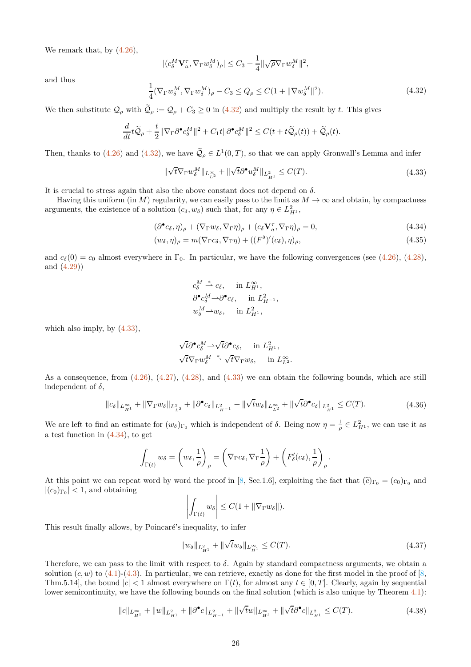We remark that, by  $(4.26)$ ,

$$
\begin{aligned} |(c_{\delta}^M \mathbf{V}_{a}^{\tau}, \nabla_{\Gamma} w_{\delta}^M)_{\rho}| &\leq C_3 + \frac{1}{4} ||\sqrt{\rho} \nabla_{\Gamma} w_{\delta}^M||^2, \\ &\frac{1}{4} (\nabla_{\Gamma} w_{\delta}^M, \nabla_{\Gamma} w_{\delta}^M)_{\rho} - C_3 \leq Q_{\rho} \leq C(1 + ||\nabla w_{\delta}^M||^2). \end{aligned} \tag{4.32}
$$

and thus

We then substitute  $\mathcal{Q}_{\rho}$  with  $\widetilde{\mathcal{Q}}_{\rho} := \mathcal{Q}_{\rho} + C_3 \ge 0$  in [\(4.32\)](#page-25-0) and multiply the result by t. This gives

$$
\frac{d}{dt}t\widetilde{\mathcal{Q}}_{\rho} + \frac{t}{2}\|\nabla_{\Gamma}\partial^{\bullet}c_{\delta}^M\|^2 + C_1t\|\partial^{\bullet}c_{\delta}^M\|^2 \leq C(t+t\widetilde{\mathcal{Q}}_{\rho}(t)) + \widetilde{\mathcal{Q}}_{\rho}(t).
$$

Then, thanks to [\(4.26\)](#page-22-0) and [\(4.32\)](#page-25-0), we have  $\mathcal{Q}_{\rho} \in L^1(0,T)$ , so that we can apply Gronwall's Lemma and infer

<span id="page-25-1"></span>
$$
\|\sqrt{t}\nabla_{\Gamma}w^M_{\delta}\|_{L^{\infty}_{L^2}} + \|\sqrt{t}\partial^{\bullet}u^M_{\delta}\|_{L^2_{H^1}} \le C(T). \tag{4.33}
$$

It is crucial to stress again that also the above constant does not depend on  $\delta$ .

<span id="page-25-0"></span>1

Having this uniform (in M) regularity, we can easily pass to the limit as  $M \to \infty$  and obtain, by compactness arguments, the existence of a solution  $(c_{\delta}, w_{\delta})$  such that, for any  $\eta \in L^2_{H^1}$ ,

$$
(\partial^{\bullet} c_{\delta}, \eta)_{\rho} + (\nabla_{\Gamma} w_{\delta}, \nabla_{\Gamma} \eta)_{\rho} + (c_{\delta} \mathbf{V}_{a}^{\tau}, \nabla_{\Gamma} \eta)_{\rho} = 0, \qquad (4.34)
$$

$$
(w_{\delta}, \eta)_{\rho} = m(\nabla_{\Gamma} c_{\delta}, \nabla_{\Gamma} \eta) + ((F^{\delta})'(c_{\delta}), \eta)_{\rho},
$$
\n(4.35)

and  $c_{\delta}(0) = c_0$  almost everywhere in  $\Gamma_0$ . In particular, we have the following convergences (see [\(4.26\)](#page-22-0), [\(4.28\)](#page-23-2), and [\(4.29\)](#page-23-3))

<span id="page-25-2"></span>
$$
c_{\delta}^M \stackrel{*}{\rightharpoonup} c_{\delta}, \quad \text{in } L_{H^1}^{\infty},
$$
  

$$
\partial^{\bullet} c_{\delta}^M \rightharpoonup \partial^{\bullet} c_{\delta}, \quad \text{in } L_{H^{-1}}^2,
$$
  

$$
w_{\delta}^M \rightharpoonup w_{\delta}, \quad \text{in } L_{H^1}^2,
$$

which also imply, by  $(4.33)$ ,

$$
\sqrt{t}\partial^{\bullet}c_{\delta}^{M} \rightarrow \sqrt{t}\partial^{\bullet}c_{\delta}, \text{ in } L_{H^{1}}^{2},
$$
  

$$
\sqrt{t}\nabla_{\Gamma}w_{\delta}^{M} \stackrel{*}{\rightarrow} \sqrt{t}\nabla_{\Gamma}w_{\delta}, \text{ in } L_{L^{2}}^{\infty}.
$$

As a consequence, from  $(4.26)$ ,  $(4.27)$ ,  $(4.28)$ , and  $(4.33)$  we can obtain the following bounds, which are still independent of  $\delta$ ,

$$
\|c_{\delta}\|_{L^{\infty}_{H^{1}}} + \|\nabla_{\Gamma}w_{\delta}\|_{L^{2}_{L^{2}}} + \|\partial^{\bullet}c_{\delta}\|_{L^{2}_{H^{-1}}} + \|\sqrt{t}w_{\delta}\|_{L^{\infty}_{L^{2}}} + \|\sqrt{t}\partial^{\bullet}c_{\delta}\|_{L^{2}_{H^{1}}} \leq C(T). \tag{4.36}
$$

We are left to find an estimate for  $(w_{\delta})_{\Gamma_0}$  which is independent of  $\delta$ . Being now  $\eta = \frac{1}{\rho} \in L^2_{H^1}$ , we can use it as a test function in  $(4.34)$ , to get

$$
\int_{\Gamma(t)} w_{\delta} = \left(w_{\delta}, \frac{1}{\rho}\right)_{\rho} = \left(\nabla_{\Gamma} c_{\delta}, \nabla_{\Gamma} \frac{1}{\rho}\right) + \left(F'_{\delta}(c_{\delta}), \frac{1}{\rho}\right)_{\rho}
$$

At this point we can repeat word by word the proof in [\[8,](#page-32-0) Sec.1.6], exploiting the fact that  $(\tilde{c})_{\Gamma_0} = (c_0)_{\Gamma_0}$  and  $|(c_0)_{\Gamma_0}| < 1$ , and obtaining

$$
\left| \int_{\Gamma(t)} w_{\delta} \right| \leq C(1 + \|\nabla_{\Gamma} w_{\delta}\|).
$$

This result finally allows, by Poincaré's inequality, to infer

$$
||w_{\delta}||_{L_{H^1}^2} + ||\sqrt{t}w_{\delta}||_{L_{H^1}^\infty} \le C(T). \tag{4.37}
$$

.

Therefore, we can pass to the limit with respect to  $\delta$ . Again by standard compactness arguments, we obtain a solution  $(c, w)$  to  $(4.1)$ - $(4.3)$ . In particular, we can retrieve, exactly as done for the first model in the proof of [\[8,](#page-32-0) Thm.5.14], the bound  $|c| < 1$  almost everywhere on  $\Gamma(t)$ , for almost any  $t \in [0, T]$ . Clearly, again by sequential lower semicontinuity, we have the following bounds on the final solution (which is also unique by Theorem [4.1\)](#page-16-5):

$$
||c||_{L_{H^1}^{\infty}} + ||w||_{L_{H^1}^2} + ||\partial^{\bullet}c||_{L_{H^{-1}}^2} + ||\sqrt{t}w||_{L_{H^1}^{\infty}} + ||\sqrt{t}\partial^{\bullet}c||_{L_{H^1}^2} \leq C(T). \tag{4.38}
$$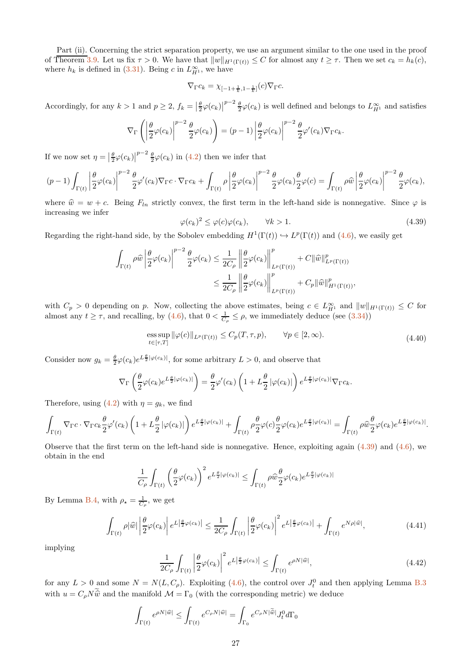Part (ii). Concerning the strict separation property, we use an argument similar to the one used in the proof of Theorem [3.9.](#page-10-6) Let us fix  $\tau > 0$ . We have that  $||w||_{H^1(\Gamma(t))} \leq C$  for almost any  $t \geq \tau$ . Then we set  $c_k = h_k(c)$ , where  $h_k$  is defined in [\(3.31\)](#page-14-2). Being c in  $L_{H^1}^{\infty}$ , we have

$$
\nabla_{\Gamma}c_k=\chi_{[-1+\frac{1}{k},1-\frac{1}{k}]}(c)\nabla_{\Gamma}c.
$$

Accordingly, for any  $k > 1$  and  $p \geq 2$ ,  $f_k = \left|\frac{\theta}{2}\varphi(c_k)\right|^{p-2} \frac{\theta}{2}\varphi(c_k)$  is well defined and belongs to  $L_{H^1}^{\infty}$  and satisfies

$$
\nabla_{\Gamma}\left(\left|\frac{\theta}{2}\varphi(c_k)\right|^{p-2}\frac{\theta}{2}\varphi(c_k)\right)=(p-1)\left|\frac{\theta}{2}\varphi(c_k)\right|^{p-2}\frac{\theta}{2}\varphi'(c_k)\nabla_{\Gamma}c_k.
$$

If we now set  $\eta = \left|\frac{\theta}{2}\varphi(c_k)\right|^{p-2} \frac{\theta}{2}\varphi(c_k)$  in [\(4.2\)](#page-16-1) then we infer that

$$
(p-1)\int_{\Gamma(t)}\left|\frac{\theta}{2}\varphi(c_k)\right|^{p-2}\frac{\theta}{2}\varphi'(c_k)\nabla_{\Gamma}c\cdot\nabla_{\Gamma}c_k+\int_{\Gamma(t)}\rho\left|\frac{\theta}{2}\varphi(c_k)\right|^{p-2}\frac{\theta}{2}\varphi(c_k)\frac{\theta}{2}\varphi(c)=\int_{\Gamma(t)}\rho\widehat{w}\left|\frac{\theta}{2}\varphi(c_k)\right|^{p-2}\frac{\theta}{2}\varphi(c_k),
$$

where  $\hat{w} = w + c$ . Being  $F_{ln}$  strictly convex, the first term in the left-hand side is nonnegative. Since  $\varphi$  is increasing we infer

<span id="page-26-0"></span>
$$
\varphi(c_k)^2 \le \varphi(c)\varphi(c_k), \qquad \forall k > 1.
$$
\n(4.39)

Regarding the right-hand side, by the Sobolev embedding  $H^1(\Gamma(t)) \hookrightarrow L^p(\Gamma(t))$  and  $(4.6)$ , we easily get

$$
\int_{\Gamma(t)} \rho \widehat{w} \left| \frac{\theta}{2} \varphi(c_k) \right|^{p-2} \frac{\theta}{2} \varphi(c_k) \leq \frac{1}{2C_{\rho}} \left\| \frac{\theta}{2} \varphi(c_k) \right\|_{L^p(\Gamma(t))}^p + C \|\widehat{w}\|_{L^p(\Gamma(t))}^p
$$
\n
$$
\leq \frac{1}{2C_{\rho}} \left\| \frac{\theta}{2} \varphi(c_k) \right\|_{L^p(\Gamma(t))}^p + C_p \|\widehat{w}\|_{H^1(\Gamma(t))}^p,
$$

with  $C_p > 0$  depending on p. Now, collecting the above estimates, being  $c \in L^{\infty}_{H^1}$  and  $||w||_{H^1(\Gamma(t))} \leq C$  for almost any  $t \geq \tau$ , and recalling, by  $(4.6)$ , that  $0 < \frac{1}{C_{\rho}} \leq \rho$ , we immediately deduce (see  $(3.34)$ )

ess sup 
$$
\|\varphi(c)\|_{L^p(\Gamma(t))} \le C_p(T, \tau, p), \qquad \forall p \in [2, \infty).
$$
 (4.40)

Consider now  $g_k = \frac{\theta}{2} \varphi(c_k) e^{L \frac{\theta}{2} |\varphi(c_k)|}$ , for some arbitrary  $L > 0$ , and observe that

$$
\nabla_{\Gamma}\left(\frac{\theta}{2}\varphi(c_k)e^{L\frac{\theta}{2}|\varphi(c_k)|}\right) = \frac{\theta}{2}\varphi'(c_k)\left(1+L\frac{\theta}{2}|\varphi(c_k)|\right)e^{L\frac{\theta}{2}|\varphi(c_k)|}\nabla_{\Gamma}c_k.
$$

Therefore, using  $(4.2)$  with  $\eta = q_k$ , we find

$$
\int_{\Gamma(t)} \nabla_{\Gamma} c\cdot \nabla_{\Gamma} c_k \frac{\theta}{2} \varphi'(c_k) \left(1+L\frac{\theta}{2}|\varphi(c_k)|\right) e^{L\frac{\theta}{2}|\varphi(c_k)|} + \int_{\Gamma(t)} \rho \frac{\theta}{2} \varphi(c) \frac{\theta}{2} \varphi(c_k) e^{L\frac{\theta}{2}|\varphi(c_k)|} = \int_{\Gamma(t)} \rho \widehat{w} \frac{\theta}{2} \varphi(c_k) e^{L\frac{\theta}{2}|\varphi(c_k)|}.
$$

Observe that the first term on the left-hand side is nonnegative. Hence, exploiting again  $(4.39)$  and  $(4.6)$ , we obtain in the end

$$
\frac{1}{C_{\rho}}\int_{\Gamma(t)}\left(\frac{\theta}{2}\varphi(c_k)\right)^2e^{L\frac{\theta}{2}|\varphi(c_k)|}\leq \int_{\Gamma(t)}\rho \widehat{w}\frac{\theta}{2}\varphi(c_k)e^{L\frac{\theta}{2}|\varphi(c_k)|}
$$

By Lemma [B.4,](#page-29-0) with  $\rho_{\star} = \frac{1}{C_{\rho}}$ , we get

$$
\int_{\Gamma(t)} \rho |\widehat{w}| \left| \frac{\theta}{2} \varphi(c_k) \right| e^{L \left| \frac{\theta}{2} \varphi(c_k) \right|} \leq \frac{1}{2C_\rho} \int_{\Gamma(t)} \left| \frac{\theta}{2} \varphi(c_k) \right|^2 e^{L \left| \frac{\theta}{2} \varphi(c_k) \right|} + \int_{\Gamma(t)} e^{N \rho |\widehat{w}|}, \tag{4.41}
$$

implying

<span id="page-26-1"></span>
$$
\frac{1}{2C_{\rho}} \int_{\Gamma(t)} \left| \frac{\theta}{2} \varphi(c_k) \right|^2 e^{L \left| \frac{\theta}{2} \varphi(c_k) \right|} \le \int_{\Gamma(t)} e^{\rho N |\widehat{w}|},\tag{4.42}
$$

for any  $L > 0$  and some  $N = N(L, C_\rho)$ . Exploiting [\(4.6\)](#page-16-6), the control over  $J_t^0$  and then applying Lemma [B.3](#page-29-1) with  $u = C_o N \tilde{\hat{w}}$  and the manifold  $\mathcal{M} = \Gamma_0$  (with the corresponding metric) we deduce

$$
\int_{\Gamma(t)} e^{\rho N |\widehat{w}|} \le \int_{\Gamma(t)} e^{C_{\rho} N |\widehat{w}|} = \int_{\Gamma_0} e^{C_{\rho} N |\widetilde{\widehat{w}}|} J_t^0 d\Gamma_0
$$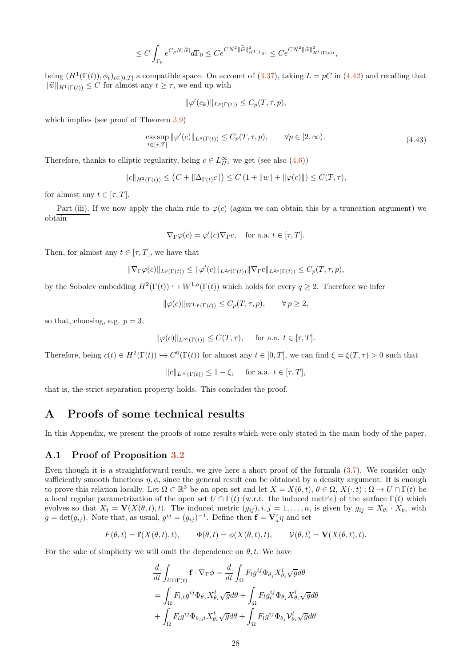$$
\leq C \int_{\Gamma_0} e^{C_\rho N |\widetilde{\hat{w}}|} d\Gamma_0 \leq C e^{CN^2 ||\widetilde{\hat{w}}||_{H^1(\Gamma_0)}^2} \leq C e^{CN^2 ||\widehat{w}||_{H^1(\Gamma(t))}^2},
$$

being  $(H^1(\Gamma(t)), \phi_t)_{t \in [0,T]}$  a compatible space. On account of  $(3.37)$ , taking  $L = pC$  in  $(4.42)$  and recalling that  $\|\widehat{w}\|_{H^1(\Gamma(t))} \leq C$  for almost any  $t \geq \tau$ , we end up with

$$
\|\varphi'(c_k)\|_{L^p(\Gamma(t))} \leq C_p(T,\tau,p),
$$

which implies (see proof of Theorem [3.9\)](#page-10-6)

ess sup 
$$
\|\varphi'(c)\|_{L^p(\Gamma(t))} \le C_p(T, \tau, p), \qquad \forall p \in [2, \infty).
$$
 (4.43)

Therefore, thanks to elliptic regularity, being  $c \in L^{\infty}_{H^1}$  we get (see also  $(4.6)$ )

$$
||c||_{H^{2}(\Gamma(t))} \leq (C + ||\Delta_{\Gamma(t)}c||) \leq C (1 + ||w|| + ||\varphi(c)||) \leq C(T,\tau),
$$

for almost any  $t \in [\tau, T]$ .

Part (iii). If we now apply the chain rule to  $\varphi(c)$  (again we can obtain this by a truncation argument) we obtain

$$
\nabla_{\Gamma} \varphi(c) = \varphi'(c) \nabla_{\Gamma} c
$$
, for a.a.  $t \in [\tau, T]$ .

Then, for almost any  $t \in [\tau, T]$ , we have that

$$
\|\nabla_{\Gamma}\varphi(c)\|_{L^p(\Gamma(t))}\leq \|\varphi'(c)\|_{L^{2p}(\Gamma(t))}\|\nabla_{\Gamma}c\|_{L^{2p}(\Gamma(t))}\leq C_p(T,\tau,p),
$$

by the Sobolev embedding  $H^2(\Gamma(t)) \hookrightarrow W^{1,q}(\Gamma(t))$  which holds for every  $q \geq 2$ . Therefore we infer

$$
\|\varphi(c)\|_{W^{1,p}(\Gamma(t))}\leq C_p(T,\tau,p),\qquad\forall\,p\geq 2,
$$

so that, choosing, e.g.  $p = 3$ ,

$$
\|\varphi(c)\|_{L^{\infty}(\Gamma(t))} \leq C(T,\tau),
$$
 for a.a.  $t \in [\tau,T].$ 

Therefore, being  $c(t) \in H^2(\Gamma(t)) \hookrightarrow C^0(\Gamma(t))$  for almost any  $t \in [0, T]$ , we can find  $\xi = \xi(T, \tau) > 0$  such that

$$
||c||_{L^{\infty}(\Gamma(t))} \leq 1 - \xi, \quad \text{ for a.a. } t \in [\tau, T],
$$

<span id="page-27-0"></span>that is, the strict separation property holds. This concludes the proof.

# A Proofs of some technical results

<span id="page-27-1"></span>In this Appendix, we present the proofs of some results which were only stated in the main body of the paper.

### A.1 Proof of Proposition [3.2](#page-5-0)

Even though it is a straightforward result, we give here a short proof of the formula [\(3.7\)](#page-6-0). We consider only sufficiently smooth functions  $\eta$ ,  $\phi$ , since the general result can be obtained by a density argument. It is enough to prove this relation locally. Let  $\Omega \subset \mathbb{R}^3$  be an open set and let  $X = X(\theta, t)$ ,  $\theta \in \Omega$ ,  $X(\cdot, t) : \Omega \to U \cap \Gamma(t)$  be a local regular parametrization of the open set  $U \cap \Gamma(t)$  (w.r.t. the induced metric) of the surface  $\Gamma(t)$  which evolves so that  $X_t = \mathbf{V}(X(\theta,t),t)$ . The induced metric  $(g_{ij}), i,j = 1,\ldots,n$ , is given by  $g_{ij} = X_{\theta_i} \cdot X_{\theta_j}$  with  $g = det(g_{ij})$ . Note that, as usual,  $g^{ij} = (g_{ij})^{-1}$ . Define then  $\mathbf{f} = \mathbf{V}_{a}^{\tau} \eta$  and set

$$
F(\theta, t) = \mathbf{f}(X(\theta, t), t), \qquad \Phi(\theta, t) = \phi(X(\theta, t), t), \qquad \mathcal{V}(\theta, t) = \mathbf{V}(X(\theta, t), t).
$$

For the sake of simplicity we will omit the dependence on  $\theta$ , t. We have

$$
\frac{d}{dt} \int_{U \cap \Gamma(t)} \mathbf{f} \cdot \nabla_{\Gamma} \phi = \frac{d}{dt} \int_{\Omega} F_l g^{ij} \Phi_{\theta_j} X_{\theta_i}^l \sqrt{g} d\theta
$$
\n
$$
= \int_{\Omega} F_{l,t} g^{ij} \Phi_{\theta_j} X_{\theta_i}^l \sqrt{g} d\theta + \int_{\Omega} F_l g_i^{ij} \Phi_{\theta_j} X_{\theta_i}^l \sqrt{g} d\theta
$$
\n
$$
+ \int_{\Omega} F_l g^{ij} \Phi_{\theta_j, t} X_{\theta_i}^l \sqrt{g} d\theta + \int_{\Omega} F_l g^{ij} \Phi_{\theta_j} Y_{\theta_i}^l \sqrt{g} d\theta
$$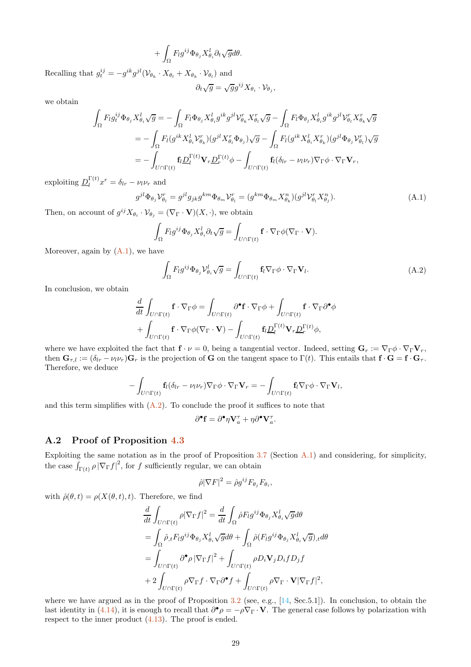$$
+\int_{\Omega}F_lg^{ij}\Phi_{\theta_j}X_{\theta_i}^l\partial_t\sqrt{g}d\theta.
$$

Recalling that  $g_t^{ij} = -g^{ik}g^{jl}(\mathcal{V}_{\theta_k} \cdot X_{\theta_l} + X_{\theta_k} \cdot \mathcal{V}_{\theta_l})$  and

$$
\partial_t \sqrt{g} = \sqrt{g} g^{ij} X_{\theta_i} \cdot \mathcal{V}_{\theta_j},
$$

we obtain

$$
\int_{\Omega} F_l g_t^{ij} \Phi_{\theta_j} X_{\theta_i}^l \sqrt{g} = -\int_{\Omega} F_l \Phi_{\theta_j} X_{\theta_i}^l g^{ik} g^{jl} \mathcal{V}_{\theta_k}^r X_{\theta_l}^r \sqrt{g} - \int_{\Omega} F_l \Phi_{\theta_j} X_{\theta_i}^l g^{ik} g^{jl} \mathcal{V}_{\theta_l}^r X_{\theta_k}^r \sqrt{g}
$$
\n
$$
= -\int_{\Omega} F_l (g^{ik} X_{\theta_i}^l \mathcal{V}_{\theta_k}^r) (g^{jl} X_{\theta_l}^r \Phi_{\theta_j}) \sqrt{g} - \int_{\Omega} F_l (g^{ik} X_{\theta_i}^l X_{\theta_k}^r) (g^{jl} \Phi_{\theta_j} \mathcal{V}_{\theta_l}^r) \sqrt{g}
$$
\n
$$
= -\int_{U \cap \Gamma(t)} \mathbf{f}_l \underline{D}_l^{\Gamma(t)} \mathbf{V}_r \underline{D}_r^{\Gamma(t)} \phi - \int_{U \cap \Gamma(t)} \mathbf{f}_l (\delta_{lr} - \nu_l \nu_r) \nabla_{\Gamma} \phi \cdot \nabla_{\Gamma} \mathbf{V}_r,
$$

exploiting  $\underline{D}_l^{\Gamma(t)}$  $\int_l^{\Gamma(t)} x^r = \delta_{lr} - \nu_l \nu_r$  and

<span id="page-28-1"></span>
$$
g^{jl}\Phi_{\theta_j}\mathcal{V}_{\theta_l}^r = g^{jl}g_{jk}g^{km}\Phi_{\theta_m}\mathcal{V}_{\theta_l}^r = (g^{km}\Phi_{\theta_m}X_{\theta_k}^n)(g^{jl}\mathcal{V}_{\theta_l}^rX_{\theta_j}^n). \tag{A.1}
$$

Then, on account of  $g^{ij}X_{\theta_i} \cdot \mathcal{V}_{\theta_j} = (\nabla_{\Gamma} \cdot \mathbf{V})(X, \cdot)$ , we obtain

$$
\int_{\Omega} F_l g^{ij} \Phi_{\theta_j} X_{\theta_i}^l \partial_t \sqrt{g} = \int_{U \cap \Gamma(t)} \mathbf{f} \cdot \nabla_{\Gamma} \phi (\nabla_{\Gamma} \cdot \mathbf{V}).
$$

Moreover, again by  $(A.1)$ , we have

<span id="page-28-2"></span>
$$
\int_{\Omega} F_l g^{ij} \Phi_{\theta_j} \mathcal{V}_{\theta_i}^l \sqrt{g} = \int_{U \cap \Gamma(t)} \mathbf{f}_l \nabla_{\Gamma} \phi \cdot \nabla_{\Gamma} \mathbf{V}_l.
$$
\n(A.2)

In conclusion, we obtain

$$
\frac{d}{dt} \int_{U \cap \Gamma(t)} \mathbf{f} \cdot \nabla_{\Gamma} \phi = \int_{U \cap \Gamma(t)} \partial^{\bullet} \mathbf{f} \cdot \nabla_{\Gamma} \phi + \int_{U \cap \Gamma(t)} \mathbf{f} \cdot \nabla_{\Gamma} \partial^{\bullet} \phi \n+ \int_{U \cap \Gamma(t)} \mathbf{f} \cdot \nabla_{\Gamma} \phi (\nabla_{\Gamma} \cdot \mathbf{V}) - \int_{U \cap \Gamma(t)} \mathbf{f}_l \underline{D}_l^{\Gamma(t)} \mathbf{V}_r \underline{D}_r^{\Gamma(t)} \phi,
$$

where we have exploited the fact that  $\mathbf{f} \cdot \nu = 0$ , being a tangential vector. Indeed, setting  $\mathbf{G}_r := \nabla_{\Gamma} \phi \cdot \nabla_{\Gamma} \mathbf{V}_r$ , then  $\mathbf{G}_{\tau,l} := (\delta_{lr} - \nu_l \nu_r) \mathbf{G}_r$  is the projection of G on the tangent space to  $\Gamma(t)$ . This entails that  $\mathbf{f} \cdot \mathbf{G} = \mathbf{f} \cdot \mathbf{G}_{\tau}$ . Therefore, we deduce

$$
-\int_{U\cap\Gamma(t)}\mathbf{f}_{l}(\delta_{lr}-\nu_{l}\nu_{r})\nabla_{\Gamma}\phi\cdot\nabla_{\Gamma}\mathbf{V}_{r}=-\int_{U\cap\Gamma(t)}\mathbf{f}_{l}\nabla_{\Gamma}\phi\cdot\nabla_{\Gamma}\mathbf{V}_{l},
$$

and this term simplifies with  $(A.2)$ . To conclude the proof it suffices to note that

$$
\partial^\bullet \mathbf{f} = \partial^\bullet \eta \mathbf{V}^\tau_a + \eta \partial^\bullet \mathbf{V}^\tau_a.
$$

## A.2 Proof of Proposition [4.3](#page-18-3)

Exploiting the same notation as in the proof of Proposition [3.7](#page-6-0) (Section [A.1\)](#page-27-1) and considering, for simplicity, the case  $\int_{\Gamma(t)} \rho |\nabla_{\Gamma} f|^2$ , for f sufficiently regular, we can obtain

$$
\hat{\rho} |\nabla F|^2 = \hat{\rho} g^{ij} F_{\theta_j} F_{\theta_i},
$$

with  $\hat{\rho}(\theta, t) = \rho(X(\theta, t), t)$ . Therefore, we find

$$
\frac{d}{dt} \int_{U \cap \Gamma(t)} \rho |\nabla_{\Gamma} f|^2 = \frac{d}{dt} \int_{\Omega} \hat{\rho} F_l g^{ij} \Phi_{\theta_j} X_{\theta_i}^l \sqrt{g} d\theta \n= \int_{\Omega} \hat{\rho}_{,t} F_l g^{ij} \Phi_{\theta_j} X_{\theta_i}^l \sqrt{g} d\theta + \int_{\Omega} \hat{\rho} (F_l g^{ij} \Phi_{\theta_j} X_{\theta_i}^l \sqrt{g})_{,t} d\theta \n= \int_{U \cap \Gamma(t)} \partial^{\bullet} \rho |\nabla_{\Gamma} f|^2 + \int_{U \cap \Gamma(t)} \rho D_i \mathbf{V}_j D_i f D_j f \n+ 2 \int_{U \cap \Gamma(t)} \rho \nabla_{\Gamma} f \cdot \nabla_{\Gamma} \partial^{\bullet} f + \int_{U \cap \Gamma(t)} \rho \nabla_{\Gamma} \cdot \mathbf{V} |\nabla_{\Gamma} f|^2,
$$

<span id="page-28-0"></span>where we have argued as in the proof of Proposition  $3.2$  (see, e.g., [\[14](#page-33-18), Sec.5.1]). In conclusion, to obtain the last identity in [\(4.14\)](#page-18-1), it is enough to recall that  $\partial^{\bullet} \rho = -\rho \nabla_{\Gamma} \cdot \mathbf{V}$ . The general case follows by polarization with respect to the inner product  $(4.13)$ . The proof is ended.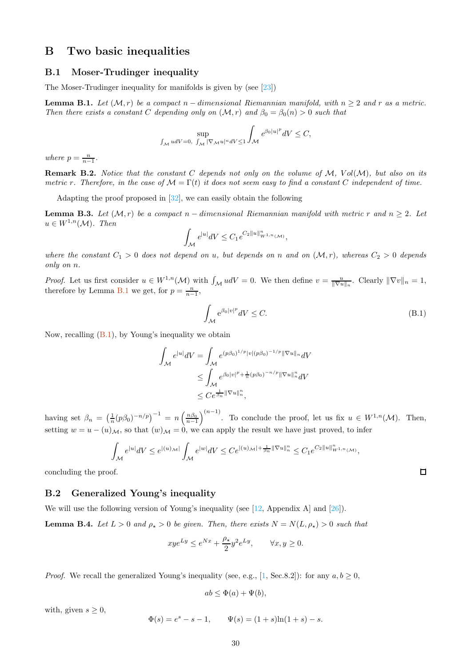# B Two basic inequalities

## B.1 Moser-Trudinger inequality

The Moser-Trudinger inequality for manifolds is given by (see [\[23](#page-33-20)])

<span id="page-29-2"></span>**Lemma B.1.** Let  $(M, r)$  be a compact n – dimensional Riemannian manifold, with  $n \geq 2$  and r as a metric. Then there exists a constant C depending only on  $(M, r)$  and  $\beta_0 = \beta_0(n) > 0$  such that

$$
\sup_{\int_{\mathcal{M}}\, udV=0,\ \int_{\mathcal{M}}|\nabla_{\mathcal{M}}u|^n dV\leq 1}\int_{\mathcal{M}}e^{\beta_0|u|^p} dV\leq C,
$$

where  $p = \frac{n}{n-1}$ .

**Remark B.2.** Notice that the constant C depends not only on the volume of  $M$ ,  $Vol(M)$ , but also on its metric r. Therefore, in the case of  $\mathcal{M} = \Gamma(t)$  it does not seem easy to find a constant C independent of time.

Adapting the proof proposed in [\[32\]](#page-33-21), we can easily obtain the following

<span id="page-29-1"></span>**Lemma B.3.** Let  $(M, r)$  be a compact n – dimensional Riemannian manifold with metric r and n > 2. Let  $u \in W^{1,n}(\mathcal{M})$ . Then

$$
\int_{\mathcal{M}} e^{|u|} dV \leq C_1 e^{C_2 ||u||_{W^{1,n}(\mathcal{M})}^n},
$$

where the constant  $C_1 > 0$  does not depend on u, but depends on n and on  $(M, r)$ , whereas  $C_2 > 0$  depends only on n.

*Proof.* Let us first consider  $u \in W^{1,n}(\mathcal{M})$  with  $\int_{\mathcal{M}} u dV = 0$ . We then define  $v = \frac{u}{\|\nabla u\|_n}$ . Clearly  $\|\nabla v\|_n = 1$ , therefore by Lemma [B.1](#page-29-2) we get, for  $p = \frac{n}{n-1}$ ,

<span id="page-29-3"></span>
$$
\int_{\mathcal{M}} e^{\beta_0 |v|^p} dV \le C. \tag{B.1}
$$

Now, recalling [\(B.1\)](#page-29-3), by Young's inequality we obtain

$$
\int_{\mathcal{M}} e^{|u|} dV = \int_{\mathcal{M}} e^{(p\beta_0)^{1/p} |v|(p\beta_0)^{-1/p} \|\nabla u\|_n} dV
$$
  
\n
$$
\leq \int_{\mathcal{M}} e^{\beta_0 |v|^p + \frac{1}{n} (p\beta_0)^{-n/p} \|\nabla u\|_n^n} dV
$$
  
\n
$$
\leq C e^{\frac{1}{\beta_n} \|\nabla u\|_n^n},
$$

having set  $\beta_n = \left(\frac{1}{n}(p\beta_0)^{-n/p}\right)^{-1} = n\left(\frac{n\beta_0}{n-1}\right)$  $\left( \begin{matrix} n-1 \end{matrix} \right)$ . To conclude the proof, let us fix  $u \in W^{1,n}(\mathcal{M})$ . Then, setting  $w = u - (u)_{\mathcal{M}}$ , so that  $(w)_{\mathcal{M}} = 0$ , we can apply the result we have just proved, to infer

$$
\int_{\mathcal{M}} e^{|u|} dV \leq e^{|(u)_{\mathcal{M}}|} \int_{\mathcal{M}} e^{|w|} dV \leq C e^{|(u)_{\mathcal{M}}| + \frac{1}{\beta_n} \|\nabla u\|_n^n} \leq C_1 e^{C_2 \|u\|_{W^{1,n}(\mathcal{M})}^n},
$$

concluding the proof.

## B.2 Generalized Young's inequality

We will use the following version of Young's inequality (see [\[12,](#page-33-22) Appendix A] and [\[26](#page-33-15)]).

<span id="page-29-0"></span>**Lemma B.4.** Let  $L > 0$  and  $\rho_{\star} > 0$  be given. Then, there exists  $N = N(L, \rho_{\star}) > 0$  such that

$$
xye^{Ly} \le e^{Nx} + \frac{\rho_\star}{2}y^2e^{Ly}, \qquad \forall x, y \ge 0.
$$

*Proof.* We recall the generalized Young's inequality (see, e.g., [\[1,](#page-32-9) Sec.8.2]): for any  $a, b \ge 0$ ,

$$
ab \le \Phi(a) + \Psi(b),
$$

with, given  $s \geq 0$ ,

$$
\Phi(s) = e^s - s - 1, \qquad \Psi(s) = (1+s)\ln(1+s) - s.
$$

 $\Box$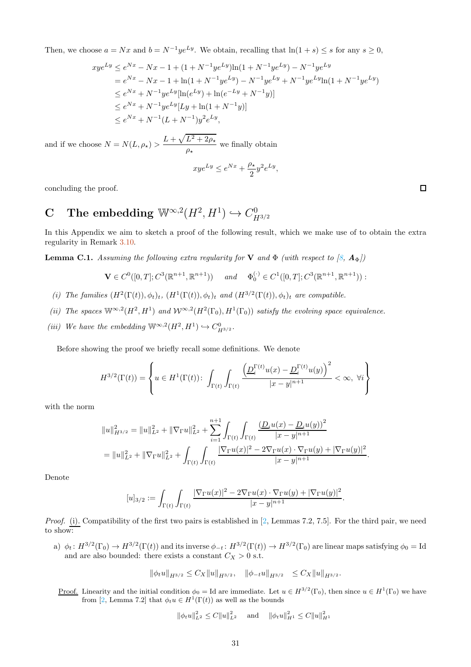Then, we choose  $a = Nx$  and  $b = N^{-1}ye^{Ly}$ . We obtain, recalling that  $ln(1+s) \leq s$  for any  $s \geq 0$ ,

$$
xye^{Ly} \le e^{Nx} - Nx - 1 + (1 + N^{-1}ye^{Ly})\ln(1 + N^{-1}ye^{Ly}) - N^{-1}ye^{Ly}
$$
  
=  $e^{Nx} - Nx - 1 + \ln(1 + N^{-1}ye^{Ly}) - N^{-1}ye^{Ly} + N^{-1}ye^{Ly}\ln(1 + N^{-1}ye^{Ly})$   
 $\le e^{Nx} + N^{-1}ye^{Ly}[\ln(e^{Ly}) + \ln(e^{-Ly} + N^{-1}y)]$   
 $\le e^{Nx} + N^{-1}ye^{Ly}[Ly + \ln(1 + N^{-1}y)]$   
 $\le e^{Nx} + N^{-1}(L + N^{-1})y^2e^{Ly},$ 

and if we choose  $N = N(L, \rho_\star) > \frac{L + \sqrt{L^2 + 2\rho_\star}}{2}$  $\frac{2}{\rho_{\star}}$  we finally obtain

$$
x y e^{Ly} \leq e^{Nx} + \frac{\rho_\star}{2} y^2 e^{Ly},
$$

<span id="page-30-0"></span>concluding the proof.

### C The embedding  $\mathbb{W}^{\infty,2}(H^2, H^1) \hookrightarrow C^0_H$  $H^{3/2}$

In this Appendix we aim to sketch a proof of the following result, which we make use of to obtain the extra regularity in Remark [3.10.](#page-10-5)

<span id="page-30-1"></span>**Lemma C.1.** Assuming the following extra regularity for **V** and  $\Phi$  (with respect to [\[8](#page-32-0),  $\mathbf{A}_{\Phi}$ ])

$$
\mathbf{V} \in C^0([0,T]; C^3(\mathbb{R}^{n+1}, \mathbb{R}^{n+1})) \quad \text{and} \quad \Phi_0^{(\cdot)} \in C^1([0,T]; C^3(\mathbb{R}^{n+1}, \mathbb{R}^{n+1})) :
$$

- (i) The families  $(H^2(\Gamma(t)), \phi_t)_t$ ,  $(H^1(\Gamma(t)), \phi_t)_t$  and  $(H^{3/2}(\Gamma(t)), \phi_t)_t$  are compatible.
- (ii) The spaces  $\mathbb{W}^{\infty,2}(H^2, H^1)$  and  $\mathcal{W}^{\infty,2}(H^2(\Gamma_0), H^1(\Gamma_0))$  satisfy the evolving space equivalence.
- (iii) We have the embedding  $\mathbb{W}^{\infty,2}(H^2, H^1) \hookrightarrow C^0_{H^{3/2}}$ .

Before showing the proof we briefly recall some definitions. We denote

$$
H^{3/2}(\Gamma(t)) = \left\{ u \in H^1(\Gamma(t)) \colon \int_{\Gamma(t)} \int_{\Gamma(t)} \frac{\left( \underline{D}^{\Gamma(t)}_i u(x) - \underline{D}^{\Gamma(t)}_i u(y) \right)^2}{|x - y|^{n+1}} < \infty, \ \forall i \right\}
$$

with the norm

$$
||u||_{H^{3/2}}^2 = ||u||_{L^2}^2 + ||\nabla_{\Gamma}u||_{L^2}^2 + \sum_{i=1}^{n+1} \int_{\Gamma(t)} \int_{\Gamma(t)} \frac{\left(\underline{D}_i u(x) - \underline{D}_i u(y)\right)^2}{|x - y|^{n+1}} d\mu
$$
  
= 
$$
||u||_{L^2}^2 + ||\nabla_{\Gamma}u||_{L^2}^2 + \int_{\Gamma(t)} \int_{\Gamma(t)} \frac{|\nabla_{\Gamma}u(x)|^2 - 2\nabla_{\Gamma}u(x) \cdot \nabla_{\Gamma}u(y) + |\nabla_{\Gamma}u(y)|^2}{|x - y|^{n+1}} d\mu
$$

Denote

$$
[u]_{3/2} := \int_{\Gamma(t)} \int_{\Gamma(t)} \frac{|\nabla_{\Gamma} u(x)|^2 - 2\nabla_{\Gamma} u(x) \cdot \nabla_{\Gamma} u(y) + |\nabla_{\Gamma} u(y)|^2}{|x - y|^{n+1}}.
$$

Proof. (i). Compatibility of the first two pairs is established in [\[2,](#page-32-6) Lemmas 7.2, 7.5]. For the third pair, we need to show:

a)  $\phi_t: H^{3/2}(\Gamma_0) \to H^{3/2}(\Gamma(t))$  and its inverse  $\phi_{-t}: H^{3/2}(\Gamma(t)) \to H^{3/2}(\Gamma_0)$  are linear maps satisfying  $\phi_0 = \text{Id}$ and are also bounded: there exists a constant  $C_X > 0$  s.t.

$$
\|\phi_t u\|_{H^{3/2}} \leq C_X \|u\|_{H^{3/2}}, \quad \|\phi_{-t} u\|_{H^{3/2}} \leq C_X \|u\|_{H^{3/2}}.
$$

Proof. Linearity and the initial condition  $\phi_0 = \text{Id}$  are immediate. Let  $u \in H^{3/2}(\Gamma_0)$ , then since  $u \in H^1(\Gamma_0)$  we have from [\[2](#page-32-6), Lemma 7.2] that  $\phi_t u \in H^1(\Gamma(t))$  as well as the bounds

$$
\|\phi_t u\|_{L^2}^2 \le C \|u\|_{L^2}^2 \quad \text{and} \quad \|\phi_t u\|_{H^1}^2 \le C \|u\|_{H^1}^2
$$

 $\Box$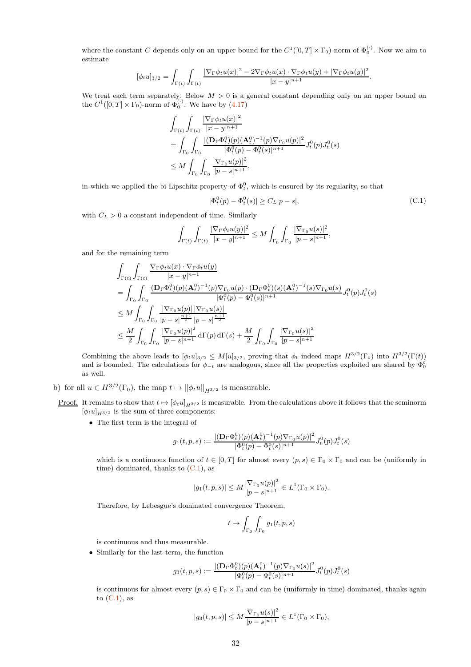where the constant C depends only on an upper bound for the  $C^1([0,T] \times \Gamma_0)$ -norm of  $\Phi_0^{(\cdot)}$ . Now we aim to estimate

$$
[\phi_t u]_{3/2} = \int_{\Gamma(t)} \int_{\Gamma(t)} \frac{|\nabla_{\Gamma} \phi_t u(x)|^2 - 2\nabla_{\Gamma} \phi_t u(x) \cdot \nabla_{\Gamma} \phi_t u(y) + |\nabla_{\Gamma} \phi_t u(y)|^2}{|x - y|^{n+1}}.
$$

We treat each term separately. Below  $M > 0$  is a general constant depending only on an upper bound on the  $C^1([0,T] \times \Gamma_0)$ -norm of  $\Phi_0^{(\cdot)}$ . We have by  $(4.17)$ 

$$
\int_{\Gamma(t)} \int_{\Gamma(t)} \frac{|\nabla_{\Gamma}\phi_t u(x)|^2}{|x - y|^{n+1}} \n= \int_{\Gamma_0} \int_{\Gamma_0} \frac{|(\mathbf{D}_{\Gamma}\Phi_t^0)(p)(\mathbf{A}_t^0)^{-1}(p)\nabla_{\Gamma_0}u(p)|^2}{|\Phi_t^0(p) - \Phi_t^0(s)|^{n+1}} J_t^0(p) J_t^0(s) \n\leq M \int_{\Gamma_0} \int_{\Gamma_0} \frac{|\nabla_{\Gamma_0}u(p)|^2}{|p - s|^{n+1}},
$$

in which we applied the bi-Lipschitz property of  $\Phi_t^0$ , which is ensured by its regularity, so that

<span id="page-31-0"></span>
$$
|\Phi_t^0(p) - \Phi_t^0(s)| \ge C_L |p - s|,\tag{C.1}
$$

with  $C_L > 0$  a constant independent of time. Similarly

$$
\int_{\Gamma(t)} \int_{\Gamma(t)} \frac{|\nabla_{\Gamma} \phi_t u(y)|^2}{|x - y|^{n+1}} \leq M \int_{\Gamma_0} \int_{\Gamma_0} \frac{|\nabla_{\Gamma_0} u(s)|^2}{|p - s|^{n+1}},
$$

and for the remaining term

$$
\int_{\Gamma(t)} \int_{\Gamma(t)} \frac{\nabla_{\Gamma} \phi_t u(x) \cdot \nabla_{\Gamma} \phi_t u(y)}{|x - y|^{n+1}} \n= \int_{\Gamma_0} \int_{\Gamma_0} \frac{(\mathbf{D}_{\Gamma} \Phi_t^0)(p) (\mathbf{A}_t^0)^{-1}(p) \nabla_{\Gamma_0} u(p) \cdot (\mathbf{D}_{\Gamma} \Phi_t^0)(s) (\mathbf{A}_t^0)^{-1}(s) \nabla_{\Gamma_0} u(s)}{|\Phi_t^0(p) - \Phi_t^0(s)|^{n+1}} J_t^0(p) J_t^0(s) \n\leq M \int_{\Gamma_0} \int_{\Gamma_0} \frac{|\nabla_{\Gamma_0} u(p)| |\nabla_{\Gamma_0} u(s)|}{|p - s|^{\frac{n+1}{2}} |p - s|^{\frac{n+1}{2}}} \n\leq \frac{M}{2} \int_{\Gamma_0} \int_{\Gamma_0} \frac{|\nabla_{\Gamma_0} u(p)|^2}{|p - s|^{n+1}} d\Gamma(p) d\Gamma(s) + \frac{M}{2} \int_{\Gamma_0} \int_{\Gamma_0} \frac{|\nabla_{\Gamma_0} u(s)|^2}{|p - s|^{n+1}}
$$

Combining the above leads to  $[\phi_t u]_{3/2} \leq M[u]_{3/2}$ , proving that  $\phi_t$  indeed maps  $H^{3/2}(\Gamma_0)$  into  $H^{3/2}(\Gamma(t))$ and is bounded. The calculations for  $\phi_{-t}$  are analogous, since all the properties exploited are shared by  $\Phi_0^t$ as well.

- b) for all  $u \in H^{3/2}(\Gamma_0)$ , the map  $t \mapsto ||\phi_t u||_{H^{3/2}}$  is measurable.
- <u>Proof.</u> It remains to show that  $t \mapsto [\phi_t u]_{H^{3/2}}$  is measurable. From the calculations above it follows that the seminorm  $[\phi_t u]_{H^{3/2}}$  is the sum of three components:
	- The first term is the integral of

$$
g_1(t,p,s):=\frac{|(\mathbf{D}_\Gamma \Phi_t^0)(p)(\mathbf{A}_t^0)^{-1}(p)\nabla_{\Gamma_0}u(p)|^2}{|\Phi_t^0(p)-\Phi_t^0(s)|^{n+1}}J_t^0(p)J_t^0(s)
$$

which is a continuous function of  $t \in [0, T]$  for almost every  $(p, s) \in \Gamma_0 \times \Gamma_0$  and can be (uniformly in time) dominated, thanks to  $(C.1)$ , as

$$
|g_1(t, p, s)| \le M \frac{|\nabla_{\Gamma_0} u(p)|^2}{|p - s|^{n+1}} \in L^1(\Gamma_0 \times \Gamma_0).
$$

Therefore, by Lebesgue's dominated convergence Theorem,

$$
t\mapsto \int_{\Gamma_0}\int_{\Gamma_0} g_1(t,p,s)
$$

is continuous and thus measurable.

• Similarly for the last term, the function

$$
g_3(t,p,s):=\frac{|(\mathbf{D}_\Gamma\Phi_t^0)(p)(\mathbf{A}_t^0)^{-1}(p)\nabla_{\Gamma_0}u(s)|^2}{|\Phi_t^0(p)-\Phi_t^0(s)|^{n+1}}J_t^0(p)J_t^0(s)
$$

is continuous for almost every  $(p, s) \in \Gamma_0 \times \Gamma_0$  and can be (uniformly in time) dominated, thanks again to  $(C.1)$ , as

$$
|g_3(t, p, s)| \leq M \frac{|\nabla_{\Gamma_0} u(s)|^2}{|p - s|^{n+1}} \in L^1(\Gamma_0 \times \Gamma_0),
$$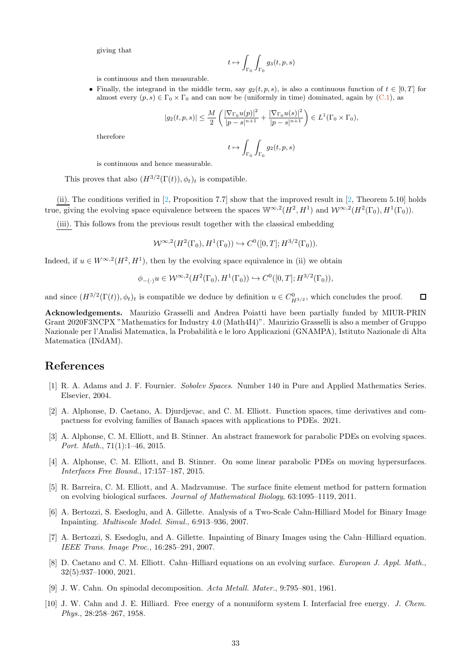giving that

$$
t\mapsto \int_{\Gamma_0}\int_{\Gamma_0} g_3(t,p,s)
$$

is continuous and then measurable.

• Finally, the integrand in the middle term, say  $g_2(t, p, s)$ , is also a continuous function of  $t \in [0, T]$  for almost every  $(p, s) \in \Gamma_0 \times \Gamma_0$  and can now be (uniformly in time) dominated, again by [\(C.1\)](#page-31-0), as

$$
|g_2(t, p, s)| \le \frac{M}{2} \left( \frac{|\nabla_{\Gamma_0} u(p)|^2}{|p - s|^{n+1}} + \frac{|\nabla_{\Gamma_0} u(s)|^2}{|p - s|^{n+1}} \right) \in L^1(\Gamma_0 \times \Gamma_0),
$$
  

$$
t \mapsto \int \int \int g_2(t, p, s)
$$

therefore

$$
t\mapsto \int_{\Gamma_0}\int_{\Gamma_0}g_2(t,p,s)
$$

is continuous and hence measurable.

This proves that also  $(H^{3/2}(\Gamma(t)), \phi_t)_t$  is compatible.

(ii). The conditions verified in [\[2,](#page-32-6) Proposition 7.7] show that the improved result in [\[2](#page-32-6), Theorem 5.10] holds true, giving the evolving space equivalence between the spaces  $\mathbb{W}^{\infty,2}(H^2, H^1)$  and  $\mathcal{W}^{\infty,2}(H^2(\Gamma_0), H^1(\Gamma_0)).$ 

(iii). This follows from the previous result together with the classical embedding

$$
\mathcal{W}^{\infty,2}(H^2(\Gamma_0), H^1(\Gamma_0)) \hookrightarrow C^0([0,T]; H^{3/2}(\Gamma_0)).
$$

Indeed, if  $u \in W^{\infty,2}(H^2, H^1)$ , then by the evolving space equivalence in (ii) we obtain

$$
\phi_{-(\cdot)}u \in \mathcal{W}^{\infty,2}(H^2(\Gamma_0), H^1(\Gamma_0)) \hookrightarrow C^0([0,T]; H^{3/2}(\Gamma_0)),
$$

and since  $(H^{3/2}(\Gamma(t)), \phi_t)_t$  is compatible we deduce by definition  $u \in C^0_{H^{3/2}}$ , which concludes the proof.  $\Box$ 

Acknowledgements. Maurizio Grasselli and Andrea Poiatti have been partially funded by MIUR-PRIN Grant 2020F3NCPX "Mathematics for Industry 4.0 (Math4I4)". Maurizio Grasselli is also a member of Gruppo Nazionale per l'Analisi Matematica, la Probabilità e le loro Applicazioni (GNAMPA), Istituto Nazionale di Alta Matematica (INdAM).

# References

- <span id="page-32-9"></span>[1] R. A. Adams and J. F. Fournier. Sobolev Spaces. Number 140 in Pure and Applied Mathematics Series. Elsevier, 2004.
- <span id="page-32-6"></span>[2] A. Alphonse, D. Caetano, A. Djurdjevac, and C. M. Elliott. Function spaces, time derivatives and compactness for evolving families of Banach spaces with applications to PDEs. 2021.
- <span id="page-32-8"></span>[3] A. Alphonse, C. M. Elliott, and B. Stinner. An abstract framework for parabolic PDEs on evolving spaces. Port. Math., 71(1):1–46, 2015.
- <span id="page-32-7"></span>[4] A. Alphonse, C. M. Elliott, and B. Stinner. On some linear parabolic PDEs on moving hypersurfaces. Interfaces Free Bound., 17:157–187, 2015.
- <span id="page-32-5"></span>[5] R. Barreira, C. M. Elliott, and A. Madzvamuse. The surface finite element method for pattern formation on evolving biological surfaces. Journal of Mathematical Biology, 63:1095–1119, 2011.
- <span id="page-32-3"></span>[6] A. Bertozzi, S. Esedoglu, and A. Gillette. Analysis of a Two-Scale Cahn-Hilliard Model for Binary Image Inpainting. Multiscale Model. Simul., 6:913–936, 2007.
- <span id="page-32-4"></span>[7] A. Bertozzi, S. Esedoglu, and A. Gillette. Inpainting of Binary Images using the Cahn–Hilliard equation. IEEE Trans. Image Proc., 16:285–291, 2007.
- <span id="page-32-0"></span>[8] D. Caetano and C. M. Elliott. Cahn–Hilliard equations on an evolving surface. European J. Appl. Math., 32(5):937–1000, 2021.
- <span id="page-32-2"></span>[9] J. W. Cahn. On spinodal decomposition. Acta Metall. Mater., 9:795–801, 1961.
- <span id="page-32-1"></span>[10] J. W. Cahn and J. E. Hilliard. Free energy of a nonuniform system I. Interfacial free energy. J. Chem. Phys., 28:258–267, 1958.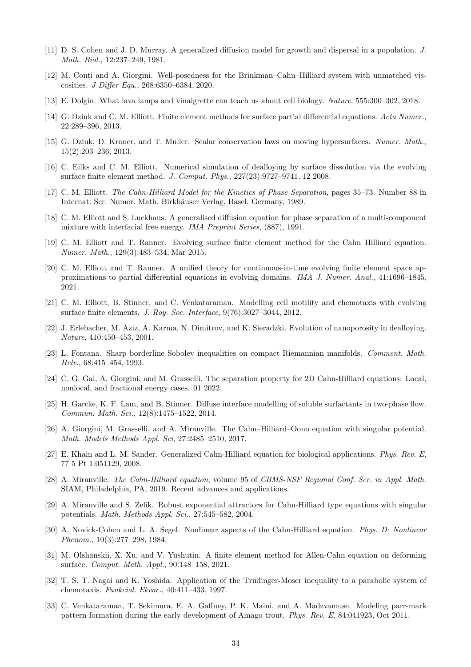- <span id="page-33-0"></span>[11] D. S. Cohen and J. D. Murray. A generalized diffusion model for growth and dispersal in a population. J. Math. Biol., 12:237–249, 1981.
- <span id="page-33-22"></span>[12] M. Conti and A. Giorgini. Well-posedness for the Brinkman–Cahn–Hilliard system with unmatched viscosities. J Differ Equ., 268:6350–6384, 2020.
- <span id="page-33-3"></span>[13] E. Dolgin. What lava lamps and vinaigrette can teach us about cell biology. Nature, 555:300–302, 2018.
- <span id="page-33-18"></span>[14] G. Dziuk and C. M. Elliott. Finite element methods for surface partial differential equations. Acta Numer., 22:289–396, 2013.
- <span id="page-33-19"></span>[15] G. Dziuk, D. Kroner, and T. Muller. Scalar conservation laws on moving hypersurfaces. Numer. Math., 15(2):203–236, 2013.
- <span id="page-33-9"></span>[16] C. Eilks and C. M. Elliott. Numerical simulation of dealloying by surface dissolution via the evolving surface finite element method. J. Comput. Phys., 227(23):9727–9741, 12 2008.
- <span id="page-33-5"></span>[17] C. M. Elliott. The Cahn-Hilliard Model for the Kinetics of Phase Separation, pages 35–73. Number 88 in Internat. Ser. Numer. Math. Birkhäuser Verlag, Basel, Germany, 1989.
- <span id="page-33-4"></span>[18] C. M. Elliott and S. Luckhaus. A generalised diffusion equation for phase separation of a multi-component mixture with interfacial free energy. IMA Preprint Series, (887), 1991.
- <span id="page-33-7"></span>[19] C. M. Elliott and T. Ranner. Evolving surface finite element method for the Cahn–Hilliard equation. Numer. Math., 129(3):483–534, Mar 2015.
- <span id="page-33-14"></span>[20] C. M. Elliott and T. Ranner. A unified theory for continuous-in-time evolving finite element space approximations to partial differential equations in evolving domains. IMA J. Numer. Anal., 41:1696–1845, 2021.
- <span id="page-33-10"></span>[21] C. M. Elliott, B. Stinner, and C. Venkataraman. Modelling cell motility and chemotaxis with evolving surface finite elements. J. Roy. Soc. Interface, 9(76):3027–3044, 2012.
- <span id="page-33-11"></span>[22] J. Erlebacher, M. Aziz, A. Karma, N. Dimitrov, and K. Sieradzki. Evolution of nanoporosity in dealloying. Nature, 410:450–453, 2001.
- <span id="page-33-20"></span>[23] L. Fontana. Sharp borderline Sobolev inequalities on compact Riemannian manifolds. Comment. Math. Helv., 68:415–454, 1993.
- <span id="page-33-17"></span>[24] C. G. Gal, A. Giorgini, and M. Grasselli. The separation property for 2D Cahn-Hilliard equations: Local, nonlocal, and fractional energy cases. 01 2022.
- <span id="page-33-12"></span>[25] H. Garcke, K. F. Lam, and B. Stinner. Diffuse interface modelling of soluble surfactants in two-phase flow. Commun. Math. Sci., 12(8):1475–1522, 2014.
- <span id="page-33-15"></span>[26] A. Giorgini, M. Grasselli, and A. Miranville. The Cahn–Hilliard–Oono equation with singular potential. Math. Models Methods Appl. Sci, 27:2485–2510, 2017.
- <span id="page-33-1"></span>[27] E. Khain and L. M. Sander. Generalized Cahn-Hilliard equation for biological applications. Phys. Rev. E, 77 5 Pt 1:051129, 2008.
- <span id="page-33-2"></span>[28] A. Miranville. The Cahn-Hilliard equation, volume 95 of CBMS-NSF Regional Conf. Ser. in Appl. Math. SIAM, Philadelphia, PA, 2019. Recent advances and applications.
- <span id="page-33-16"></span>[29] A. Miranville and S. Zelik. Robust exponential attractors for Cahn-Hilliard type equations with singular potentials. Math. Methods Appl. Sci., 27:545–582, 2004.
- <span id="page-33-6"></span>[30] A. Novick-Cohen and L. A. Segel. Nonlinear aspects of the Cahn-Hilliard equation. Phys. D: Nonlinear Phenom., 10(3):277–298, 1984.
- <span id="page-33-8"></span>[31] M. Olshanskii, X. Xu, and V. Yushutin. A finite element method for Allen-Cahn equation on deforming surface. Comput. Math. Appl., 90:148–158, 2021.
- <span id="page-33-21"></span>[32] T. S. T. Nagai and K. Yoshida. Application of the Trudinger-Moser inequality to a parabolic system of chemotaxis. Funkcial. Ekvac., 40:411–433, 1997.
- <span id="page-33-13"></span>[33] C. Venkataraman, T. Sekimura, E. A. Gaffney, P. K. Maini, and A. Madzvamuse. Modeling parr-mark pattern formation during the early development of Amago trout. Phys. Rev. E, 84:041923, Oct 2011.